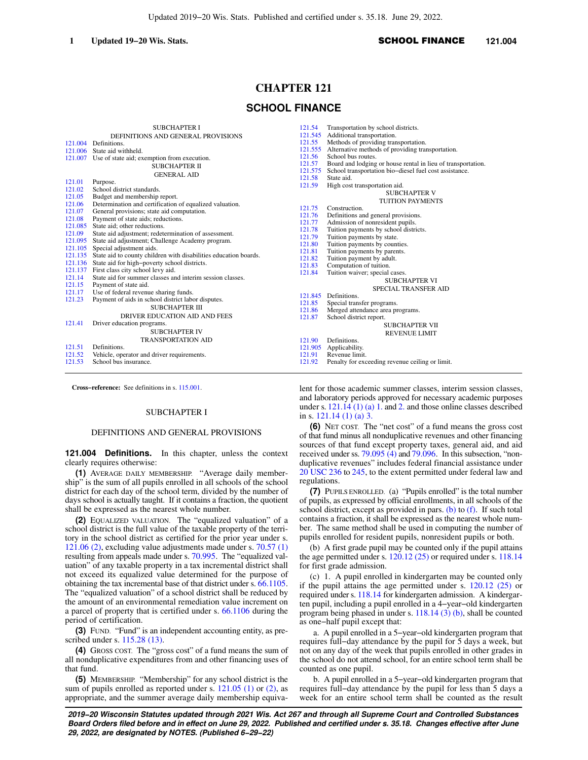# **CHAPTER 121**

# **SCHOOL FINANCE**

| 121.004<br>121.007<br>121.01<br>121.02<br>121.05<br>121.06<br>121.07<br>121.08                                            | <b>SUBCHAPTER I</b><br>DEFINITIONS AND GENERAL PROVISIONS<br>Definitions.<br>121,006 State aid withheld.<br>Use of state aid; exemption from execution.<br><b>SUBCHAPTER II</b><br><b>GENERAL AID</b><br>Purpose.<br>School district standards.<br>Budget and membership report.<br>Determination and certification of equalized valuation.<br>General provisions; state aid computation.<br>Payment of state aids; reductions.<br>121.085 State aid: other reductions.                                                                                                                                                                         | 121.54<br>121.545<br>121.55<br>121.56<br>121.57<br>121.575<br>121.58<br>121.59<br>121.75<br>121.76<br>121.77                                                                                                                                                                                                                                                                                                                                                                                                                                                                                                       | Transportation by school districts.<br>Additional transportation.<br>Methods of providing transportation.<br>121.555 Alternative methods of providing transportation.<br>School bus routes.<br>Board and lodging or house rental in lieu of transportation.<br>School transportation bio-diesel fuel cost assistance.<br>State aid.<br>High cost transportation aid.<br><b>SUBCHAPTER V</b><br><b>TUITION PAYMENTS</b><br>Construction.<br>Definitions and general provisions.<br>Admission of nonresident pupils. |
|---------------------------------------------------------------------------------------------------------------------------|-------------------------------------------------------------------------------------------------------------------------------------------------------------------------------------------------------------------------------------------------------------------------------------------------------------------------------------------------------------------------------------------------------------------------------------------------------------------------------------------------------------------------------------------------------------------------------------------------------------------------------------------------|--------------------------------------------------------------------------------------------------------------------------------------------------------------------------------------------------------------------------------------------------------------------------------------------------------------------------------------------------------------------------------------------------------------------------------------------------------------------------------------------------------------------------------------------------------------------------------------------------------------------|--------------------------------------------------------------------------------------------------------------------------------------------------------------------------------------------------------------------------------------------------------------------------------------------------------------------------------------------------------------------------------------------------------------------------------------------------------------------------------------------------------------------|
| 121.09<br>121.095<br>121.105<br>121.135<br>121.136<br>121.137<br>121.14<br>121.15<br>121.17<br>121.23<br>121.41<br>121.51 | State aid adjustment; redetermination of assessment.<br>State aid adjustment; Challenge Academy program.<br>Special adjustment aids.<br>State aid to county children with disabilities education boards.<br>State aid for high-poverty school districts.<br>First class city school levy aid.<br>State aid for summer classes and interim session classes.<br>Payment of state aid.<br>Use of federal revenue sharing funds.<br>Payment of aids in school district labor disputes.<br><b>SUBCHAPTER III</b><br>DRIVER EDUCATION AID AND FEES<br>Driver education programs.<br><b>SUBCHAPTER IV</b><br><b>TRANSPORTATION AID</b><br>Definitions. | 121.78<br>Tuition payments by school districts.<br>121.79<br>Tuition payments by state.<br>Tuition payments by counties.<br>121.80<br>Tuition payments by parents.<br>121.81<br>Tuition payment by adult.<br>121.82<br>121.83<br>Computation of tuition.<br>Tuition waiver; special cases.<br>121.84<br><b>SUBCHAPTER VI</b><br>SPECIAL TRANSFER AID<br>Definitions.<br>121.845<br>121.85<br>Special transfer programs.<br>Merged attendance area programs.<br>121.86<br>School district report.<br>121.87<br><b>SUBCHAPTER VII</b><br><b>REVENUE LIMIT</b><br>Definitions.<br>121.90<br>121.905<br>Applicability. |                                                                                                                                                                                                                                                                                                                                                                                                                                                                                                                    |
| 121.52<br>121.53                                                                                                          | Vehicle, operator and driver requirements.<br>School bus insurance.                                                                                                                                                                                                                                                                                                                                                                                                                                                                                                                                                                             | 121.91<br>121.92                                                                                                                                                                                                                                                                                                                                                                                                                                                                                                                                                                                                   | Revenue limit.<br>Penalty for exceeding revenue ceiling or limit.                                                                                                                                                                                                                                                                                                                                                                                                                                                  |

**Cross−reference:** See definitions in s. [115.001.](https://docs.legis.wisconsin.gov/document/statutes/115.001)

## SUBCHAPTER I

### DEFINITIONS AND GENERAL PROVISIONS

**121.004 Definitions.** In this chapter, unless the context clearly requires otherwise:

**(1)** AVERAGE DAILY MEMBERSHIP. "Average daily membership" is the sum of all pupils enrolled in all schools of the school district for each day of the school term, divided by the number of days school is actually taught. If it contains a fraction, the quotient shall be expressed as the nearest whole number.

**(2)** EQUALIZED VALUATION. The "equalized valuation" of a school district is the full value of the taxable property of the territory in the school district as certified for the prior year under s. [121.06 \(2\)](https://docs.legis.wisconsin.gov/document/statutes/121.06(2)), excluding value adjustments made under s. [70.57 \(1\)](https://docs.legis.wisconsin.gov/document/statutes/70.57(1)) resulting from appeals made under s. [70.995.](https://docs.legis.wisconsin.gov/document/statutes/70.995) The "equalized valuation" of any taxable property in a tax incremental district shall not exceed its equalized value determined for the purpose of obtaining the tax incremental base of that district under s. [66.1105.](https://docs.legis.wisconsin.gov/document/statutes/66.1105) The "equalized valuation" of a school district shall be reduced by the amount of an environmental remediation value increment on a parcel of property that is certified under s. [66.1106](https://docs.legis.wisconsin.gov/document/statutes/66.1106) during the period of certification.

**(3)** FUND. "Fund" is an independent accounting entity, as prescribed under s. [115.28 \(13\)](https://docs.legis.wisconsin.gov/document/statutes/115.28(13)).

**(4)** GROSS COST. The "gross cost" of a fund means the sum of all nonduplicative expenditures from and other financing uses of that fund.

**(5)** MEMBERSHIP. "Membership" for any school district is the sum of pupils enrolled as reported under s. [121.05 \(1\)](https://docs.legis.wisconsin.gov/document/statutes/121.05(1)) or [\(2\),](https://docs.legis.wisconsin.gov/document/statutes/121.05(2)) as appropriate, and the summer average daily membership equivalent for those academic summer classes, interim session classes, and laboratory periods approved for necessary academic purposes under s. [121.14 \(1\) \(a\) 1.](https://docs.legis.wisconsin.gov/document/statutes/121.14(1)(a)1.) and [2.](https://docs.legis.wisconsin.gov/document/statutes/121.14(1)(a)2.) and those online classes described in s. [121.14 \(1\) \(a\) 3.](https://docs.legis.wisconsin.gov/document/statutes/121.14(1)(a)3.)

**(6)** NET COST. The "net cost" of a fund means the gross cost of that fund minus all nonduplicative revenues and other financing sources of that fund except property taxes, general aid, and aid received under ss. 79.095  $(4)$  and [79.096.](https://docs.legis.wisconsin.gov/document/statutes/79.096) In this subsection, "nonduplicative revenues" includes federal financial assistance under [20 USC 236](https://docs.legis.wisconsin.gov/document/usc/20%20USC%20236) to [245](https://docs.legis.wisconsin.gov/document/usc/20%20USC%20245), to the extent permitted under federal law and regulations.

**(7)** PUPILS ENROLLED. (a) "Pupils enrolled" is the total number of pupils, as expressed by official enrollments, in all schools of the school district, except as provided in pars.  $(b)$  to  $(f)$ . If such total contains a fraction, it shall be expressed as the nearest whole number. The same method shall be used in computing the number of pupils enrolled for resident pupils, nonresident pupils or both.

(b) A first grade pupil may be counted only if the pupil attains the age permitted under s. [120.12 \(25\)](https://docs.legis.wisconsin.gov/document/statutes/120.12(25)) or required under s. [118.14](https://docs.legis.wisconsin.gov/document/statutes/118.14) for first grade admission.

(c) 1. A pupil enrolled in kindergarten may be counted only if the pupil attains the age permitted under s. [120.12 \(25\)](https://docs.legis.wisconsin.gov/document/statutes/120.12(25)) or required under s. [118.14](https://docs.legis.wisconsin.gov/document/statutes/118.14) for kindergarten admission. A kindergarten pupil, including a pupil enrolled in a 4−year−old kindergarten program being phased in under s. [118.14 \(3\) \(b\)](https://docs.legis.wisconsin.gov/document/statutes/118.14(3)(b)), shall be counted as one−half pupil except that:

a. A pupil enrolled in a 5−year−old kindergarten program that requires full−day attendance by the pupil for 5 days a week, but not on any day of the week that pupils enrolled in other grades in the school do not attend school, for an entire school term shall be counted as one pupil.

b. A pupil enrolled in a 5−year−old kindergarten program that requires full−day attendance by the pupil for less than 5 days a week for an entire school term shall be counted as the result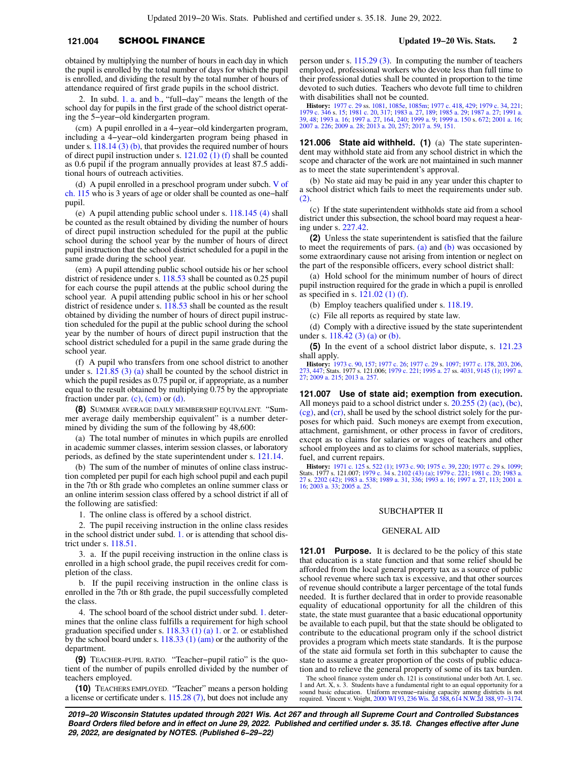# **121.004** SCHOOL FINANCE **Updated 19−20 Wis. Stats. 2**

obtained by multiplying the number of hours in each day in which the pupil is enrolled by the total number of days for which the pupil is enrolled, and dividing the result by the total number of hours of attendance required of first grade pupils in the school district.

2. In subd. [1. a.](https://docs.legis.wisconsin.gov/document/statutes/121.004(7)(c)1.a.) and [b.,](https://docs.legis.wisconsin.gov/document/statutes/121.004(7)(c)1.b.) "full−day" means the length of the school day for pupils in the first grade of the school district operating the 5−year−old kindergarten program.

(cm) A pupil enrolled in a 4−year−old kindergarten program, including a 4−year−old kindergarten program being phased in under s. [118.14 \(3\) \(b\),](https://docs.legis.wisconsin.gov/document/statutes/118.14(3)(b)) that provides the required number of hours of direct pupil instruction under s.  $121.02$  (1) (f) shall be counted as 0.6 pupil if the program annually provides at least 87.5 additional hours of outreach activities.

(d) A pupil enrolled in a preschool program under subch. [V of](https://docs.legis.wisconsin.gov/document/statutes/subch.%20V%20of%20ch.%20115) [ch. 115](https://docs.legis.wisconsin.gov/document/statutes/subch.%20V%20of%20ch.%20115) who is 3 years of age or older shall be counted as one−half pupil.

(e) A pupil attending public school under s. [118.145 \(4\)](https://docs.legis.wisconsin.gov/document/statutes/118.145(4)) shall be counted as the result obtained by dividing the number of hours of direct pupil instruction scheduled for the pupil at the public school during the school year by the number of hours of direct pupil instruction that the school district scheduled for a pupil in the same grade during the school year.

(em) A pupil attending public school outside his or her school district of residence under s. [118.53](https://docs.legis.wisconsin.gov/document/statutes/118.53) shall be counted as 0.25 pupil for each course the pupil attends at the public school during the school year. A pupil attending public school in his or her school district of residence under s. [118.53](https://docs.legis.wisconsin.gov/document/statutes/118.53) shall be counted as the result obtained by dividing the number of hours of direct pupil instruction scheduled for the pupil at the public school during the school year by the number of hours of direct pupil instruction that the school district scheduled for a pupil in the same grade during the school year.

(f) A pupil who transfers from one school district to another under s. [121.85 \(3\) \(a\)](https://docs.legis.wisconsin.gov/document/statutes/121.85(3)(a)) shall be counted by the school district in which the pupil resides as 0.75 pupil or, if appropriate, as a number equal to the result obtained by multiplying 0.75 by the appropriate fraction under par.  $(c)$ ,  $(cm)$  or  $(d)$ .

**(8)** SUMMER AVERAGE DAILY MEMBERSHIP EQUIVALENT. "Summer average daily membership equivalent" is a number determined by dividing the sum of the following by 48,600:

(a) The total number of minutes in which pupils are enrolled in academic summer classes, interim session classes, or laboratory periods, as defined by the state superintendent under s. [121.14](https://docs.legis.wisconsin.gov/document/statutes/121.14).

(b) The sum of the number of minutes of online class instruction completed per pupil for each high school pupil and each pupil in the 7th or 8th grade who completes an online summer class or an online interim session class offered by a school district if all of the following are satisfied:

1. The online class is offered by a school district.

2. The pupil receiving instruction in the online class resides in the school district under subd. [1.](https://docs.legis.wisconsin.gov/document/statutes/121.004(8)(b)1.) or is attending that school district under s. [118.51](https://docs.legis.wisconsin.gov/document/statutes/118.51).

3. a. If the pupil receiving instruction in the online class is enrolled in a high school grade, the pupil receives credit for completion of the class.

b. If the pupil receiving instruction in the online class is enrolled in the 7th or 8th grade, the pupil successfully completed the class.

4. The school board of the school district under subd. [1.](https://docs.legis.wisconsin.gov/document/statutes/121.004(8)(b)1.) determines that the online class fulfills a requirement for high school graduation specified under s. [118.33 \(1\) \(a\) 1.](https://docs.legis.wisconsin.gov/document/statutes/118.33(1)(a)1.) or [2.](https://docs.legis.wisconsin.gov/document/statutes/118.33(1)(a)2.) or established by the school board under s.  $118.33$  (1) (am) or the authority of the department.

**(9)** TEACHER−PUPIL RATIO. "Teacher−pupil ratio" is the quotient of the number of pupils enrolled divided by the number of teachers employed.

**(10)** TEACHERS EMPLOYED. "Teacher" means a person holding a license or certificate under s. [115.28 \(7\),](https://docs.legis.wisconsin.gov/document/statutes/115.28(7)) but does not include any

person under s. [115.29 \(3\).](https://docs.legis.wisconsin.gov/document/statutes/115.29(3)) In computing the number of teachers employed, professional workers who devote less than full time to their professional duties shall be counted in proportion to the time devoted to such duties. Teachers who devote full time to children with disabilities shall not be counted.

**History:** [1977 c. 29](https://docs.legis.wisconsin.gov/document/acts/1977/29) ss. [1081](https://docs.legis.wisconsin.gov/document/acts/1977/29,%20s.%201081), [1085e](https://docs.legis.wisconsin.gov/document/acts/1977/29,%20s.%201085e), [1085m](https://docs.legis.wisconsin.gov/document/acts/1977/29,%20s.%201085m); [1977 c. 418](https://docs.legis.wisconsin.gov/document/acts/1977/418), [429](https://docs.legis.wisconsin.gov/document/acts/1977/429); [1979 c. 34](https://docs.legis.wisconsin.gov/document/acts/1979/34), [221](https://docs.legis.wisconsin.gov/document/acts/1979/221);<br>[1979 c. 346](https://docs.legis.wisconsin.gov/document/acts/1979/346) s. [15;](https://docs.legis.wisconsin.gov/document/acts/1979/346,%20s.%2015) [1981 c. 20,](https://docs.legis.wisconsin.gov/document/acts/1981/20) [317;](https://docs.legis.wisconsin.gov/document/acts/1981/317) [1983 a. 27,](https://docs.legis.wisconsin.gov/document/acts/1983/27) [189;](https://docs.legis.wisconsin.gov/document/acts/1983/189) [1985 a. 29;](https://docs.legis.wisconsin.gov/document/acts/1985/29) [1987 a. 27;](https://docs.legis.wisconsin.gov/document/acts/1987/27) [1991 a.](https://docs.legis.wisconsin.gov/document/acts/1991/39)<br>[39](https://docs.legis.wisconsin.gov/document/acts/1991/39), [48;](https://docs.legis.wisconsin.gov/document/acts/1991/48) [1993 a. 16;](https://docs.legis.wisconsin.gov/document/acts/1993/16) [1997 a. 27,](https://docs.legis.wisconsin.gov/document/acts/1997/27) [164,](https://docs.legis.wisconsin.gov/document/acts/1997/164) [240](https://docs.legis.wisconsin.gov/document/acts/1997/240); [1999 a. 9;](https://docs.legis.wisconsin.gov/document/acts/1999/9) 199 [2007 a. 226;](https://docs.legis.wisconsin.gov/document/acts/2007/226) [2009 a. 28](https://docs.legis.wisconsin.gov/document/acts/2009/28); [2013 a. 20](https://docs.legis.wisconsin.gov/document/acts/2013/20), [257](https://docs.legis.wisconsin.gov/document/acts/2013/257); [2017 a. 59,](https://docs.legis.wisconsin.gov/document/acts/2017/59) [151.](https://docs.legis.wisconsin.gov/document/acts/2017/151)

**121.006 State aid withheld. (1)** (a) The state superintendent may withhold state aid from any school district in which the scope and character of the work are not maintained in such manner as to meet the state superintendent's approval.

(b) No state aid may be paid in any year under this chapter to a school district which fails to meet the requirements under sub. [\(2\).](https://docs.legis.wisconsin.gov/document/statutes/121.006(2))

(c) If the state superintendent withholds state aid from a school district under this subsection, the school board may request a hearing under s. [227.42.](https://docs.legis.wisconsin.gov/document/statutes/227.42)

**(2)** Unless the state superintendent is satisfied that the failure to meet the requirements of pars.  $(a)$  and  $(b)$  was occasioned by some extraordinary cause not arising from intention or neglect on the part of the responsible officers, every school district shall:

(a) Hold school for the minimum number of hours of direct pupil instruction required for the grade in which a pupil is enrolled as specified in s. [121.02 \(1\) \(f\)](https://docs.legis.wisconsin.gov/document/statutes/121.02(1)(f)).

(b) Employ teachers qualified under s. [118.19.](https://docs.legis.wisconsin.gov/document/statutes/118.19)

(c) File all reports as required by state law.

(d) Comply with a directive issued by the state superintendent under s. [118.42 \(3\) \(a\)](https://docs.legis.wisconsin.gov/document/statutes/118.42(3)(a)) or [\(b\)](https://docs.legis.wisconsin.gov/document/statutes/118.42(3)(b)).

**(5)** In the event of a school district labor dispute, s. [121.23](https://docs.legis.wisconsin.gov/document/statutes/121.23) shall apply.

**History:** [1973 c. 90,](https://docs.legis.wisconsin.gov/document/acts/1973/90) [157;](https://docs.legis.wisconsin.gov/document/acts/1973/157) [1977 c. 26](https://docs.legis.wisconsin.gov/document/acts/1977/26); [1977 c. 29](https://docs.legis.wisconsin.gov/document/acts/1977/29) s. [1097](https://docs.legis.wisconsin.gov/document/acts/1977/29,%20s.%201097); [1977 c. 178,](https://docs.legis.wisconsin.gov/document/acts/1977/178) [203,](https://docs.legis.wisconsin.gov/document/acts/1977/203) [206](https://docs.legis.wisconsin.gov/document/acts/1977/206), [273,](https://docs.legis.wisconsin.gov/document/acts/1977/273) [447](https://docs.legis.wisconsin.gov/document/acts/1977/447); Stats. 1977 s. 121.006; [1979 c. 221;](https://docs.legis.wisconsin.gov/document/acts/1979/221) [1995 a. 27](https://docs.legis.wisconsin.gov/document/acts/1995/27) ss. [4031](https://docs.legis.wisconsin.gov/document/acts/1995/27,%20s.%204031), [9145 \(1\)](https://docs.legis.wisconsin.gov/document/acts/1995/27,%20s.%209145); [1997 a.](https://docs.legis.wisconsin.gov/document/acts/1997/27) [27](https://docs.legis.wisconsin.gov/document/acts/1997/27); [2009 a. 215;](https://docs.legis.wisconsin.gov/document/acts/2009/215) [2013 a. 257](https://docs.legis.wisconsin.gov/document/acts/2013/257).

**121.007 Use of state aid; exemption from execution.** All moneys paid to a school district under s. [20.255 \(2\) \(ac\)](https://docs.legis.wisconsin.gov/document/statutes/20.255(2)(ac)), [\(bc\),](https://docs.legis.wisconsin.gov/document/statutes/20.255(2)(bc)) [\(cg\),](https://docs.legis.wisconsin.gov/document/statutes/20.255(2)(cg)) and [\(cr\),](https://docs.legis.wisconsin.gov/document/statutes/20.255(2)(cr)) shall be used by the school district solely for the purposes for which paid. Such moneys are exempt from execution, attachment, garnishment, or other process in favor of creditors, except as to claims for salaries or wages of teachers and other school employees and as to claims for school materials, supplies, fuel, and current repairs.

**History:** [1971 c. 125](https://docs.legis.wisconsin.gov/document/acts/1971/125) s. [522 \(1\)](https://docs.legis.wisconsin.gov/document/acts/1971/125,%20s.%20522); [1973 c. 90](https://docs.legis.wisconsin.gov/document/acts/1973/90); [1975 c. 39,](https://docs.legis.wisconsin.gov/document/acts/1975/39) [220;](https://docs.legis.wisconsin.gov/document/acts/1975/220) [1977 c. 29](https://docs.legis.wisconsin.gov/document/acts/1977/29) s. [1099](https://docs.legis.wisconsin.gov/document/acts/1977/29,%20s.%201099); Stats. 1977 s. 121.007; [1979 c. 34](https://docs.legis.wisconsin.gov/document/acts/1979/34) s. [2102 \(43\) \(a\);](https://docs.legis.wisconsin.gov/document/acts/1979/34,%20s.%202102) [1979 c. 221](https://docs.legis.wisconsin.gov/document/acts/1979/221); [1981 c. 20](https://docs.legis.wisconsin.gov/document/acts/1981/20); [1983 a.](https://docs.legis.wisconsin.gov/document/acts/1983/27) [27](https://docs.legis.wisconsin.gov/document/acts/1983/27) s. [2202 \(42\);](https://docs.legis.wisconsin.gov/document/acts/1983/27,%20s.%202202) [1983 a. 538;](https://docs.legis.wisconsin.gov/document/acts/1983/538) [1989 a. 31,](https://docs.legis.wisconsin.gov/document/acts/1989/31) [336](https://docs.legis.wisconsin.gov/document/acts/1989/336); [1993 a. 16](https://docs.legis.wisconsin.gov/document/acts/1993/16); [1997 a. 27,](https://docs.legis.wisconsin.gov/document/acts/1997/27) [113;](https://docs.legis.wisconsin.gov/document/acts/1997/113) [2001 a.](https://docs.legis.wisconsin.gov/document/acts/2001/16) [16](https://docs.legis.wisconsin.gov/document/acts/2001/16); [2003 a. 33](https://docs.legis.wisconsin.gov/document/acts/2003/33); [2005 a. 25](https://docs.legis.wisconsin.gov/document/acts/2005/25).

## SUBCHAPTER II

### GENERAL AID

**121.01 Purpose.** It is declared to be the policy of this state that education is a state function and that some relief should be afforded from the local general property tax as a source of public school revenue where such tax is excessive, and that other sources of revenue should contribute a larger percentage of the total funds needed. It is further declared that in order to provide reasonable equality of educational opportunity for all the children of this state, the state must guarantee that a basic educational opportunity be available to each pupil, but that the state should be obligated to contribute to the educational program only if the school district provides a program which meets state standards. It is the purpose of the state aid formula set forth in this subchapter to cause the state to assume a greater proportion of the costs of public education and to relieve the general property of some of its tax burden.

The school finance system under ch. 121 is constitutional under both Art. I, sec. 1 and Art. X, s. 3. Students have a fundamental right to an equal opportunity for a sound basic education. Uniform revenue−raising capacity among districts is not required. Vincent v. Voight, [2000 WI 93](https://docs.legis.wisconsin.gov/document/courts/2000%20WI%2093), [236 Wis. 2d 588,](https://docs.legis.wisconsin.gov/document/courts/236%20Wis.%202d%20588) [614 N.W.2d 388](https://docs.legis.wisconsin.gov/document/courts/614%20N.W.2d%20388), [97−3174](https://docs.legis.wisconsin.gov/document/wisupremecourt/97-3174).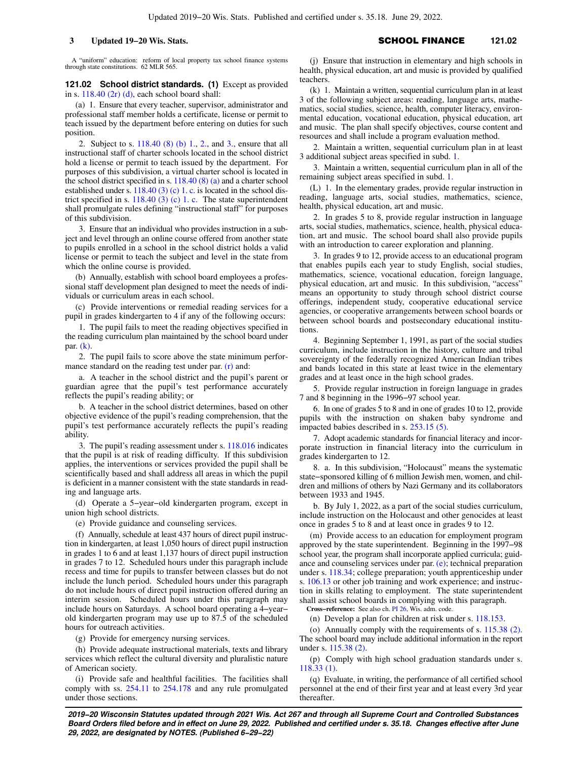A "uniform" education: reform of local property tax school finance systems through state constitutions. 62 MLR 565.

**121.02 School district standards. (1)** Except as provided in s. [118.40 \(2r\) \(d\)](https://docs.legis.wisconsin.gov/document/statutes/118.40(2r)(d)), each school board shall:

(a) 1. Ensure that every teacher, supervisor, administrator and professional staff member holds a certificate, license or permit to teach issued by the department before entering on duties for such position.

2. Subject to s. [118.40 \(8\) \(b\) 1.,](https://docs.legis.wisconsin.gov/document/statutes/118.40(8)(b)1.) [2.](https://docs.legis.wisconsin.gov/document/statutes/118.40(8)(b)2.), and [3.](https://docs.legis.wisconsin.gov/document/statutes/118.40(8)(b)3.), ensure that all instructional staff of charter schools located in the school district hold a license or permit to teach issued by the department. For purposes of this subdivision, a virtual charter school is located in the school district specified in s. [118.40 \(8\) \(a\)](https://docs.legis.wisconsin.gov/document/statutes/118.40(8)(a)) and a charter school established under s. [118.40 \(3\) \(c\) 1. c.](https://docs.legis.wisconsin.gov/document/statutes/118.40(3)(c)1.c.) is located in the school district specified in s.  $118.40$  (3) (c) 1. c. The state superintendent shall promulgate rules defining "instructional staff" for purposes of this subdivision.

3. Ensure that an individual who provides instruction in a subject and level through an online course offered from another state to pupils enrolled in a school in the school district holds a valid license or permit to teach the subject and level in the state from which the online course is provided.

(b) Annually, establish with school board employees a professional staff development plan designed to meet the needs of individuals or curriculum areas in each school.

(c) Provide interventions or remedial reading services for a pupil in grades kindergarten to 4 if any of the following occurs:

1. The pupil fails to meet the reading objectives specified in the reading curriculum plan maintained by the school board under par. [\(k\).](https://docs.legis.wisconsin.gov/document/statutes/121.02(1)(k))

2. The pupil fails to score above the state minimum perfor-mance standard on the reading test under par. [\(r\)](https://docs.legis.wisconsin.gov/document/statutes/121.02(1)(r)) and:

a. A teacher in the school district and the pupil's parent or guardian agree that the pupil's test performance accurately reflects the pupil's reading ability; or

b. A teacher in the school district determines, based on other objective evidence of the pupil's reading comprehension, that the pupil's test performance accurately reflects the pupil's reading ability.

3. The pupil's reading assessment under s. [118.016](https://docs.legis.wisconsin.gov/document/statutes/118.016) indicates that the pupil is at risk of reading difficulty. If this subdivision applies, the interventions or services provided the pupil shall be scientifically based and shall address all areas in which the pupil is deficient in a manner consistent with the state standards in reading and language arts.

(d) Operate a 5−year−old kindergarten program, except in union high school districts.

(e) Provide guidance and counseling services.

(f) Annually, schedule at least 437 hours of direct pupil instruction in kindergarten, at least 1,050 hours of direct pupil instruction in grades 1 to 6 and at least 1,137 hours of direct pupil instruction in grades 7 to 12. Scheduled hours under this paragraph include recess and time for pupils to transfer between classes but do not include the lunch period. Scheduled hours under this paragraph do not include hours of direct pupil instruction offered during an interim session. Scheduled hours under this paragraph may include hours on Saturdays. A school board operating a 4−year− old kindergarten program may use up to 87.5 of the scheduled hours for outreach activities.

(g) Provide for emergency nursing services.

(h) Provide adequate instructional materials, texts and library services which reflect the cultural diversity and pluralistic nature of American society.

(i) Provide safe and healthful facilities. The facilities shall comply with ss. [254.11](https://docs.legis.wisconsin.gov/document/statutes/254.11) to [254.178](https://docs.legis.wisconsin.gov/document/statutes/254.178) and any rule promulgated under those sections.

(j) Ensure that instruction in elementary and high schools in health, physical education, art and music is provided by qualified teachers.

(k) 1. Maintain a written, sequential curriculum plan in at least 3 of the following subject areas: reading, language arts, mathematics, social studies, science, health, computer literacy, environmental education, vocational education, physical education, art and music. The plan shall specify objectives, course content and resources and shall include a program evaluation method.

2. Maintain a written, sequential curriculum plan in at least 3 additional subject areas specified in subd. [1.](https://docs.legis.wisconsin.gov/document/statutes/121.02(1)(k)1.)

3. Maintain a written, sequential curriculum plan in all of the remaining subject areas specified in subd. [1.](https://docs.legis.wisconsin.gov/document/statutes/121.02(1)(k)1.)

(L) 1. In the elementary grades, provide regular instruction in reading, language arts, social studies, mathematics, science, health, physical education, art and music.

2. In grades 5 to 8, provide regular instruction in language arts, social studies, mathematics, science, health, physical education, art and music. The school board shall also provide pupils with an introduction to career exploration and planning.

3. In grades 9 to 12, provide access to an educational program that enables pupils each year to study English, social studies, mathematics, science, vocational education, foreign language, physical education, art and music. In this subdivision, "access" means an opportunity to study through school district course offerings, independent study, cooperative educational service agencies, or cooperative arrangements between school boards or between school boards and postsecondary educational institutions.

4. Beginning September 1, 1991, as part of the social studies curriculum, include instruction in the history, culture and tribal sovereignty of the federally recognized American Indian tribes and bands located in this state at least twice in the elementary grades and at least once in the high school grades.

5. Provide regular instruction in foreign language in grades 7 and 8 beginning in the 1996−97 school year.

6. In one of grades 5 to 8 and in one of grades 10 to 12, provide pupils with the instruction on shaken baby syndrome and impacted babies described in s. [253.15 \(5\).](https://docs.legis.wisconsin.gov/document/statutes/253.15(5))

7. Adopt academic standards for financial literacy and incorporate instruction in financial literacy into the curriculum in grades kindergarten to 12.

8. a. In this subdivision, "Holocaust" means the systematic state−sponsored killing of 6 million Jewish men, women, and children and millions of others by Nazi Germany and its collaborators between 1933 and 1945.

b. By July 1, 2022, as a part of the social studies curriculum, include instruction on the Holocaust and other genocides at least once in grades 5 to 8 and at least once in grades 9 to 12.

(m) Provide access to an education for employment program approved by the state superintendent. Beginning in the 1997−98 school year, the program shall incorporate applied curricula; guidance and counseling services under par. [\(e\)](https://docs.legis.wisconsin.gov/document/statutes/121.02(1)(e)); technical preparation under s. [118.34](https://docs.legis.wisconsin.gov/document/statutes/118.34); college preparation; youth apprenticeship under s. [106.13](https://docs.legis.wisconsin.gov/document/statutes/106.13) or other job training and work experience; and instruction in skills relating to employment. The state superintendent shall assist school boards in complying with this paragraph.

**Cross−reference:** See also ch. [PI 26](https://docs.legis.wisconsin.gov/document/administrativecode/ch.%20PI%2026), Wis. adm. code. (n) Develop a plan for children at risk under s. [118.153](https://docs.legis.wisconsin.gov/document/statutes/118.153).

(o) Annually comply with the requirements of s. [115.38 \(2\).](https://docs.legis.wisconsin.gov/document/statutes/115.38(2)) The school board may include additional information in the report under s. [115.38 \(2\)](https://docs.legis.wisconsin.gov/document/statutes/115.38(2)).

(p) Comply with high school graduation standards under s. [118.33 \(1\)](https://docs.legis.wisconsin.gov/document/statutes/118.33(1)).

(q) Evaluate, in writing, the performance of all certified school personnel at the end of their first year and at least every 3rd year thereafter.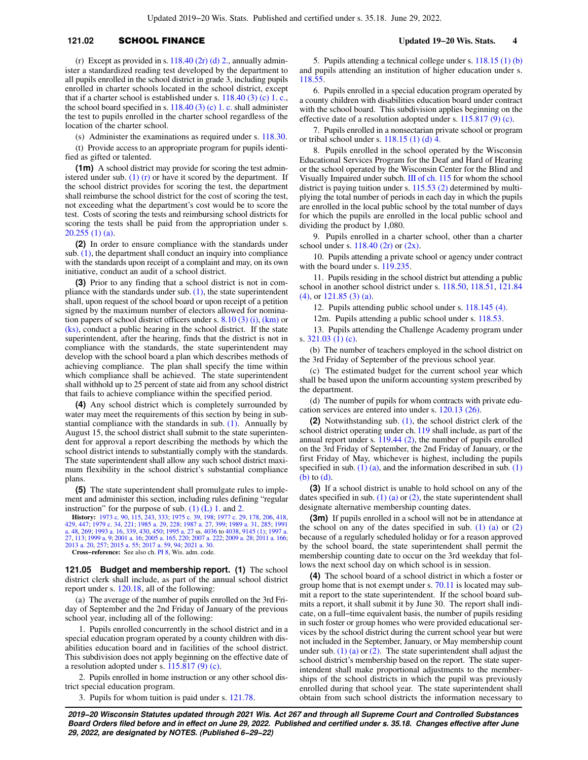# **121.02 SCHOOL FINANCE** Updated 19−20 Wis. Stats. 4

(r) Except as provided in s.  $118.40$  (2r) (d) 2., annually administer a standardized reading test developed by the department to all pupils enrolled in the school district in grade 3, including pupils enrolled in charter schools located in the school district, except that if a charter school is established under s.  $118.40$  (3) (c) 1. c., the school board specified in s.  $118.40(3)(c)$  1. c. shall administer the test to pupils enrolled in the charter school regardless of the location of the charter school.

(s) Administer the examinations as required under s. [118.30](https://docs.legis.wisconsin.gov/document/statutes/118.30).

(t) Provide access to an appropriate program for pupils identified as gifted or talented.

**(1m)** A school district may provide for scoring the test administered under sub. (1)  $(r)$  or have it scored by the department. If the school district provides for scoring the test, the department shall reimburse the school district for the cost of scoring the test, not exceeding what the department's cost would be to score the test. Costs of scoring the tests and reimbursing school districts for scoring the tests shall be paid from the appropriation under s. [20.255 \(1\) \(a\).](https://docs.legis.wisconsin.gov/document/statutes/20.255(1)(a))

**(2)** In order to ensure compliance with the standards under sub. [\(1\)](https://docs.legis.wisconsin.gov/document/statutes/121.02(1)), the department shall conduct an inquiry into compliance with the standards upon receipt of a complaint and may, on its own initiative, conduct an audit of a school district.

**(3)** Prior to any finding that a school district is not in compliance with the standards under sub.  $(1)$ , the state superintendent shall, upon request of the school board or upon receipt of a petition signed by the maximum number of electors allowed for nomination papers of school district officers under s.  $8.10(3)(i)$ , [\(km\)](https://docs.legis.wisconsin.gov/document/statutes/8.10(3)(km)) or [\(ks\),](https://docs.legis.wisconsin.gov/document/statutes/8.10(3)(ks)) conduct a public hearing in the school district. If the state superintendent, after the hearing, finds that the district is not in compliance with the standards, the state superintendent may develop with the school board a plan which describes methods of achieving compliance. The plan shall specify the time within which compliance shall be achieved. The state superintendent shall withhold up to 25 percent of state aid from any school district that fails to achieve compliance within the specified period.

**(4)** Any school district which is completely surrounded by water may meet the requirements of this section by being in substantial compliance with the standards in sub.  $(1)$ . Annually by August 15, the school district shall submit to the state superintendent for approval a report describing the methods by which the school district intends to substantially comply with the standards. The state superintendent shall allow any such school district maximum flexibility in the school district's substantial compliance plans.

**(5)** The state superintendent shall promulgate rules to implement and administer this section, including rules defining "regular instruction" for the purpose of sub.  $(1)$  (L) 1. and [2.](https://docs.legis.wisconsin.gov/document/statutes/121.02(1)(L)2.)

**History:** [1973 c. 90](https://docs.legis.wisconsin.gov/document/acts/1973/90), [115,](https://docs.legis.wisconsin.gov/document/acts/1973/115) [243](https://docs.legis.wisconsin.gov/document/acts/1973/243), [333](https://docs.legis.wisconsin.gov/document/acts/1973/333); [1975 c. 39](https://docs.legis.wisconsin.gov/document/acts/1975/39), [198;](https://docs.legis.wisconsin.gov/document/acts/1975/198) [1977 c. 29,](https://docs.legis.wisconsin.gov/document/acts/1977/29) [178](https://docs.legis.wisconsin.gov/document/acts/1977/178), [206](https://docs.legis.wisconsin.gov/document/acts/1977/206), [418](https://docs.legis.wisconsin.gov/document/acts/1977/418), [429](https://docs.legis.wisconsin.gov/document/acts/1977/429), [447](https://docs.legis.wisconsin.gov/document/acts/1977/447); [1979 c. 34,](https://docs.legis.wisconsin.gov/document/acts/1979/34) [221;](https://docs.legis.wisconsin.gov/document/acts/1979/221) [1985 a. 29](https://docs.legis.wisconsin.gov/document/acts/1985/29), [228](https://docs.legis.wisconsin.gov/document/acts/1985/228); [1987 a. 27,](https://docs.legis.wisconsin.gov/document/acts/1987/27) [399;](https://docs.legis.wisconsin.gov/document/acts/1987/399) [1989 a. 31](https://docs.legis.wisconsin.gov/document/acts/1989/31), [285](https://docs.legis.wisconsin.gov/document/acts/1989/285); [1991](https://docs.legis.wisconsin.gov/document/acts/1991/48) [a. 48](https://docs.legis.wisconsin.gov/document/acts/1991/48), [269](https://docs.legis.wisconsin.gov/document/acts/1991/269); [1993 a. 16,](https://docs.legis.wisconsin.gov/document/acts/1993/16) [339,](https://docs.legis.wisconsin.gov/document/acts/1993/339) [430,](https://docs.legis.wisconsin.gov/document/acts/1993/430) [450](https://docs.legis.wisconsin.gov/document/acts/1993/450); [1995 a. 27](https://docs.legis.wisconsin.gov/document/acts/1995/27) ss. [4036](https://docs.legis.wisconsin.gov/document/acts/1995/27,%20s.%204036) to [4038,](https://docs.legis.wisconsin.gov/document/acts/1995/27,%20s.%204038) [9145 \(1\)](https://docs.legis.wisconsin.gov/document/acts/1995/27,%20s.%209145); [1997 a.](https://docs.legis.wisconsin.gov/document/acts/1997/27) [27,](https://docs.legis.wisconsin.gov/document/acts/1997/27) [113](https://docs.legis.wisconsin.gov/document/acts/1997/113); [1999 a. 9](https://docs.legis.wisconsin.gov/document/acts/1999/9); [2001 a. 16;](https://docs.legis.wisconsin.gov/document/acts/2001/16) [2005 a. 165,](https://docs.legis.wisconsin.gov/document/acts/2005/165) [220](https://docs.legis.wisconsin.gov/document/acts/2005/220); [2007 a. 222;](https://docs.legis.wisconsin.gov/document/acts/2007/222) [2009 a. 28](https://docs.legis.wisconsin.gov/document/acts/2009/28); [2011 a. 166](https://docs.legis.wisconsin.gov/document/acts/2011/166); [2013 a. 20](https://docs.legis.wisconsin.gov/document/acts/2013/20), [257](https://docs.legis.wisconsin.gov/document/acts/2013/257); [2015 a. 55](https://docs.legis.wisconsin.gov/document/acts/2015/55); [2017 a. 59,](https://docs.legis.wisconsin.gov/document/acts/2017/59) [94](https://docs.legis.wisconsin.gov/document/acts/2017/94); [2021 a. 30](https://docs.legis.wisconsin.gov/document/acts/2021/30). **Cross−reference:** See also ch. [PI 8,](https://docs.legis.wisconsin.gov/document/administrativecode/ch.%20PI%208) Wis. adm. code.

**121.05 Budget and membership report. (1)** The school district clerk shall include, as part of the annual school district report under s. [120.18,](https://docs.legis.wisconsin.gov/document/statutes/120.18) all of the following:

(a) The average of the number of pupils enrolled on the 3rd Friday of September and the 2nd Friday of January of the previous school year, including all of the following:

1. Pupils enrolled concurrently in the school district and in a special education program operated by a county children with disabilities education board and in facilities of the school district. This subdivision does not apply beginning on the effective date of a resolution adopted under s. [115.817 \(9\) \(c\).](https://docs.legis.wisconsin.gov/document/statutes/115.817(9)(c))

2. Pupils enrolled in home instruction or any other school district special education program.

3. Pupils for whom tuition is paid under s. [121.78.](https://docs.legis.wisconsin.gov/document/statutes/121.78)

5. Pupils attending a technical college under s. [118.15 \(1\) \(b\)](https://docs.legis.wisconsin.gov/document/statutes/118.15(1)(b)) and pupils attending an institution of higher education under s. [118.55.](https://docs.legis.wisconsin.gov/document/statutes/118.55)

6. Pupils enrolled in a special education program operated by a county children with disabilities education board under contract with the school board. This subdivision applies beginning on the effective date of a resolution adopted under s. [115.817 \(9\) \(c\).](https://docs.legis.wisconsin.gov/document/statutes/115.817(9)(c))

7. Pupils enrolled in a nonsectarian private school or program or tribal school under s. [118.15 \(1\) \(d\) 4.](https://docs.legis.wisconsin.gov/document/statutes/118.15(1)(d)4.)

8. Pupils enrolled in the school operated by the Wisconsin Educational Services Program for the Deaf and Hard of Hearing or the school operated by the Wisconsin Center for the Blind and Visually Impaired under subch. [III of ch. 115](https://docs.legis.wisconsin.gov/document/statutes/subch.%20III%20of%20ch.%20115) for whom the school district is paying tuition under s. [115.53 \(2\)](https://docs.legis.wisconsin.gov/document/statutes/115.53(2)) determined by multiplying the total number of periods in each day in which the pupils are enrolled in the local public school by the total number of days for which the pupils are enrolled in the local public school and dividing the product by 1,080.

9. Pupils enrolled in a charter school, other than a charter school under s. [118.40 \(2r\)](https://docs.legis.wisconsin.gov/document/statutes/118.40(2r)) or [\(2x\)](https://docs.legis.wisconsin.gov/document/statutes/118.40(2x)).

10. Pupils attending a private school or agency under contract with the board under s. [119.235.](https://docs.legis.wisconsin.gov/document/statutes/119.235)

11. Pupils residing in the school district but attending a public school in another school district under s. [118.50,](https://docs.legis.wisconsin.gov/document/statutes/118.50) [118.51,](https://docs.legis.wisconsin.gov/document/statutes/118.51) [121.84](https://docs.legis.wisconsin.gov/document/statutes/121.84(4)) [\(4\),](https://docs.legis.wisconsin.gov/document/statutes/121.84(4)) or [121.85 \(3\) \(a\).](https://docs.legis.wisconsin.gov/document/statutes/121.85(3)(a))

12. Pupils attending public school under s. [118.145 \(4\).](https://docs.legis.wisconsin.gov/document/statutes/118.145(4))

12m. Pupils attending a public school under s. [118.53.](https://docs.legis.wisconsin.gov/document/statutes/118.53)

13. Pupils attending the Challenge Academy program under s. [321.03 \(1\) \(c\)](https://docs.legis.wisconsin.gov/document/statutes/321.03(1)(c)).

(b) The number of teachers employed in the school district on the 3rd Friday of September of the previous school year.

(c) The estimated budget for the current school year which shall be based upon the uniform accounting system prescribed by the department.

(d) The number of pupils for whom contracts with private education services are entered into under s. [120.13 \(26\).](https://docs.legis.wisconsin.gov/document/statutes/120.13(26))

**(2)** Notwithstanding sub. [\(1\)](https://docs.legis.wisconsin.gov/document/statutes/121.05(1)), the school district clerk of the school district operating under ch. [119](https://docs.legis.wisconsin.gov/document/statutes/ch.%20119) shall include, as part of the annual report under s. [119.44 \(2\),](https://docs.legis.wisconsin.gov/document/statutes/119.44(2)) the number of pupils enrolled on the 3rd Friday of September, the 2nd Friday of January, or the first Friday of May, whichever is highest, including the pupils specified in sub.  $(1)$  (a), and the information described in sub.  $(1)$ [\(b\)](https://docs.legis.wisconsin.gov/document/statutes/121.05(1)(b)) to [\(d\).](https://docs.legis.wisconsin.gov/document/statutes/121.05(1)(d))

**(3)** If a school district is unable to hold school on any of the dates specified in sub. [\(1\) \(a\)](https://docs.legis.wisconsin.gov/document/statutes/121.05(1)(a)) or [\(2\),](https://docs.legis.wisconsin.gov/document/statutes/121.05(2)) the state superintendent shall designate alternative membership counting dates.

**(3m)** If pupils enrolled in a school will not be in attendance at the school on any of the dates specified in sub.  $(1)$   $(a)$  or  $(2)$ because of a regularly scheduled holiday or for a reason approved by the school board, the state superintendent shall permit the membership counting date to occur on the 3rd weekday that follows the next school day on which school is in session.

**(4)** The school board of a school district in which a foster or group home that is not exempt under s. [70.11](https://docs.legis.wisconsin.gov/document/statutes/70.11) is located may submit a report to the state superintendent. If the school board submits a report, it shall submit it by June 30. The report shall indicate, on a full−time equivalent basis, the number of pupils residing in such foster or group homes who were provided educational services by the school district during the current school year but were not included in the September, January, or May membership count under sub.  $(1)$  (a) or  $(2)$ . The state superintendent shall adjust the school district's membership based on the report. The state superintendent shall make proportional adjustments to the memberships of the school districts in which the pupil was previously enrolled during that school year. The state superintendent shall obtain from such school districts the information necessary to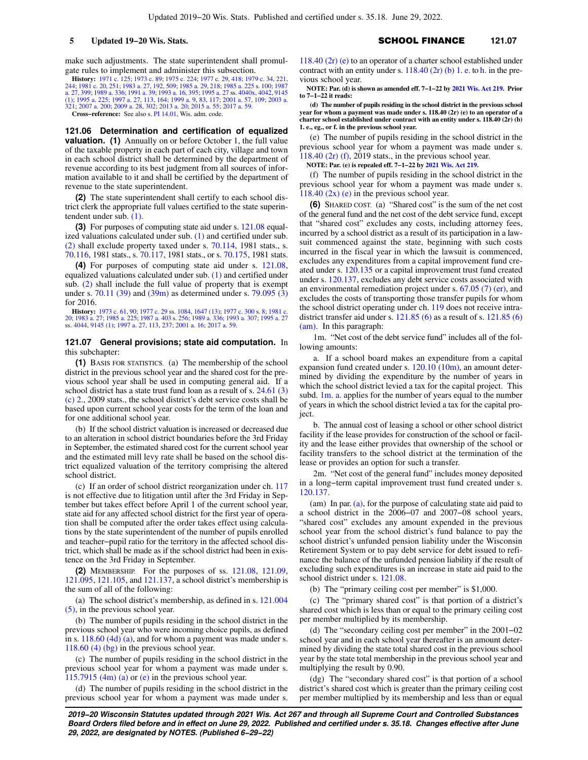make such adjustments. The state superintendent shall promulgate rules to implement and administer this subsection.

**History:** [1971 c. 125;](https://docs.legis.wisconsin.gov/document/acts/1971/125) [1973 c. 89;](https://docs.legis.wisconsin.gov/document/acts/1973/89) [1975 c. 224;](https://docs.legis.wisconsin.gov/document/acts/1975/224) [1977 c. 29,](https://docs.legis.wisconsin.gov/document/acts/1977/29) [418;](https://docs.legis.wisconsin.gov/document/acts/1977/418) [1979 c. 34](https://docs.legis.wisconsin.gov/document/acts/1979/34), [221](https://docs.legis.wisconsin.gov/document/acts/1979/221), [244](https://docs.legis.wisconsin.gov/document/acts/1979/244); [1981 c. 20](https://docs.legis.wisconsin.gov/document/acts/1981/20), [251](https://docs.legis.wisconsin.gov/document/acts/1981/251); [1983 a. 27](https://docs.legis.wisconsin.gov/document/acts/1983/27), [192,](https://docs.legis.wisconsin.gov/document/acts/1983/192) [509;](https://docs.legis.wisconsin.gov/document/acts/1983/509) [1985 a. 29,](https://docs.legis.wisconsin.gov/document/acts/1985/29) [218](https://docs.legis.wisconsin.gov/document/acts/1985/218); [1985 a. 225](https://docs.legis.wisconsin.gov/document/acts/1985/225) s. [100;](https://docs.legis.wisconsin.gov/document/acts/1985/225,%20s.%20100) [1987](https://docs.legis.wisconsin.gov/document/acts/1987/27) [a. 27,](https://docs.legis.wisconsin.gov/document/acts/1987/27) [399;](https://docs.legis.wisconsin.gov/document/acts/1987/399) [1989 a. 336;](https://docs.legis.wisconsin.gov/document/acts/1989/336) [1991 a. 39;](https://docs.legis.wisconsin.gov/document/acts/1991/39) [1993 a. 16](https://docs.legis.wisconsin.gov/document/acts/1993/16), [395;](https://docs.legis.wisconsin.gov/document/acts/1993/395) [1995 a. 27](https://docs.legis.wisconsin.gov/document/acts/1995/27) ss. [4040x,](https://docs.legis.wisconsin.gov/document/acts/1995/27,%20s.%204040x) [4042,](https://docs.legis.wisconsin.gov/document/acts/1995/27,%20s.%204042) [9145](https://docs.legis.wisconsin.gov/document/acts/1995/27,%20s.%209145) [\(1\);](https://docs.legis.wisconsin.gov/document/acts/1995/27,%20s.%209145) [1995 a. 225;](https://docs.legis.wisconsin.gov/document/acts/1995/225) [1997 a. 27](https://docs.legis.wisconsin.gov/document/acts/1997/27), [113,](https://docs.legis.wisconsin.gov/document/acts/1997/113) [164](https://docs.legis.wisconsin.gov/document/acts/1997/164); [1999 a. 9,](https://docs.legis.wisconsin.gov/document/acts/1999/9) [83](https://docs.legis.wisconsin.gov/document/acts/1999/83), [117](https://docs.legis.wisconsin.gov/document/acts/1999/117); [2001 a. 57,](https://docs.legis.wisconsin.gov/document/acts/2001/57) [109;](https://docs.legis.wisconsin.gov/document/acts/2001/109) [2003 a.](https://docs.legis.wisconsin.gov/document/acts/2003/321) [321](https://docs.legis.wisconsin.gov/document/acts/2003/321); [2007 a. 200;](https://docs.legis.wisconsin.gov/document/acts/2007/200) [2009 a. 28](https://docs.legis.wisconsin.gov/document/acts/2009/28), [302](https://docs.legis.wisconsin.gov/document/acts/2009/302); [2013 a. 20](https://docs.legis.wisconsin.gov/document/acts/2013/20); [2015 a. 55;](https://docs.legis.wisconsin.gov/document/acts/2015/55) [2017 a. 59.](https://docs.legis.wisconsin.gov/document/acts/2017/59)

**Cross−reference:** See also s. [PI 14.01,](https://docs.legis.wisconsin.gov/document/administrativecode/PI%2014.01) Wis. adm. code.

**121.06 Determination and certification of equalized valuation.** (1) Annually on or before October 1, the full value of the taxable property in each part of each city, village and town in each school district shall be determined by the department of revenue according to its best judgment from all sources of information available to it and shall be certified by the department of revenue to the state superintendent.

**(2)** The state superintendent shall certify to each school district clerk the appropriate full values certified to the state superintendent under sub. [\(1\)](https://docs.legis.wisconsin.gov/document/statutes/121.06(1)).

**(3)** For purposes of computing state aid under s. [121.08](https://docs.legis.wisconsin.gov/document/statutes/121.08) equalized valuations calculated under sub. [\(1\)](https://docs.legis.wisconsin.gov/document/statutes/121.06(1)) and certified under sub. [\(2\)](https://docs.legis.wisconsin.gov/document/statutes/121.06(2)) shall exclude property taxed under s. [70.114,](https://docs.legis.wisconsin.gov/document/statutes/1981/70.114) 1981 stats., s. [70.116](https://docs.legis.wisconsin.gov/document/statutes/1981/70.116), 1981 stats., s. [70.117](https://docs.legis.wisconsin.gov/document/statutes/1981/70.117), 1981 stats., or s. [70.175,](https://docs.legis.wisconsin.gov/document/statutes/1981/70.175) 1981 stats.

**(4)** For purposes of computing state aid under s. [121.08,](https://docs.legis.wisconsin.gov/document/statutes/121.08) equalized valuations calculated under sub. [\(1\)](https://docs.legis.wisconsin.gov/document/statutes/121.06(1)) and certified under sub. [\(2\)](https://docs.legis.wisconsin.gov/document/statutes/121.06(2)) shall include the full value of property that is exempt under s. [70.11 \(39\)](https://docs.legis.wisconsin.gov/document/statutes/70.11(39)) and [\(39m\)](https://docs.legis.wisconsin.gov/document/statutes/70.11(39m)) as determined under s. [79.095 \(3\)](https://docs.legis.wisconsin.gov/document/statutes/79.095(3)) for 2016.

**History:** [1973 c. 61,](https://docs.legis.wisconsin.gov/document/acts/1973/61) [90](https://docs.legis.wisconsin.gov/document/acts/1973/90); [1977 c. 29](https://docs.legis.wisconsin.gov/document/acts/1977/29) ss. [1084,](https://docs.legis.wisconsin.gov/document/acts/1977/29,%20s.%201084) [1647 \(13\)](https://docs.legis.wisconsin.gov/document/acts/1977/29,%20s.%201647); [1977 c. 300](https://docs.legis.wisconsin.gov/document/acts/1977/300) s. [8](https://docs.legis.wisconsin.gov/document/acts/1977/300,%20s.%208); [1981 c.](https://docs.legis.wisconsin.gov/document/acts/1981/20) [20;](https://docs.legis.wisconsin.gov/document/acts/1981/20) [1983 a. 27;](https://docs.legis.wisconsin.gov/document/acts/1983/27) [1985 a. 225;](https://docs.legis.wisconsin.gov/document/acts/1985/225) [1987 a. 403](https://docs.legis.wisconsin.gov/document/acts/1987/403) s. [256](https://docs.legis.wisconsin.gov/document/acts/1987/403,%20s.%20256); [1989 a. 336](https://docs.legis.wisconsin.gov/document/acts/1989/336); [1993 a. 307;](https://docs.legis.wisconsin.gov/document/acts/1993/307) [1995 a. 27](https://docs.legis.wisconsin.gov/document/acts/1995/27) ss. [4044,](https://docs.legis.wisconsin.gov/document/acts/1995/27,%20s.%204044) [9145 \(1\)](https://docs.legis.wisconsin.gov/document/acts/1995/27,%20s.%209145); [1997 a. 27](https://docs.legis.wisconsin.gov/document/acts/1997/27), [113](https://docs.legis.wisconsin.gov/document/acts/1997/113), [237](https://docs.legis.wisconsin.gov/document/acts/1997/237); [2001 a. 16](https://docs.legis.wisconsin.gov/document/acts/2001/16); [2017 a. 59.](https://docs.legis.wisconsin.gov/document/acts/2017/59)

**121.07 General provisions; state aid computation.** In this subchapter:

**(1)** BASIS FOR STATISTICS. (a) The membership of the school district in the previous school year and the shared cost for the previous school year shall be used in computing general aid. If a school district has a state trust fund loan as a result of s. [24.61 \(3\)](https://docs.legis.wisconsin.gov/document/statutes/2009/24.61(3)(c)2.) [\(c\) 2.,](https://docs.legis.wisconsin.gov/document/statutes/2009/24.61(3)(c)2.) 2009 stats., the school district's debt service costs shall be based upon current school year costs for the term of the loan and for one additional school year.

(b) If the school district valuation is increased or decreased due to an alteration in school district boundaries before the 3rd Friday in September, the estimated shared cost for the current school year and the estimated mill levy rate shall be based on the school district equalized valuation of the territory comprising the altered school district.

(c) If an order of school district reorganization under ch. [117](https://docs.legis.wisconsin.gov/document/statutes/ch.%20117) is not effective due to litigation until after the 3rd Friday in September but takes effect before April 1 of the current school year, state aid for any affected school district for the first year of operation shall be computed after the order takes effect using calculations by the state superintendent of the number of pupils enrolled and teacher−pupil ratio for the territory in the affected school district, which shall be made as if the school district had been in existence on the 3rd Friday in September.

**(2)** MEMBERSHIP. For the purposes of ss. [121.08,](https://docs.legis.wisconsin.gov/document/statutes/121.08) [121.09,](https://docs.legis.wisconsin.gov/document/statutes/121.09) [121.095](https://docs.legis.wisconsin.gov/document/statutes/121.095), [121.105,](https://docs.legis.wisconsin.gov/document/statutes/121.105) and [121.137](https://docs.legis.wisconsin.gov/document/statutes/121.137), a school district's membership is the sum of all of the following:

(a) The school district's membership, as defined in s. [121.004](https://docs.legis.wisconsin.gov/document/statutes/121.004(5)) [\(5\)](https://docs.legis.wisconsin.gov/document/statutes/121.004(5)), in the previous school year.

(b) The number of pupils residing in the school district in the previous school year who were incoming choice pupils, as defined in s. [118.60 \(4d\) \(a\)](https://docs.legis.wisconsin.gov/document/statutes/118.60(4d)(a)), and for whom a payment was made under s. [118.60 \(4\) \(bg\)](https://docs.legis.wisconsin.gov/document/statutes/118.60(4)(bg)) in the previous school year.

(c) The number of pupils residing in the school district in the previous school year for whom a payment was made under s. 115.7915  $(4m)$  (a) or [\(e\)](https://docs.legis.wisconsin.gov/document/statutes/115.7915(4m)(e)) in the previous school year.

(d) The number of pupils residing in the school district in the previous school year for whom a payment was made under s. [118.40 \(2r\) \(e\)](https://docs.legis.wisconsin.gov/document/statutes/118.40(2r)(e)) to an operator of a charter school established under contract with an entity under s.  $118.40$  (2r) (b) 1. e. to [h.](https://docs.legis.wisconsin.gov/document/statutes/118.40(2r)(b)1.h.) in the previous school year.

**NOTE: Par. (d) is shown as amended eff. 7−1−22 by [2021 Wis. Act 219.](https://docs.legis.wisconsin.gov/document/acts/2021/219) Prior to 7−1−22 it reads:**

**(d) The number of pupils residing in the school district in the previous school year for whom a payment was made under s. 118.40 (2r) (e) to an operator of a charter school established under contract with an entity under s. 118.40 (2r) (b) 1. e., eg., or f. in the previous school year.**

(e) The number of pupils residing in the school district in the previous school year for whom a payment was made under s. [118.40 \(2r\) \(f\),](https://docs.legis.wisconsin.gov/document/statutes/2019/118.40(2r)(f)) 2019 stats., in the previous school year.

**NOTE: Par. (e) is repealed eff. 7−1−22 by [2021 Wis. Act 219.](https://docs.legis.wisconsin.gov/document/acts/2021/219)**

(f) The number of pupils residing in the school district in the previous school year for whom a payment was made under s. 118.40  $(2x)$  (e) in the previous school year.

**(6)** SHARED COST. (a) "Shared cost" is the sum of the net cost of the general fund and the net cost of the debt service fund, except that "shared cost" excludes any costs, including attorney fees, incurred by a school district as a result of its participation in a lawsuit commenced against the state, beginning with such costs incurred in the fiscal year in which the lawsuit is commenced, excludes any expenditures from a capital improvement fund created under s. [120.135](https://docs.legis.wisconsin.gov/document/statutes/120.135) or a capital improvement trust fund created under s. [120.137,](https://docs.legis.wisconsin.gov/document/statutes/120.137) excludes any debt service costs associated with an environmental remediation project under s. [67.05 \(7\) \(er\),](https://docs.legis.wisconsin.gov/document/statutes/67.05(7)(er)) and excludes the costs of transporting those transfer pupils for whom the school district operating under ch. [119](https://docs.legis.wisconsin.gov/document/statutes/ch.%20119) does not receive intradistrict transfer aid under s.  $121.85(6)$  as a result of s.  $121.85(6)$ [\(am\)](https://docs.legis.wisconsin.gov/document/statutes/121.85(6)(am)). In this paragraph:

1m. "Net cost of the debt service fund" includes all of the following amounts:

a. If a school board makes an expenditure from a capital expansion fund created under s. [120.10 \(10m\)](https://docs.legis.wisconsin.gov/document/statutes/120.10(10m)), an amount determined by dividing the expenditure by the number of years in which the school district levied a tax for the capital project. This subd. [1m. a.](https://docs.legis.wisconsin.gov/document/statutes/121.07(6)(a)1m.a.) applies for the number of years equal to the number of years in which the school district levied a tax for the capital project.

b. The annual cost of leasing a school or other school district facility if the lease provides for construction of the school or facility and the lease either provides that ownership of the school or facility transfers to the school district at the termination of the lease or provides an option for such a transfer.

2m. "Net cost of the general fund" includes money deposited in a long−term capital improvement trust fund created under s. [120.137](https://docs.legis.wisconsin.gov/document/statutes/120.137).

(am) In par. [\(a\)](https://docs.legis.wisconsin.gov/document/statutes/121.07(6)(a)), for the purpose of calculating state aid paid to a school district in the 2006−07 and 2007−08 school years, "shared cost" excludes any amount expended in the previous school year from the school district's fund balance to pay the school district's unfunded pension liability under the Wisconsin Retirement System or to pay debt service for debt issued to refinance the balance of the unfunded pension liability if the result of excluding such expenditures is an increase in state aid paid to the school district under s. [121.08](https://docs.legis.wisconsin.gov/document/statutes/121.08).

(b) The "primary ceiling cost per member" is \$1,000.

(c) The "primary shared cost" is that portion of a district's shared cost which is less than or equal to the primary ceiling cost per member multiplied by its membership.

(d) The "secondary ceiling cost per member" in the 2001−02 school year and in each school year thereafter is an amount determined by dividing the state total shared cost in the previous school year by the state total membership in the previous school year and multiplying the result by 0.90.

(dg) The "secondary shared cost" is that portion of a school district's shared cost which is greater than the primary ceiling cost per member multiplied by its membership and less than or equal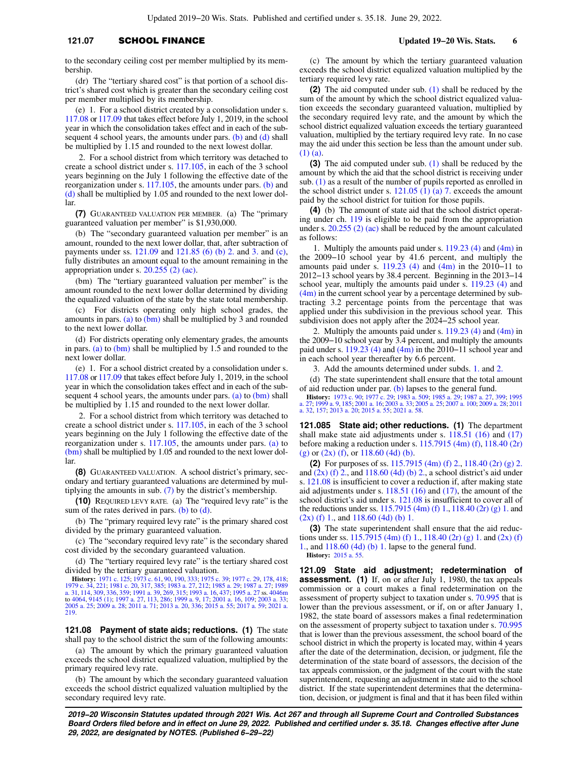## **121.07 SCHOOL FINANCE b 121.07** Updated 19−20 Wis. Stats. 6

to the secondary ceiling cost per member multiplied by its membership.

(dr) The "tertiary shared cost" is that portion of a school district's shared cost which is greater than the secondary ceiling cost per member multiplied by its membership.

(e) 1. For a school district created by a consolidation under s. [117.08](https://docs.legis.wisconsin.gov/document/statutes/117.08) or [117.09](https://docs.legis.wisconsin.gov/document/statutes/117.09) that takes effect before July 1, 2019, in the school year in which the consolidation takes effect and in each of the sub-sequent 4 school years, the amounts under pars. [\(b\)](https://docs.legis.wisconsin.gov/document/statutes/121.07(6)(b)) and [\(d\)](https://docs.legis.wisconsin.gov/document/statutes/121.07(6)(d)) shall be multiplied by 1.15 and rounded to the next lowest dollar.

2. For a school district from which territory was detached to create a school district under s. [117.105,](https://docs.legis.wisconsin.gov/document/statutes/117.105) in each of the 3 school years beginning on the July 1 following the effective date of the reorganization under s. [117.105,](https://docs.legis.wisconsin.gov/document/statutes/117.105) the amounts under pars. [\(b\)](https://docs.legis.wisconsin.gov/document/statutes/121.07(6)(b)) and [\(d\)](https://docs.legis.wisconsin.gov/document/statutes/121.07(6)(d)) shall be multiplied by 1.05 and rounded to the next lower dollar.

**(7)** GUARANTEED VALUATION PER MEMBER. (a) The "primary guaranteed valuation per member" is \$1,930,000.

(b) The "secondary guaranteed valuation per member" is an amount, rounded to the next lower dollar, that, after subtraction of payments under ss. [121.09](https://docs.legis.wisconsin.gov/document/statutes/121.09) and [121.85 \(6\) \(b\) 2.](https://docs.legis.wisconsin.gov/document/statutes/121.85(6)(b)2.) and [3.](https://docs.legis.wisconsin.gov/document/statutes/121.85(6)(b)3.) and [\(c\),](https://docs.legis.wisconsin.gov/document/statutes/121.85(6)(c)) fully distributes an amount equal to the amount remaining in the appropriation under s. [20.255 \(2\) \(ac\).](https://docs.legis.wisconsin.gov/document/statutes/20.255(2)(ac))

(bm) The "tertiary guaranteed valuation per member" is the amount rounded to the next lower dollar determined by dividing the equalized valuation of the state by the state total membership.

(c) For districts operating only high school grades, the amounts in pars. [\(a\)](https://docs.legis.wisconsin.gov/document/statutes/121.07(7)(a)) to  $(bm)$  shall be multiplied by 3 and rounded to the next lower dollar.

(d) For districts operating only elementary grades, the amounts in pars. [\(a\)](https://docs.legis.wisconsin.gov/document/statutes/121.07(7)(a)) to  $(bm)$  shall be multiplied by 1.5 and rounded to the next lower dollar.

(e) 1. For a school district created by a consolidation under s. [117.08](https://docs.legis.wisconsin.gov/document/statutes/117.08) or [117.09](https://docs.legis.wisconsin.gov/document/statutes/117.09) that takes effect before July 1, 2019, in the school year in which the consolidation takes effect and in each of the sub-sequent 4 school years, the amounts under pars. [\(a\)](https://docs.legis.wisconsin.gov/document/statutes/121.07(7)(a)) to [\(bm\)](https://docs.legis.wisconsin.gov/document/statutes/121.07(7)(bm)) shall be multiplied by 1.15 and rounded to the next lower dollar.

2. For a school district from which territory was detached to create a school district under s. [117.105,](https://docs.legis.wisconsin.gov/document/statutes/117.105) in each of the 3 school years beginning on the July 1 following the effective date of the reorganization under s. [117.105,](https://docs.legis.wisconsin.gov/document/statutes/117.105) the amounts under pars. [\(a\)](https://docs.legis.wisconsin.gov/document/statutes/121.07(7)(a)) to [\(bm\)](https://docs.legis.wisconsin.gov/document/statutes/121.07(7)(bm)) shall be multiplied by 1.05 and rounded to the next lower dollar.

**(8)** GUARANTEED VALUATION. A school district's primary, secondary and tertiary guaranteed valuations are determined by multiplying the amounts in sub. [\(7\)](https://docs.legis.wisconsin.gov/document/statutes/121.07(7)) by the district's membership.

**(10)** REQUIRED LEVY RATE. (a) The "required levy rate" is the sum of the rates derived in pars. [\(b\)](https://docs.legis.wisconsin.gov/document/statutes/121.07(10)(b)) to  $(d)$ .

(b) The "primary required levy rate" is the primary shared cost divided by the primary guaranteed valuation.

(c) The "secondary required levy rate" is the secondary shared cost divided by the secondary guaranteed valuation.

(d) The "tertiary required levy rate" is the tertiary shared cost divided by the tertiary guaranteed valuation.

**History:** [1971 c. 125](https://docs.legis.wisconsin.gov/document/acts/1971/125); [1973 c. 61,](https://docs.legis.wisconsin.gov/document/acts/1973/61) [90](https://docs.legis.wisconsin.gov/document/acts/1973/90), [190,](https://docs.legis.wisconsin.gov/document/acts/1973/190) [333;](https://docs.legis.wisconsin.gov/document/acts/1973/333) [1975 c. 39](https://docs.legis.wisconsin.gov/document/acts/1975/39); [1977 c. 29](https://docs.legis.wisconsin.gov/document/acts/1977/29), [178](https://docs.legis.wisconsin.gov/document/acts/1977/178), [418](https://docs.legis.wisconsin.gov/document/acts/1977/418);<br>[1979 c. 34,](https://docs.legis.wisconsin.gov/document/acts/1979/34) [221;](https://docs.legis.wisconsin.gov/document/acts/1979/221) [1981 c. 20](https://docs.legis.wisconsin.gov/document/acts/1981/20), [317](https://docs.legis.wisconsin.gov/document/acts/1981/317), [385;](https://docs.legis.wisconsin.gov/document/acts/1981/385) [1983 a. 27](https://docs.legis.wisconsin.gov/document/acts/1983/27), [212](https://docs.legis.wisconsin.gov/document/acts/1983/212); [1985 a. 29;](https://docs.legis.wisconsin.gov/document/acts/1985/29) [1987 a. 27;](https://docs.legis.wisconsin.gov/document/acts/1987/27) [1989](https://docs.legis.wisconsin.gov/document/acts/1989/31)<br>[a. 31,](https://docs.legis.wisconsin.gov/document/acts/1989/31) [114](https://docs.legis.wisconsin.gov/document/acts/1989/114), [309,](https://docs.legis.wisconsin.gov/document/acts/1989/309) [336](https://docs.legis.wisconsin.gov/document/acts/1989/336), [359;](https://docs.legis.wisconsin.gov/document/acts/1989/359) [1991 a. 39,](https://docs.legis.wisconsin.gov/document/acts/1991/39) [269](https://docs.legis.wisconsin.gov/document/acts/1991/269), [315;](https://docs.legis.wisconsin.gov/document/acts/1991/315) 1993 to [4064](https://docs.legis.wisconsin.gov/document/acts/1995/27,%20s.%204064), [9145 \(1\);](https://docs.legis.wisconsin.gov/document/acts/1995/27,%20s.%209145) [1997 a. 27,](https://docs.legis.wisconsin.gov/document/acts/1997/27) [113](https://docs.legis.wisconsin.gov/document/acts/1997/113), [286;](https://docs.legis.wisconsin.gov/document/acts/1997/286) [1999 a. 9](https://docs.legis.wisconsin.gov/document/acts/1999/9), [17;](https://docs.legis.wisconsin.gov/document/acts/1999/17) [2001 a. 16,](https://docs.legis.wisconsin.gov/document/acts/2001/16) [109;](https://docs.legis.wisconsin.gov/document/acts/2001/109) [2003 a. 33](https://docs.legis.wisconsin.gov/document/acts/2003/33); [2005 a. 25](https://docs.legis.wisconsin.gov/document/acts/2005/25); [2009 a. 28](https://docs.legis.wisconsin.gov/document/acts/2009/28); [2011 a. 71;](https://docs.legis.wisconsin.gov/document/acts/2011/71) [2013 a. 20,](https://docs.legis.wisconsin.gov/document/acts/2013/20) [336;](https://docs.legis.wisconsin.gov/document/acts/2013/336) [2015 a. 55;](https://docs.legis.wisconsin.gov/document/acts/2015/55) [2017 a. 59;](https://docs.legis.wisconsin.gov/document/acts/2017/59) [2021 a.](https://docs.legis.wisconsin.gov/document/acts/2021/219) [219](https://docs.legis.wisconsin.gov/document/acts/2021/219).

**121.08 Payment of state aids; reductions. (1)** The state shall pay to the school district the sum of the following amounts:

(a) The amount by which the primary guaranteed valuation exceeds the school district equalized valuation, multiplied by the primary required levy rate.

(b) The amount by which the secondary guaranteed valuation exceeds the school district equalized valuation multiplied by the secondary required levy rate.

(c) The amount by which the tertiary guaranteed valuation exceeds the school district equalized valuation multiplied by the tertiary required levy rate.

**(2)** The aid computed under sub. [\(1\)](https://docs.legis.wisconsin.gov/document/statutes/121.08(1)) shall be reduced by the sum of the amount by which the school district equalized valuation exceeds the secondary guaranteed valuation, multiplied by the secondary required levy rate, and the amount by which the school district equalized valuation exceeds the tertiary guaranteed valuation, multiplied by the tertiary required levy rate. In no case may the aid under this section be less than the amount under sub. [\(1\) \(a\).](https://docs.legis.wisconsin.gov/document/statutes/121.08(1)(a))

**(3)** The aid computed under sub. [\(1\)](https://docs.legis.wisconsin.gov/document/statutes/121.08(1)) shall be reduced by the amount by which the aid that the school district is receiving under sub. [\(1\)](https://docs.legis.wisconsin.gov/document/statutes/121.08(1)) as a result of the number of pupils reported as enrolled in the school district under s.  $121.05$  (1) (a) 7. exceeds the amount paid by the school district for tuition for those pupils.

**(4)** (b) The amount of state aid that the school district operating under ch. [119](https://docs.legis.wisconsin.gov/document/statutes/ch.%20119) is eligible to be paid from the appropriation under s. [20.255 \(2\) \(ac\)](https://docs.legis.wisconsin.gov/document/statutes/20.255(2)(ac)) shall be reduced by the amount calculated as follows:

1. Multiply the amounts paid under s. [119.23 \(4\)](https://docs.legis.wisconsin.gov/document/statutes/119.23(4)) and [\(4m\)](https://docs.legis.wisconsin.gov/document/statutes/119.23(4m)) in the 2009−10 school year by 41.6 percent, and multiply the amounts paid under s. [119.23 \(4\)](https://docs.legis.wisconsin.gov/document/statutes/119.23(4)) and  $(4m)$  in the 2010–11 to 2012−13 school years by 38.4 percent. Beginning in the 2013−14 school year, multiply the amounts paid under s. [119.23 \(4\)](https://docs.legis.wisconsin.gov/document/statutes/119.23(4)) and  $(4m)$  in the current school year by a percentage determined by subtracting 3.2 percentage points from the percentage that was applied under this subdivision in the previous school year. This subdivision does not apply after the 2024−25 school year.

2. Multiply the amounts paid under s.  $119.23$  (4) and [\(4m\)](https://docs.legis.wisconsin.gov/document/statutes/119.23(4m)) in the 2009−10 school year by 3.4 percent, and multiply the amounts paid under s.  $119.23$  (4) and [\(4m\)](https://docs.legis.wisconsin.gov/document/statutes/119.23(4m)) in the 2010–11 school year and in each school year thereafter by 6.6 percent.

3. Add the amounts determined under subds. [1.](https://docs.legis.wisconsin.gov/document/statutes/121.08(4)(b)1.) and [2.](https://docs.legis.wisconsin.gov/document/statutes/121.08(4)(b)2.)

(d) The state superintendent shall ensure that the total amount of aid reduction under par.  $(b)$  lapses to the general fund.

**History:** [1973 c. 90;](https://docs.legis.wisconsin.gov/document/acts/1973/90) [1977 c. 29;](https://docs.legis.wisconsin.gov/document/acts/1977/29) [1983 a. 509](https://docs.legis.wisconsin.gov/document/acts/1983/509); [1985 a. 29](https://docs.legis.wisconsin.gov/document/acts/1985/29); [1987 a. 27,](https://docs.legis.wisconsin.gov/document/acts/1987/27) [399;](https://docs.legis.wisconsin.gov/document/acts/1987/399) [1995](https://docs.legis.wisconsin.gov/document/acts/1995/27) [a. 27](https://docs.legis.wisconsin.gov/document/acts/1995/27); [1999 a. 9](https://docs.legis.wisconsin.gov/document/acts/1999/9), [185;](https://docs.legis.wisconsin.gov/document/acts/1999/185) [2001 a. 16;](https://docs.legis.wisconsin.gov/document/acts/2001/16) [2003 a. 33](https://docs.legis.wisconsin.gov/document/acts/2003/33); [2005 a. 25;](https://docs.legis.wisconsin.gov/document/acts/2005/25) [2007 a. 100;](https://docs.legis.wisconsin.gov/document/acts/2007/100) [2009 a. 28](https://docs.legis.wisconsin.gov/document/acts/2009/28); [2011](https://docs.legis.wisconsin.gov/document/acts/2011/32) [a. 32,](https://docs.legis.wisconsin.gov/document/acts/2011/32) [157;](https://docs.legis.wisconsin.gov/document/acts/2011/157) [2013 a. 20;](https://docs.legis.wisconsin.gov/document/acts/2013/20) [2015 a. 55](https://docs.legis.wisconsin.gov/document/acts/2015/55); [2021 a. 58](https://docs.legis.wisconsin.gov/document/acts/2021/58).

**121.085 State aid; other reductions. (1)** The department shall make state aid adjustments under s. [118.51 \(16\)](https://docs.legis.wisconsin.gov/document/statutes/118.51(16)) and [\(17\)](https://docs.legis.wisconsin.gov/document/statutes/118.51(17)) before making a reduction under s. [115.7915 \(4m\) \(f\)](https://docs.legis.wisconsin.gov/document/statutes/115.7915(4m)(f)), [118.40 \(2r\)](https://docs.legis.wisconsin.gov/document/statutes/118.40(2r)(g)) [\(g\)](https://docs.legis.wisconsin.gov/document/statutes/118.40(2r)(g)) or  $(2x)$  (f), or  $118.60$  (4d) (b).

**(2)** For purposes of ss. [115.7915 \(4m\) \(f\) 2.](https://docs.legis.wisconsin.gov/document/statutes/115.7915(4m)(f)2.), [118.40 \(2r\) \(g\) 2.](https://docs.legis.wisconsin.gov/document/statutes/118.40(2r)(g)2.) and  $(2x)$  (f) 2., and [118.60 \(4d\) \(b\) 2.,](https://docs.legis.wisconsin.gov/document/statutes/118.60(4d)(b)2.) a school district's aid under s. [121.08](https://docs.legis.wisconsin.gov/document/statutes/121.08) is insufficient to cover a reduction if, after making state aid adjustments under s. [118.51 \(16\)](https://docs.legis.wisconsin.gov/document/statutes/118.51(16)) and [\(17\)](https://docs.legis.wisconsin.gov/document/statutes/118.51(17)), the amount of the school district's aid under s. [121.08](https://docs.legis.wisconsin.gov/document/statutes/121.08) is insufficient to cover all of the reductions under ss. [115.7915 \(4m\) \(f\) 1.,](https://docs.legis.wisconsin.gov/document/statutes/115.7915(4m)(f)1.) [118.40 \(2r\) \(g\) 1.](https://docs.legis.wisconsin.gov/document/statutes/118.40(2r)(g)1.) and  $(2x)$  (f) 1., and [118.60 \(4d\) \(b\) 1.](https://docs.legis.wisconsin.gov/document/statutes/118.60(4d)(b)1.)

**(3)** The state superintendent shall ensure that the aid reductions under ss. [115.7915 \(4m\) \(f\) 1.](https://docs.legis.wisconsin.gov/document/statutes/115.7915(4m)(f)1.), [118.40 \(2r\) \(g\) 1.](https://docs.legis.wisconsin.gov/document/statutes/118.40(2r)(g)1.) and [\(2x\) \(f\)](https://docs.legis.wisconsin.gov/document/statutes/118.40(2x)(f)1.) [1.,](https://docs.legis.wisconsin.gov/document/statutes/118.40(2x)(f)1.) and [118.60 \(4d\) \(b\) 1.](https://docs.legis.wisconsin.gov/document/statutes/118.60(4d)(b)1.) lapse to the general fund. **History:** [2015 a. 55](https://docs.legis.wisconsin.gov/document/acts/2015/55).

**121.09 State aid adjustment; redetermination of assessment. (1)** If, on or after July 1, 1980, the tax appeals commission or a court makes a final redetermination on the assessment of property subject to taxation under s. [70.995](https://docs.legis.wisconsin.gov/document/statutes/70.995) that is lower than the previous assessment, or if, on or after January 1, 1982, the state board of assessors makes a final redetermination on the assessment of property subject to taxation under s. [70.995](https://docs.legis.wisconsin.gov/document/statutes/70.995) that is lower than the previous assessment, the school board of the school district in which the property is located may, within 4 years after the date of the determination, decision, or judgment, file the determination of the state board of assessors, the decision of the tax appeals commission, or the judgment of the court with the state superintendent, requesting an adjustment in state aid to the school district. If the state superintendent determines that the determination, decision, or judgment is final and that it has been filed within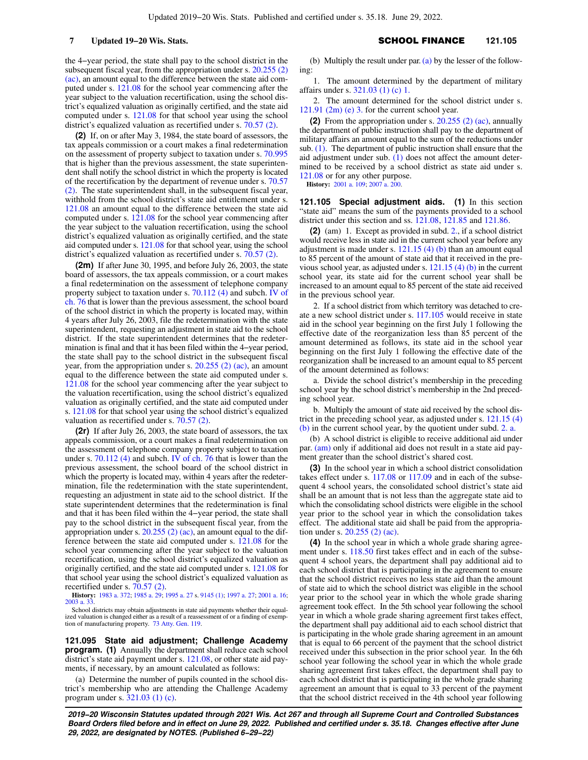the 4−year period, the state shall pay to the school district in the subsequent fiscal year, from the appropriation under s. [20.255 \(2\)](https://docs.legis.wisconsin.gov/document/statutes/20.255(2)(ac)) [\(ac\),](https://docs.legis.wisconsin.gov/document/statutes/20.255(2)(ac)) an amount equal to the difference between the state aid computed under s. [121.08](https://docs.legis.wisconsin.gov/document/statutes/121.08) for the school year commencing after the year subject to the valuation recertification, using the school district's equalized valuation as originally certified, and the state aid computed under s. [121.08](https://docs.legis.wisconsin.gov/document/statutes/121.08) for that school year using the school district's equalized valuation as recertified under s. [70.57 \(2\)](https://docs.legis.wisconsin.gov/document/statutes/70.57(2)).

**(2)** If, on or after May 3, 1984, the state board of assessors, the tax appeals commission or a court makes a final redetermination on the assessment of property subject to taxation under s. [70.995](https://docs.legis.wisconsin.gov/document/statutes/70.995) that is higher than the previous assessment, the state superintendent shall notify the school district in which the property is located of the recertification by the department of revenue under s. [70.57](https://docs.legis.wisconsin.gov/document/statutes/70.57(2)) [\(2\)](https://docs.legis.wisconsin.gov/document/statutes/70.57(2)). The state superintendent shall, in the subsequent fiscal year, withhold from the school district's state aid entitlement under s. [121.08](https://docs.legis.wisconsin.gov/document/statutes/121.08) an amount equal to the difference between the state aid computed under s. [121.08](https://docs.legis.wisconsin.gov/document/statutes/121.08) for the school year commencing after the year subject to the valuation recertification, using the school district's equalized valuation as originally certified, and the state aid computed under s. [121.08](https://docs.legis.wisconsin.gov/document/statutes/121.08) for that school year, using the school district's equalized valuation as recertified under s. [70.57 \(2\)](https://docs.legis.wisconsin.gov/document/statutes/70.57(2)).

**(2m)** If after June 30, 1995, and before July 26, 2003, the state board of assessors, the tax appeals commission, or a court makes a final redetermination on the assessment of telephone company property subject to taxation under s. [70.112 \(4\)](https://docs.legis.wisconsin.gov/document/statutes/70.112(4)) and subch. [IV of](https://docs.legis.wisconsin.gov/document/statutes/subch.%20IV%20of%20ch.%2076) [ch. 76](https://docs.legis.wisconsin.gov/document/statutes/subch.%20IV%20of%20ch.%2076) that is lower than the previous assessment, the school board of the school district in which the property is located may, within 4 years after July 26, 2003, file the redetermination with the state superintendent, requesting an adjustment in state aid to the school district. If the state superintendent determines that the redetermination is final and that it has been filed within the 4−year period, the state shall pay to the school district in the subsequent fiscal year, from the appropriation under s. [20.255 \(2\) \(ac\)](https://docs.legis.wisconsin.gov/document/statutes/20.255(2)(ac)), an amount equal to the difference between the state aid computed under s. [121.08](https://docs.legis.wisconsin.gov/document/statutes/121.08) for the school year commencing after the year subject to the valuation recertification, using the school district's equalized valuation as originally certified, and the state aid computed under s. [121.08](https://docs.legis.wisconsin.gov/document/statutes/121.08) for that school year using the school district's equalized valuation as recertified under s. [70.57 \(2\)](https://docs.legis.wisconsin.gov/document/statutes/70.57(2)).

**(2r)** If after July 26, 2003, the state board of assessors, the tax appeals commission, or a court makes a final redetermination on the assessment of telephone company property subject to taxation under s. [70.112 \(4\)](https://docs.legis.wisconsin.gov/document/statutes/70.112(4)) and subch. [IV of ch. 76](https://docs.legis.wisconsin.gov/document/statutes/subch.%20IV%20of%20ch.%2076) that is lower than the previous assessment, the school board of the school district in which the property is located may, within 4 years after the redetermination, file the redetermination with the state superintendent, requesting an adjustment in state aid to the school district. If the state superintendent determines that the redetermination is final and that it has been filed within the 4−year period, the state shall pay to the school district in the subsequent fiscal year, from the appropriation under s.  $20.255$  (2) (ac), an amount equal to the difference between the state aid computed under s. [121.08](https://docs.legis.wisconsin.gov/document/statutes/121.08) for the school year commencing after the year subject to the valuation recertification, using the school district's equalized valuation as originally certified, and the state aid computed under s. [121.08](https://docs.legis.wisconsin.gov/document/statutes/121.08) for that school year using the school district's equalized valuation as recertified under s. [70.57 \(2\)](https://docs.legis.wisconsin.gov/document/statutes/70.57(2)).

**History:** [1983 a. 372;](https://docs.legis.wisconsin.gov/document/acts/1983/372) [1985 a. 29](https://docs.legis.wisconsin.gov/document/acts/1985/29); [1995 a. 27](https://docs.legis.wisconsin.gov/document/acts/1995/27) s. [9145 \(1\);](https://docs.legis.wisconsin.gov/document/acts/1995/27,%20s.%209145) [1997 a. 27](https://docs.legis.wisconsin.gov/document/acts/1997/27); [2001 a. 16](https://docs.legis.wisconsin.gov/document/acts/2001/16); 2003 a. 3

School districts may obtain adjustments in state aid payments whether their equalized valuation is changed either as a result of a reassessment of or a finding of exemption of manufacturing property. [73 Atty. Gen. 119.](https://docs.legis.wisconsin.gov/document/oag/vol73-119)

**121.095 State aid adjustment; Challenge Academy program. (1)** Annually the department shall reduce each school district's state aid payment under s. [121.08](https://docs.legis.wisconsin.gov/document/statutes/121.08), or other state aid payments, if necessary, by an amount calculated as follows:

(a) Determine the number of pupils counted in the school district's membership who are attending the Challenge Academy program under s. [321.03 \(1\) \(c\).](https://docs.legis.wisconsin.gov/document/statutes/321.03(1)(c))

(b) Multiply the result under par.  $(a)$  by the lesser of the following:

1. The amount determined by the department of military affairs under s. [321.03 \(1\) \(c\) 1.](https://docs.legis.wisconsin.gov/document/statutes/321.03(1)(c)1.)

2. The amount determined for the school district under s. 121.91  $(2m)$  (e) 3. for the current school year.

**(2)** From the appropriation under s. [20.255 \(2\) \(ac\),](https://docs.legis.wisconsin.gov/document/statutes/20.255(2)(ac)) annually the department of public instruction shall pay to the department of military affairs an amount equal to the sum of the reductions under sub. [\(1\).](https://docs.legis.wisconsin.gov/document/statutes/121.095(1)) The department of public instruction shall ensure that the aid adjustment under sub. [\(1\)](https://docs.legis.wisconsin.gov/document/statutes/121.095(1)) does not affect the amount determined to be received by a school district as state aid under s. [121.08](https://docs.legis.wisconsin.gov/document/statutes/121.08) or for any other purpose.

**History:** [2001 a. 109;](https://docs.legis.wisconsin.gov/document/acts/2001/109) [2007 a. 200](https://docs.legis.wisconsin.gov/document/acts/2007/200).

**121.105 Special adjustment aids. (1)** In this section "state aid" means the sum of the payments provided to a school district under this section and ss. [121.08](https://docs.legis.wisconsin.gov/document/statutes/121.08), [121.85](https://docs.legis.wisconsin.gov/document/statutes/121.85) and [121.86](https://docs.legis.wisconsin.gov/document/statutes/121.86).

**(2)** (am) 1. Except as provided in subd. [2.,](https://docs.legis.wisconsin.gov/document/statutes/121.105(2)(am)2.) if a school district would receive less in state aid in the current school year before any adjustment is made under s.  $121.15$  (4) (b) than an amount equal to 85 percent of the amount of state aid that it received in the previous school year, as adjusted under s. [121.15 \(4\) \(b\)](https://docs.legis.wisconsin.gov/document/statutes/121.15(4)(b)) in the current school year, its state aid for the current school year shall be increased to an amount equal to 85 percent of the state aid received in the previous school year.

2. If a school district from which territory was detached to create a new school district under s. [117.105](https://docs.legis.wisconsin.gov/document/statutes/117.105) would receive in state aid in the school year beginning on the first July 1 following the effective date of the reorganization less than 85 percent of the amount determined as follows, its state aid in the school year beginning on the first July 1 following the effective date of the reorganization shall be increased to an amount equal to 85 percent of the amount determined as follows:

a. Divide the school district's membership in the preceding school year by the school district's membership in the 2nd preceding school year.

b. Multiply the amount of state aid received by the school district in the preceding school year, as adjusted under s. [121.15 \(4\)](https://docs.legis.wisconsin.gov/document/statutes/121.15(4)(b)) [\(b\)](https://docs.legis.wisconsin.gov/document/statutes/121.15(4)(b)) in the current school year, by the quotient under subd. [2. a.](https://docs.legis.wisconsin.gov/document/statutes/121.105(2)(am)2.a.)

(b) A school district is eligible to receive additional aid under par. [\(am\)](https://docs.legis.wisconsin.gov/document/statutes/121.105(2)(am)) only if additional aid does not result in a state aid payment greater than the school district's shared cost.

**(3)** In the school year in which a school district consolidation takes effect under s. [117.08](https://docs.legis.wisconsin.gov/document/statutes/117.08) or [117.09](https://docs.legis.wisconsin.gov/document/statutes/117.09) and in each of the subsequent 4 school years, the consolidated school district's state aid shall be an amount that is not less than the aggregate state aid to which the consolidating school districts were eligible in the school year prior to the school year in which the consolidation takes effect. The additional state aid shall be paid from the appropriation under s. [20.255 \(2\) \(ac\)](https://docs.legis.wisconsin.gov/document/statutes/20.255(2)(ac)).

**(4)** In the school year in which a whole grade sharing agreement under s. [118.50](https://docs.legis.wisconsin.gov/document/statutes/118.50) first takes effect and in each of the subsequent 4 school years, the department shall pay additional aid to each school district that is participating in the agreement to ensure that the school district receives no less state aid than the amount of state aid to which the school district was eligible in the school year prior to the school year in which the whole grade sharing agreement took effect. In the 5th school year following the school year in which a whole grade sharing agreement first takes effect, the department shall pay additional aid to each school district that is participating in the whole grade sharing agreement in an amount that is equal to 66 percent of the payment that the school district received under this subsection in the prior school year. In the 6th school year following the school year in which the whole grade sharing agreement first takes effect, the department shall pay to each school district that is participating in the whole grade sharing agreement an amount that is equal to 33 percent of the payment that the school district received in the 4th school year following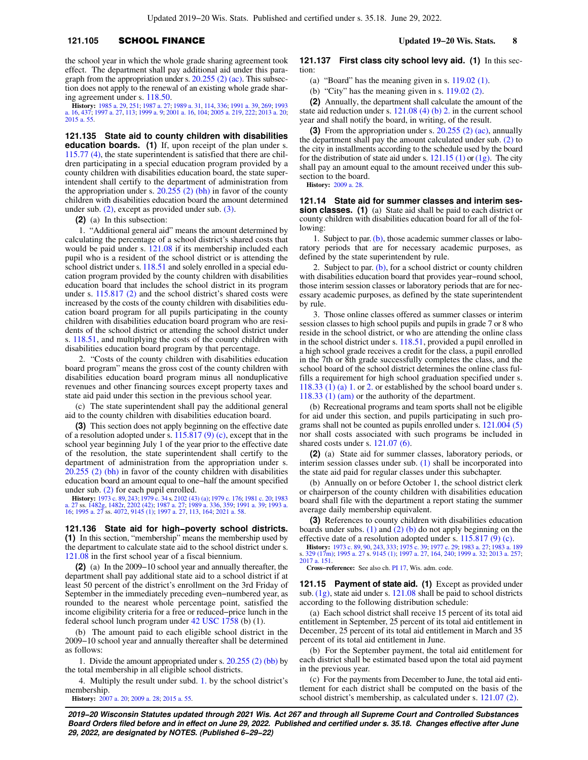## **121.105** SCHOOL FINANCE **Updated 19−20 Wis. Stats. 8**

the school year in which the whole grade sharing agreement took effect. The department shall pay additional aid under this paragraph from the appropriation under s. [20.255 \(2\) \(ac\)](https://docs.legis.wisconsin.gov/document/statutes/20.255(2)(ac)). This subsection does not apply to the renewal of an existing whole grade sharing agreement under s. [118.50](https://docs.legis.wisconsin.gov/document/statutes/118.50).

**History:** [1985 a. 29](https://docs.legis.wisconsin.gov/document/acts/1985/29), [251](https://docs.legis.wisconsin.gov/document/acts/1985/251); [1987 a. 27](https://docs.legis.wisconsin.gov/document/acts/1987/27); [1989 a. 31](https://docs.legis.wisconsin.gov/document/acts/1989/31), [114,](https://docs.legis.wisconsin.gov/document/acts/1989/114) [336;](https://docs.legis.wisconsin.gov/document/acts/1989/336) [1991 a. 39,](https://docs.legis.wisconsin.gov/document/acts/1991/39) [269;](https://docs.legis.wisconsin.gov/document/acts/1991/269) [1993](https://docs.legis.wisconsin.gov/document/acts/1993/16) [a. 16](https://docs.legis.wisconsin.gov/document/acts/1993/16), [437;](https://docs.legis.wisconsin.gov/document/acts/1993/437) [1997 a. 27](https://docs.legis.wisconsin.gov/document/acts/1997/27), [113;](https://docs.legis.wisconsin.gov/document/acts/1997/113) [1999 a. 9;](https://docs.legis.wisconsin.gov/document/acts/1999/9) [2001 a. 16](https://docs.legis.wisconsin.gov/document/acts/2001/16), [104](https://docs.legis.wisconsin.gov/document/acts/2001/104); [2005 a. 219,](https://docs.legis.wisconsin.gov/document/acts/2005/219) [222;](https://docs.legis.wisconsin.gov/document/acts/2005/222) [2013 a. 20](https://docs.legis.wisconsin.gov/document/acts/2013/20); [2015 a. 55](https://docs.legis.wisconsin.gov/document/acts/2015/55).

**121.135 State aid to county children with disabilities education boards.** (1) If, upon receipt of the plan under s. [115.77 \(4\),](https://docs.legis.wisconsin.gov/document/statutes/115.77(4)) the state superintendent is satisfied that there are children participating in a special education program provided by a county children with disabilities education board, the state superintendent shall certify to the department of administration from the appropriation under s.  $20.255$  (2) (bh) in favor of the county children with disabilities education board the amount determined under sub. [\(2\)](https://docs.legis.wisconsin.gov/document/statutes/121.135(2)), except as provided under sub. [\(3\).](https://docs.legis.wisconsin.gov/document/statutes/121.135(3))

**(2)** (a) In this subsection:

1. "Additional general aid" means the amount determined by calculating the percentage of a school district's shared costs that would be paid under s. [121.08](https://docs.legis.wisconsin.gov/document/statutes/121.08) if its membership included each pupil who is a resident of the school district or is attending the school district under s. [118.51](https://docs.legis.wisconsin.gov/document/statutes/118.51) and solely enrolled in a special education program provided by the county children with disabilities education board that includes the school district in its program under s. [115.817 \(2\)](https://docs.legis.wisconsin.gov/document/statutes/115.817(2)) and the school district's shared costs were increased by the costs of the county children with disabilities education board program for all pupils participating in the county children with disabilities education board program who are residents of the school district or attending the school district under s. [118.51,](https://docs.legis.wisconsin.gov/document/statutes/118.51) and multiplying the costs of the county children with disabilities education board program by that percentage.

2. "Costs of the county children with disabilities education board program" means the gross cost of the county children with disabilities education board program minus all nonduplicative revenues and other financing sources except property taxes and state aid paid under this section in the previous school year.

(c) The state superintendent shall pay the additional general aid to the county children with disabilities education board.

**(3)** This section does not apply beginning on the effective date of a resolution adopted under s.  $115.817(9)(c)$ , except that in the school year beginning July 1 of the year prior to the effective date of the resolution, the state superintendent shall certify to the department of administration from the appropriation under s. [20.255 \(2\) \(bh\)](https://docs.legis.wisconsin.gov/document/statutes/20.255(2)(bh)) in favor of the county children with disabilities education board an amount equal to one−half the amount specified under sub. [\(2\)](https://docs.legis.wisconsin.gov/document/statutes/121.135(2)) for each pupil enrolled.

**History:** [1973 c. 89](https://docs.legis.wisconsin.gov/document/acts/1973/89), [243](https://docs.legis.wisconsin.gov/document/acts/1973/243); [1979 c. 34](https://docs.legis.wisconsin.gov/document/acts/1979/34) s. [2102 \(43\) \(a\)](https://docs.legis.wisconsin.gov/document/acts/1979/34,%20s.%202102); [1979 c. 176;](https://docs.legis.wisconsin.gov/document/acts/1979/176) [1981 c. 20;](https://docs.legis.wisconsin.gov/document/acts/1981/20) [1983](https://docs.legis.wisconsin.gov/document/acts/1983/27)<br>[a. 27](https://docs.legis.wisconsin.gov/document/acts/1983/27) ss. [1482g](https://docs.legis.wisconsin.gov/document/acts/1983/27,%20s.%201482g), [1482r,](https://docs.legis.wisconsin.gov/document/acts/1983/27,%20s.%201482r) [2202 \(42\);](https://docs.legis.wisconsin.gov/document/acts/1983/27,%20s.%202202) [1987 a. 27;](https://docs.legis.wisconsin.gov/document/acts/1987/27) [1989 a. 336,](https://docs.legis.wisconsin.gov/document/acts/1989/336) [359;](https://docs.legis.wisconsin.gov/document/acts/1989/359) [1991 a. 39;](https://docs.legis.wisconsin.gov/document/acts/1991/39) [1993 a.](https://docs.legis.wisconsin.gov/document/acts/1993/16)<br>[16;](https://docs.legis.wisconsin.gov/document/acts/1993/16) [1995 a. 27](https://docs.legis.wisconsin.gov/document/acts/1995/27) ss. [4072,](https://docs.legis.wisconsin.gov/document/acts/1995/27,%20s.%204072) [9145 \(1\)](https://docs.legis.wisconsin.gov/document/acts/1995/27,%20s.%209145); [1997 a. 27](https://docs.legis.wisconsin.gov/document/acts/1997/27), [113](https://docs.legis.wisconsin.gov/document/acts/1997/113)

**121.136 State aid for high−poverty school districts. (1)** In this section, "membership" means the membership used by the department to calculate state aid to the school district under s. [121.08](https://docs.legis.wisconsin.gov/document/statutes/121.08) in the first school year of a fiscal biennium.

**(2)** (a) In the 2009−10 school year and annually thereafter, the department shall pay additional state aid to a school district if at least 50 percent of the district's enrollment on the 3rd Friday of September in the immediately preceding even−numbered year, as rounded to the nearest whole percentage point, satisfied the income eligibility criteria for a free or reduced−price lunch in the federal school lunch program under [42 USC 1758](https://docs.legis.wisconsin.gov/document/usc/42%20USC%201758) (b) (1).

(b) The amount paid to each eligible school district in the 2009−10 school year and annually thereafter shall be determined as follows:

1. Divide the amount appropriated under s. [20.255 \(2\) \(bb\)](https://docs.legis.wisconsin.gov/document/statutes/20.255(2)(bb)) by the total membership in all eligible school districts.

4. Multiply the result under subd. [1.](https://docs.legis.wisconsin.gov/document/statutes/121.136(2)(b)1.) by the school district's membership.

**History:** [2007 a. 20;](https://docs.legis.wisconsin.gov/document/acts/2007/20) [2009 a. 28;](https://docs.legis.wisconsin.gov/document/acts/2009/28) [2015 a. 55](https://docs.legis.wisconsin.gov/document/acts/2015/55).

**121.137 First class city school levy aid. (1)** In this section:

(a) "Board" has the meaning given in s. [119.02 \(1\)](https://docs.legis.wisconsin.gov/document/statutes/119.02(1)).

(b) "City" has the meaning given in s. [119.02 \(2\)](https://docs.legis.wisconsin.gov/document/statutes/119.02(2)).

**(2)** Annually, the department shall calculate the amount of the state aid reduction under s.  $121.08$  (4) (b) 2. in the current school year and shall notify the board, in writing, of the result.

**(3)** From the appropriation under s. [20.255 \(2\) \(ac\),](https://docs.legis.wisconsin.gov/document/statutes/20.255(2)(ac)) annually the department shall pay the amount calculated under sub. [\(2\)](https://docs.legis.wisconsin.gov/document/statutes/121.137(2)) to the city in installments according to the schedule used by the board for the distribution of state aid under s.  $121.15$  (1) or [\(1g\)](https://docs.legis.wisconsin.gov/document/statutes/121.15(1g)). The city shall pay an amount equal to the amount received under this subsection to the board.

**History:** [2009 a. 28](https://docs.legis.wisconsin.gov/document/acts/2009/28).

**121.14 State aid for summer classes and interim session classes.** (1) (a) State aid shall be paid to each district or county children with disabilities education board for all of the following:

1. Subject to par. [\(b\),](https://docs.legis.wisconsin.gov/document/statutes/121.14(1)(b)) those academic summer classes or laboratory periods that are for necessary academic purposes, as defined by the state superintendent by rule.

2. Subject to par. [\(b\),](https://docs.legis.wisconsin.gov/document/statutes/121.14(1)(b)) for a school district or county children with disabilities education board that provides year−round school, those interim session classes or laboratory periods that are for necessary academic purposes, as defined by the state superintendent by rule.

3. Those online classes offered as summer classes or interim session classes to high school pupils and pupils in grade 7 or 8 who reside in the school district, or who are attending the online class in the school district under s. [118.51](https://docs.legis.wisconsin.gov/document/statutes/118.51), provided a pupil enrolled in a high school grade receives a credit for the class, a pupil enrolled in the 7th or 8th grade successfully completes the class, and the school board of the school district determines the online class fulfills a requirement for high school graduation specified under s. [118.33 \(1\) \(a\) 1.](https://docs.legis.wisconsin.gov/document/statutes/118.33(1)(a)1.) or [2.](https://docs.legis.wisconsin.gov/document/statutes/118.33(1)(a)2.) or established by the school board under s. [118.33 \(1\) \(am\)](https://docs.legis.wisconsin.gov/document/statutes/118.33(1)(am)) or the authority of the department.

(b) Recreational programs and team sports shall not be eligible for aid under this section, and pupils participating in such programs shall not be counted as pupils enrolled under s. [121.004 \(5\)](https://docs.legis.wisconsin.gov/document/statutes/121.004(5)) nor shall costs associated with such programs be included in shared costs under s. [121.07 \(6\).](https://docs.legis.wisconsin.gov/document/statutes/121.07(6))

**(2)** (a) State aid for summer classes, laboratory periods, or interim session classes under sub. [\(1\)](https://docs.legis.wisconsin.gov/document/statutes/121.14(1)) shall be incorporated into the state aid paid for regular classes under this subchapter.

(b) Annually on or before October 1, the school district clerk or chairperson of the county children with disabilities education board shall file with the department a report stating the summer average daily membership equivalent.

**(3)** References to county children with disabilities education boards under subs.  $(1)$  and  $(2)$   $(b)$  do not apply beginning on the effective date of a resolution adopted under s. [115.817 \(9\) \(c\).](https://docs.legis.wisconsin.gov/document/statutes/115.817(9)(c))

**History:** [1973 c. 89](https://docs.legis.wisconsin.gov/document/acts/1973/89), [90,](https://docs.legis.wisconsin.gov/document/acts/1973/90) [243](https://docs.legis.wisconsin.gov/document/acts/1973/243), [333;](https://docs.legis.wisconsin.gov/document/acts/1973/333) [1975 c. 39;](https://docs.legis.wisconsin.gov/document/acts/1975/39) [1977 c. 29;](https://docs.legis.wisconsin.gov/document/acts/1977/29) [1983 a. 27;](https://docs.legis.wisconsin.gov/document/acts/1983/27) [1983 a. 189](https://docs.legis.wisconsin.gov/document/acts/1983/189) s. [329 \(17m\);](https://docs.legis.wisconsin.gov/document/acts/1983/189,%20s.%20329) [1995 a. 27](https://docs.legis.wisconsin.gov/document/acts/1995/27) s. [9145 \(1\)](https://docs.legis.wisconsin.gov/document/acts/1995/27,%20s.%209145); [1997 a. 27](https://docs.legis.wisconsin.gov/document/acts/1997/27), [164](https://docs.legis.wisconsin.gov/document/acts/1997/164), [240;](https://docs.legis.wisconsin.gov/document/acts/1997/240) [1999 a. 32;](https://docs.legis.wisconsin.gov/document/acts/1999/32) [2013 a. 257](https://docs.legis.wisconsin.gov/document/acts/2013/257); [2017 a. 151.](https://docs.legis.wisconsin.gov/document/acts/2017/151)

**Cross−reference:** See also ch. [PI 17](https://docs.legis.wisconsin.gov/document/administrativecode/ch.%20PI%2017), Wis. adm. code.

**121.15 Payment of state aid. (1)** Except as provided under sub. [\(1g\),](https://docs.legis.wisconsin.gov/document/statutes/121.15(1g)) state aid under s. [121.08](https://docs.legis.wisconsin.gov/document/statutes/121.08) shall be paid to school districts according to the following distribution schedule:

(a) Each school district shall receive 15 percent of its total aid entitlement in September, 25 percent of its total aid entitlement in December, 25 percent of its total aid entitlement in March and 35 percent of its total aid entitlement in June.

(b) For the September payment, the total aid entitlement for each district shall be estimated based upon the total aid payment in the previous year.

(c) For the payments from December to June, the total aid entitlement for each district shall be computed on the basis of the school district's membership, as calculated under s. [121.07 \(2\).](https://docs.legis.wisconsin.gov/document/statutes/121.07(2))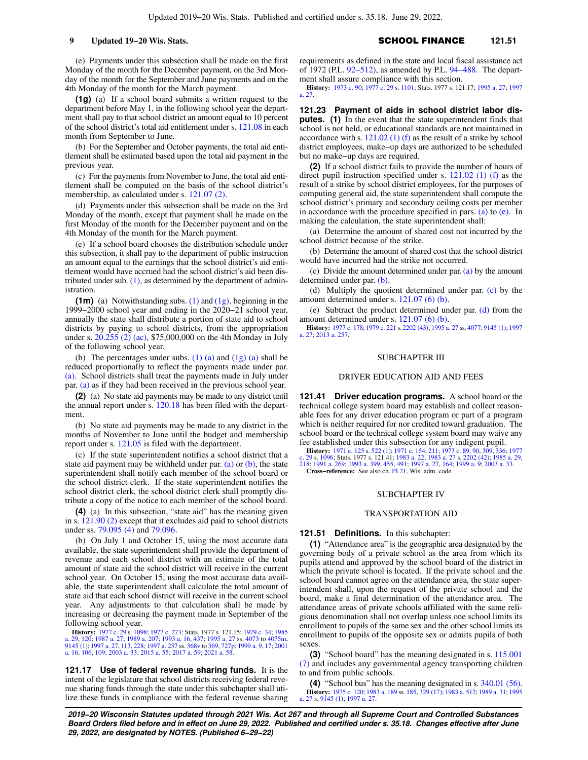(e) Payments under this subsection shall be made on the first Monday of the month for the December payment, on the 3rd Monday of the month for the September and June payments and on the 4th Monday of the month for the March payment.

**(1g)** (a) If a school board submits a written request to the department before May 1, in the following school year the department shall pay to that school district an amount equal to 10 percent of the school district's total aid entitlement under s. [121.08](https://docs.legis.wisconsin.gov/document/statutes/121.08) in each month from September to June.

(b) For the September and October payments, the total aid entitlement shall be estimated based upon the total aid payment in the previous year.

(c) For the payments from November to June, the total aid entitlement shall be computed on the basis of the school district's membership, as calculated under s. [121.07 \(2\)](https://docs.legis.wisconsin.gov/document/statutes/121.07(2)).

(d) Payments under this subsection shall be made on the 3rd Monday of the month, except that payment shall be made on the first Monday of the month for the December payment and on the 4th Monday of the month for the March payment.

(e) If a school board chooses the distribution schedule under this subsection, it shall pay to the department of public instruction an amount equal to the earnings that the school district's aid entitlement would have accrued had the school district's aid been distributed under sub.  $(1)$ , as determined by the department of administration.

**(1m)** (a) Notwithstanding subs. [\(1\)](https://docs.legis.wisconsin.gov/document/statutes/121.15(1)) and [\(1g\),](https://docs.legis.wisconsin.gov/document/statutes/121.15(1g)) beginning in the 1999−2000 school year and ending in the 2020−21 school year, annually the state shall distribute a portion of state aid to school districts by paying to school districts, from the appropriation under s. [20.255 \(2\) \(ac\),](https://docs.legis.wisconsin.gov/document/statutes/20.255(2)(ac)) \$75,000,000 on the 4th Monday in July of the following school year.

(b) The percentages under subs.  $(1)$  (a) and  $(1g)$  (a) shall be reduced proportionally to reflect the payments made under par. [\(a\).](https://docs.legis.wisconsin.gov/document/statutes/121.15(1m)(a)) School districts shall treat the payments made in July under par. [\(a\)](https://docs.legis.wisconsin.gov/document/statutes/121.15(1m)(a)) as if they had been received in the previous school year.

**(2)** (a) No state aid payments may be made to any district until the annual report under s. [120.18](https://docs.legis.wisconsin.gov/document/statutes/120.18) has been filed with the department.

(b) No state aid payments may be made to any district in the months of November to June until the budget and membership report under s. [121.05](https://docs.legis.wisconsin.gov/document/statutes/121.05) is filed with the department.

(c) If the state superintendent notifies a school district that a state aid payment may be withheld under par.  $(a)$  or  $(b)$ , the state superintendent shall notify each member of the school board or the school district clerk. If the state superintendent notifies the school district clerk, the school district clerk shall promptly distribute a copy of the notice to each member of the school board.

**(4)** (a) In this subsection, "state aid" has the meaning given in s. [121.90 \(2\)](https://docs.legis.wisconsin.gov/document/statutes/121.90(2)) except that it excludes aid paid to school districts under ss. [79.095 \(4\)](https://docs.legis.wisconsin.gov/document/statutes/79.095(4)) and [79.096.](https://docs.legis.wisconsin.gov/document/statutes/79.096)

(b) On July 1 and October 15, using the most accurate data available, the state superintendent shall provide the department of revenue and each school district with an estimate of the total amount of state aid the school district will receive in the current school year. On October 15, using the most accurate data available, the state superintendent shall calculate the total amount of state aid that each school district will receive in the current school year. Any adjustments to that calculation shall be made by increasing or decreasing the payment made in September of the following school year.

**History:** [1977 c. 29](https://docs.legis.wisconsin.gov/document/acts/1977/29) s. [1098](https://docs.legis.wisconsin.gov/document/acts/1977/29,%20s.%201098); [1977 c. 273](https://docs.legis.wisconsin.gov/document/acts/1977/273); Stats. 1977 s. 121.15; [1979 c. 34;](https://docs.legis.wisconsin.gov/document/acts/1979/34) [1985](https://docs.legis.wisconsin.gov/document/acts/1985/29) [a. 29](https://docs.legis.wisconsin.gov/document/acts/1985/29), [120](https://docs.legis.wisconsin.gov/document/acts/1985/120); [1987 a. 27](https://docs.legis.wisconsin.gov/document/acts/1987/27); [1989 a. 207;](https://docs.legis.wisconsin.gov/document/acts/1989/207) [1993 a. 16](https://docs.legis.wisconsin.gov/document/acts/1993/16), [437](https://docs.legis.wisconsin.gov/document/acts/1993/437); [1995 a. 27](https://docs.legis.wisconsin.gov/document/acts/1995/27) ss. [4073](https://docs.legis.wisconsin.gov/document/acts/1995/27,%20s.%204073) to [4075m](https://docs.legis.wisconsin.gov/document/acts/1995/27,%20s.%204075m), [9145 \(1\)](https://docs.legis.wisconsin.gov/document/acts/1995/27,%20s.%209145); [1997 a. 27,](https://docs.legis.wisconsin.gov/document/acts/1997/27) [113](https://docs.legis.wisconsin.gov/document/acts/1997/113), [228;](https://docs.legis.wisconsin.gov/document/acts/1997/228) [1997 a. 237](https://docs.legis.wisconsin.gov/document/acts/1997/237) ss. [368v](https://docs.legis.wisconsin.gov/document/acts/1997/237,%20s.%20368v) t [a. 16](https://docs.legis.wisconsin.gov/document/acts/2001/16), [106](https://docs.legis.wisconsin.gov/document/acts/2001/106), [109;](https://docs.legis.wisconsin.gov/document/acts/2001/109) [2003 a. 33;](https://docs.legis.wisconsin.gov/document/acts/2003/33) [2015 a. 55;](https://docs.legis.wisconsin.gov/document/acts/2015/55) [2017 a. 59](https://docs.legis.wisconsin.gov/document/acts/2017/59); [2021 a. 58](https://docs.legis.wisconsin.gov/document/acts/2021/58).

**121.17 Use of federal revenue sharing funds.** It is the intent of the legislature that school districts receiving federal revenue sharing funds through the state under this subchapter shall utilize these funds in compliance with the federal revenue sharing

9 **Updated 19−20 Wis. Stats.** SCHOOL FINANCE 121.51

requirements as defined in the state and local fiscal assistance act of 1972 (P.L. [92−512\)](https://docs.legis.wisconsin.gov/document/publiclaw/92-512), as amended by P.L. [94−488.](https://docs.legis.wisconsin.gov/document/publiclaw/94-488) The department shall assure compliance with this section.

**History:** [1973 c. 90;](https://docs.legis.wisconsin.gov/document/acts/1973/90) [1977 c. 29](https://docs.legis.wisconsin.gov/document/acts/1977/29) s. [1101](https://docs.legis.wisconsin.gov/document/acts/1977/29,%20s.%201101); Stats. 1977 s. 121.17; [1995 a. 27;](https://docs.legis.wisconsin.gov/document/acts/1995/27) [1997](https://docs.legis.wisconsin.gov/document/acts/1997/27) [a. 27.](https://docs.legis.wisconsin.gov/document/acts/1997/27)

**121.23 Payment of aids in school district labor disputes. (1)** In the event that the state superintendent finds that school is not held, or educational standards are not maintained in accordance with s. [121.02 \(1\) \(f\)](https://docs.legis.wisconsin.gov/document/statutes/121.02(1)(f)) as the result of a strike by school district employees, make−up days are authorized to be scheduled but no make−up days are required.

**(2)** If a school district fails to provide the number of hours of direct pupil instruction specified under s. [121.02 \(1\) \(f\)](https://docs.legis.wisconsin.gov/document/statutes/121.02(1)(f)) as the result of a strike by school district employees, for the purposes of computing general aid, the state superintendent shall compute the school district's primary and secondary ceiling costs per member in accordance with the procedure specified in pars. [\(a\)](https://docs.legis.wisconsin.gov/document/statutes/121.23(2)(a)) to  $(e)$ . In making the calculation, the state superintendent shall:

(a) Determine the amount of shared cost not incurred by the school district because of the strike.

(b) Determine the amount of shared cost that the school district would have incurred had the strike not occurred.

(c) Divide the amount determined under par.  $(a)$  by the amount determined under par. [\(b\).](https://docs.legis.wisconsin.gov/document/statutes/121.23(2)(b))

(d) Multiply the quotient determined under par. [\(c\)](https://docs.legis.wisconsin.gov/document/statutes/121.23(2)(c)) by the amount determined under s. [121.07 \(6\) \(b\).](https://docs.legis.wisconsin.gov/document/statutes/121.07(6)(b))

(e) Subtract the product determined under par. [\(d\)](https://docs.legis.wisconsin.gov/document/statutes/121.23(2)(d)) from the amount determined under s. [121.07 \(6\) \(b\).](https://docs.legis.wisconsin.gov/document/statutes/121.07(6)(b))

**History:** [1977 c. 178](https://docs.legis.wisconsin.gov/document/acts/1977/178); [1979 c. 221](https://docs.legis.wisconsin.gov/document/acts/1979/221) s. [2202 \(43\)](https://docs.legis.wisconsin.gov/document/acts/1979/221,%20s.%202202); [1995 a. 27](https://docs.legis.wisconsin.gov/document/acts/1995/27) ss. [4077,](https://docs.legis.wisconsin.gov/document/acts/1995/27,%20s.%204077) [9145 \(1\)](https://docs.legis.wisconsin.gov/document/acts/1995/27,%20s.%209145); [1997](https://docs.legis.wisconsin.gov/document/acts/1997/27) [a. 27;](https://docs.legis.wisconsin.gov/document/acts/1997/27) [2013 a. 257](https://docs.legis.wisconsin.gov/document/acts/2013/257).

## SUBCHAPTER III

### DRIVER EDUCATION AID AND FEES

**121.41 Driver education programs.** A school board or the technical college system board may establish and collect reasonable fees for any driver education program or part of a program which is neither required for nor credited toward graduation. The school board or the technical college system board may waive any fee established under this subsection for any indigent pupil.

**History:** [1971 c. 125](https://docs.legis.wisconsin.gov/document/acts/1971/125) s. [522 \(1\)](https://docs.legis.wisconsin.gov/document/acts/1971/125,%20s.%20522); [1971 c. 154,](https://docs.legis.wisconsin.gov/document/acts/1971/154) [211](https://docs.legis.wisconsin.gov/document/acts/1971/211); [1973 c. 89,](https://docs.legis.wisconsin.gov/document/acts/1973/89) [90](https://docs.legis.wisconsin.gov/document/acts/1973/90), [309,](https://docs.legis.wisconsin.gov/document/acts/1973/309) [336;](https://docs.legis.wisconsin.gov/document/acts/1973/336) [1977](https://docs.legis.wisconsin.gov/document/acts/1977/29) [c. 29](https://docs.legis.wisconsin.gov/document/acts/1977/29) s. [1096](https://docs.legis.wisconsin.gov/document/acts/1977/29,%20s.%201096); Stats. 1977 s. 121.41; [1983 a. 22;](https://docs.legis.wisconsin.gov/document/acts/1983/22) [1983 a. 27](https://docs.legis.wisconsin.gov/document/acts/1983/27) s. [2202 \(42\);](https://docs.legis.wisconsin.gov/document/acts/1983/27,%20s.%202202) [1985 a. 29](https://docs.legis.wisconsin.gov/document/acts/1985/29), [218;](https://docs.legis.wisconsin.gov/document/acts/1985/218) [1991 a. 269](https://docs.legis.wisconsin.gov/document/acts/1991/269); [1993 a. 399,](https://docs.legis.wisconsin.gov/document/acts/1993/399) [455,](https://docs.legis.wisconsin.gov/document/acts/1993/455) [491](https://docs.legis.wisconsin.gov/document/acts/1993/491); [1997 a. 27](https://docs.legis.wisconsin.gov/document/acts/1997/27), [164](https://docs.legis.wisconsin.gov/document/acts/1997/164); [1999 a. 9;](https://docs.legis.wisconsin.gov/document/acts/1999/9) [2003 a. 33](https://docs.legis.wisconsin.gov/document/acts/2003/33). **Cross−reference:** See also ch. [PI 21](https://docs.legis.wisconsin.gov/document/administrativecode/ch.%20PI%2021), Wis. adm. code.

### SUBCHAPTER IV

### TRANSPORTATION AID

### **121.51 Definitions.** In this subchapter:

**(1)** "Attendance area" is the geographic area designated by the governing body of a private school as the area from which its pupils attend and approved by the school board of the district in which the private school is located. If the private school and the school board cannot agree on the attendance area, the state superintendent shall, upon the request of the private school and the board, make a final determination of the attendance area. The attendance areas of private schools affiliated with the same religious denomination shall not overlap unless one school limits its enrollment to pupils of the same sex and the other school limits its enrollment to pupils of the opposite sex or admits pupils of both sexes.

**(3)** "School board" has the meaning designated in s. [115.001](https://docs.legis.wisconsin.gov/document/statutes/115.001(7)) [\(7\)](https://docs.legis.wisconsin.gov/document/statutes/115.001(7)) and includes any governmental agency transporting children to and from public schools.

**(4)** "School bus" has the meaning designated in s. [340.01 \(56\).](https://docs.legis.wisconsin.gov/document/statutes/340.01(56)) **History:** [1975 c. 120;](https://docs.legis.wisconsin.gov/document/acts/1975/120) [1983 a. 189](https://docs.legis.wisconsin.gov/document/acts/1983/189) ss. [185,](https://docs.legis.wisconsin.gov/document/acts/1983/189,%20s.%20185) [329 \(17\)](https://docs.legis.wisconsin.gov/document/acts/1983/189,%20s.%20329); [1983 a. 512](https://docs.legis.wisconsin.gov/document/acts/1983/512); [1989 a. 31](https://docs.legis.wisconsin.gov/document/acts/1989/31); [1995](https://docs.legis.wisconsin.gov/document/acts/1995/27) [a. 27](https://docs.legis.wisconsin.gov/document/acts/1995/27) s. [9145 \(1\);](https://docs.legis.wisconsin.gov/document/acts/1995/27,%20s.%209145) [1997 a. 27.](https://docs.legis.wisconsin.gov/document/acts/1997/27)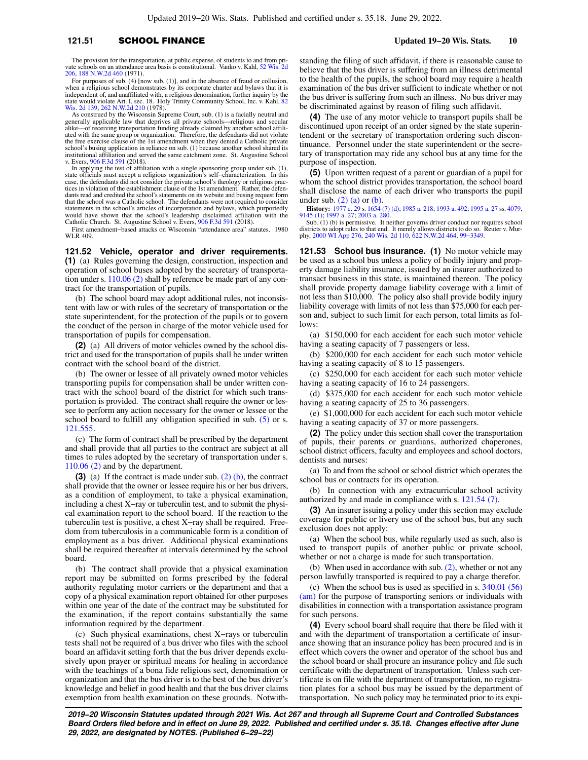# **121.51 SCHOOL FINANCE Updated 19−20 Wis. Stats. 10**

The provision for the transportation, at public expense, of students to and from private schools on an attendance area basis is constitutional. Vanko v. Kahl, [52 Wis. 2d](https://docs.legis.wisconsin.gov/document/courts/52%20Wis.%202d%20206) [206](https://docs.legis.wisconsin.gov/document/courts/52%20Wis.%202d%20206), [188 N.W.2d 460](https://docs.legis.wisconsin.gov/document/courts/188%20N.W.2d%20460) (1971).

For purposes of sub. (4) [now sub. (1)], and in the absence of fraud or collusion, when a religious school demonstrates by its corporate charter and bylaws that it is independent of, and unaffiliated with, a religious denomination, further inquiry by the state would violate Art. I, sec. 18. Holy Trinity Community School, Inc. v. Kahl, [82](https://docs.legis.wisconsin.gov/document/courts/82%20Wis.%202d%20139) [Wis. 2d 139,](https://docs.legis.wisconsin.gov/document/courts/82%20Wis.%202d%20139) [262 N.W.2d 210](https://docs.legis.wisconsin.gov/document/courts/262%20N.W.2d%20210) (1978).

As construed by the Wisconsin Supreme Court, sub. (1) is a facially neutral and generally applicable law that deprives all private schools—religious and secular<br>alike—of receiving transportation funding already claimed by the free exercise clause of the 1st amendment when they denied a Catholic private school's busing application in reliance on sub. (1) because another school shared its institutional affiliation and served the same catchment zone. St. Augustine School v. Evers, [906 F.3d 591](https://docs.legis.wisconsin.gov/document/courts/906%20F.3d%20591) (2018).

In applying the test of affiliation with a single sponsoring group under sub. (1), state officials must accept a religious organization's self−characterization. In this case, the defendants did not consider the private school's theology or religious practices in violation of the establishment clause of the 1st amendment. Rather, the defen-dants read and credited the school's statements on its website and busing request form that the school was a Catholic school. The defendants were not required to consider statements in the school's articles of incorporation and bylaws, which purportedly<br>would have shown that the school's leadership disclaimed affiliation with the<br>Catholic Church. St. Augustine School v. Evers, [906 F.3d 591](https://docs.legis.wisconsin.gov/document/courts/906%20F.3d%20591) 

First amendment−based attacks on Wisconsin "attendance area" statutes. 1980 WLR 409.

**121.52 Vehicle, operator and driver requirements. (1)** (a) Rules governing the design, construction, inspection and operation of school buses adopted by the secretary of transportation under s. [110.06 \(2\)](https://docs.legis.wisconsin.gov/document/statutes/110.06(2)) shall by reference be made part of any contract for the transportation of pupils.

(b) The school board may adopt additional rules, not inconsistent with law or with rules of the secretary of transportation or the state superintendent, for the protection of the pupils or to govern the conduct of the person in charge of the motor vehicle used for transportation of pupils for compensation.

**(2)** (a) All drivers of motor vehicles owned by the school district and used for the transportation of pupils shall be under written contract with the school board of the district.

(b) The owner or lessee of all privately owned motor vehicles transporting pupils for compensation shall be under written contract with the school board of the district for which such transportation is provided. The contract shall require the owner or lessee to perform any action necessary for the owner or lessee or the school board to fulfill any obligation specified in sub. [\(5\)](https://docs.legis.wisconsin.gov/document/statutes/121.52(5)) or s. [121.555](https://docs.legis.wisconsin.gov/document/statutes/121.555).

(c) The form of contract shall be prescribed by the department and shall provide that all parties to the contract are subject at all times to rules adopted by the secretary of transportation under s. [110.06 \(2\)](https://docs.legis.wisconsin.gov/document/statutes/110.06(2)) and by the department.

**(3)** (a) If the contract is made under sub. [\(2\) \(b\)](https://docs.legis.wisconsin.gov/document/statutes/121.52(2)(b)), the contract shall provide that the owner or lessee require his or her bus drivers, as a condition of employment, to take a physical examination, including a chest X−ray or tuberculin test, and to submit the physical examination report to the school board. If the reaction to the tuberculin test is positive, a chest X−ray shall be required. Freedom from tuberculosis in a communicable form is a condition of employment as a bus driver. Additional physical examinations shall be required thereafter at intervals determined by the school board.

(b) The contract shall provide that a physical examination report may be submitted on forms prescribed by the federal authority regulating motor carriers or the department and that a copy of a physical examination report obtained for other purposes within one year of the date of the contract may be substituted for the examination, if the report contains substantially the same information required by the department.

(c) Such physical examinations, chest X−rays or tuberculin tests shall not be required of a bus driver who files with the school board an affidavit setting forth that the bus driver depends exclusively upon prayer or spiritual means for healing in accordance with the teachings of a bona fide religious sect, denomination or organization and that the bus driver is to the best of the bus driver's knowledge and belief in good health and that the bus driver claims exemption from health examination on these grounds. Notwith-

standing the filing of such affidavit, if there is reasonable cause to believe that the bus driver is suffering from an illness detrimental to the health of the pupils, the school board may require a health examination of the bus driver sufficient to indicate whether or not the bus driver is suffering from such an illness. No bus driver may be discriminated against by reason of filing such affidavit.

**(4)** The use of any motor vehicle to transport pupils shall be discontinued upon receipt of an order signed by the state superintendent or the secretary of transportation ordering such discontinuance. Personnel under the state superintendent or the secretary of transportation may ride any school bus at any time for the purpose of inspection.

**(5)** Upon written request of a parent or guardian of a pupil for whom the school district provides transportation, the school board shall disclose the name of each driver who transports the pupil under sub.  $(2)$  (a) or [\(b\)](https://docs.legis.wisconsin.gov/document/statutes/121.52(2)(b)).

**History:** [1977 c. 29](https://docs.legis.wisconsin.gov/document/acts/1977/29) s. [1654 \(7\) \(d\);](https://docs.legis.wisconsin.gov/document/acts/1977/29,%20s.%201654) [1985 a. 218](https://docs.legis.wisconsin.gov/document/acts/1985/218); [1993 a. 492;](https://docs.legis.wisconsin.gov/document/acts/1993/492) [1995 a. 27](https://docs.legis.wisconsin.gov/document/acts/1995/27) ss. [4079](https://docs.legis.wisconsin.gov/document/acts/1995/27,%20s.%204079), [9145 \(1\);](https://docs.legis.wisconsin.gov/document/acts/1995/27,%20s.%209145) [1997 a. 27](https://docs.legis.wisconsin.gov/document/acts/1997/27); [2003 a. 280.](https://docs.legis.wisconsin.gov/document/acts/2003/280)

Sub. (1) (b) is permissive. It neither governs driver conduct nor requires school districts to adopt rules to that end. It merely allows districts to do so. Reuter v. Mur-phy, [2000 WI App 276](https://docs.legis.wisconsin.gov/document/courts/2000%20WI%20App%20276), [240 Wis. 2d 110,](https://docs.legis.wisconsin.gov/document/courts/240%20Wis.%202d%20110) [622 N.W.2d 464](https://docs.legis.wisconsin.gov/document/courts/622%20N.W.2d%20464), [99−3349.](https://docs.legis.wisconsin.gov/document/wicourtofappeals/99-3349)

**121.53 School bus insurance. (1)** No motor vehicle may be used as a school bus unless a policy of bodily injury and property damage liability insurance, issued by an insurer authorized to transact business in this state, is maintained thereon. The policy shall provide property damage liability coverage with a limit of not less than \$10,000. The policy also shall provide bodily injury liability coverage with limits of not less than \$75,000 for each person and, subject to such limit for each person, total limits as follows:

(a) \$150,000 for each accident for each such motor vehicle having a seating capacity of 7 passengers or less.

(b) \$200,000 for each accident for each such motor vehicle having a seating capacity of 8 to 15 passengers.

(c) \$250,000 for each accident for each such motor vehicle having a seating capacity of 16 to 24 passengers.

(d) \$375,000 for each accident for each such motor vehicle having a seating capacity of 25 to 36 passengers.

(e) \$1,000,000 for each accident for each such motor vehicle having a seating capacity of 37 or more passengers.

**(2)** The policy under this section shall cover the transportation of pupils, their parents or guardians, authorized chaperones, school district officers, faculty and employees and school doctors, dentists and nurses:

(a) To and from the school or school district which operates the school bus or contracts for its operation.

(b) In connection with any extracurricular school activity authorized by and made in compliance with s. [121.54 \(7\)](https://docs.legis.wisconsin.gov/document/statutes/121.54(7)).

**(3)** An insurer issuing a policy under this section may exclude coverage for public or livery use of the school bus, but any such exclusion does not apply:

(a) When the school bus, while regularly used as such, also is used to transport pupils of another public or private school, whether or not a charge is made for such transportation.

(b) When used in accordance with sub. [\(2\),](https://docs.legis.wisconsin.gov/document/statutes/121.53(2)) whether or not any person lawfully transported is required to pay a charge therefor.

(c) When the school bus is used as specified in s. [340.01 \(56\)](https://docs.legis.wisconsin.gov/document/statutes/340.01(56)(am)) [\(am\)](https://docs.legis.wisconsin.gov/document/statutes/340.01(56)(am)) for the purpose of transporting seniors or individuals with disabilities in connection with a transportation assistance program for such persons.

**(4)** Every school board shall require that there be filed with it and with the department of transportation a certificate of insurance showing that an insurance policy has been procured and is in effect which covers the owner and operator of the school bus and the school board or shall procure an insurance policy and file such certificate with the department of transportation. Unless such certificate is on file with the department of transportation, no registration plates for a school bus may be issued by the department of transportation. No such policy may be terminated prior to its expi-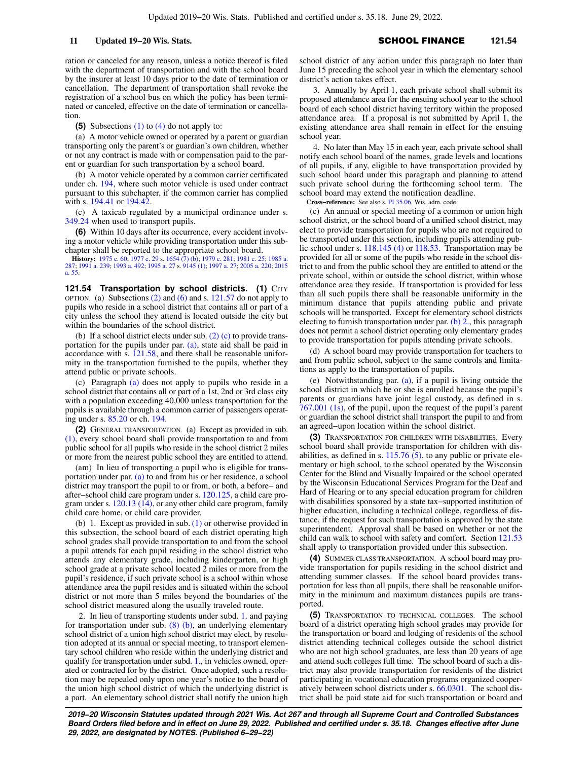ration or canceled for any reason, unless a notice thereof is filed with the department of transportation and with the school board by the insurer at least 10 days prior to the date of termination or cancellation. The department of transportation shall revoke the registration of a school bus on which the policy has been terminated or canceled, effective on the date of termination or cancellation.

**(5)** Subsections [\(1\)](https://docs.legis.wisconsin.gov/document/statutes/121.53(1)) to [\(4\)](https://docs.legis.wisconsin.gov/document/statutes/121.53(4)) do not apply to:

(a) A motor vehicle owned or operated by a parent or guardian transporting only the parent's or guardian's own children, whether or not any contract is made with or compensation paid to the parent or guardian for such transportation by a school board.

(b) A motor vehicle operated by a common carrier certificated under ch. [194](https://docs.legis.wisconsin.gov/document/statutes/ch.%20194), where such motor vehicle is used under contract pursuant to this subchapter, if the common carrier has complied with s. [194.41](https://docs.legis.wisconsin.gov/document/statutes/194.41) or [194.42](https://docs.legis.wisconsin.gov/document/statutes/194.42)

(c) A taxicab regulated by a municipal ordinance under s. [349.24](https://docs.legis.wisconsin.gov/document/statutes/349.24) when used to transport pupils.

**(6)** Within 10 days after its occurrence, every accident involving a motor vehicle while providing transportation under this subchapter shall be reported to the appropriate school board.

**History:** [1975 c. 60](https://docs.legis.wisconsin.gov/document/acts/1975/60); [1977 c. 29](https://docs.legis.wisconsin.gov/document/acts/1977/29) s. [1654 \(7\) \(b\);](https://docs.legis.wisconsin.gov/document/acts/1977/29,%20s.%201654) [1979 c. 281;](https://docs.legis.wisconsin.gov/document/acts/1979/281) [1981 c. 25;](https://docs.legis.wisconsin.gov/document/acts/1981/25) [1985 a.](https://docs.legis.wisconsin.gov/document/acts/1985/287) [287](https://docs.legis.wisconsin.gov/document/acts/1985/287); [1991 a. 239](https://docs.legis.wisconsin.gov/document/acts/1991/239); [1993 a. 492](https://docs.legis.wisconsin.gov/document/acts/1993/492); [1995 a. 27](https://docs.legis.wisconsin.gov/document/acts/1995/27) s. [9145 \(1\)](https://docs.legis.wisconsin.gov/document/acts/1995/27,%20s.%209145); [1997 a. 27;](https://docs.legis.wisconsin.gov/document/acts/1997/27) [2005 a. 220;](https://docs.legis.wisconsin.gov/document/acts/2005/220) [2015](https://docs.legis.wisconsin.gov/document/acts/2015/55) [a. 55](https://docs.legis.wisconsin.gov/document/acts/2015/55).

**121.54 Transportation by school districts. (1) CITY** OPTION. (a) Subsections  $(2)$  and  $(6)$  and s. [121.57](https://docs.legis.wisconsin.gov/document/statutes/121.57) do not apply to pupils who reside in a school district that contains all or part of a city unless the school they attend is located outside the city but within the boundaries of the school district.

(b) If a school district elects under sub. [\(2\) \(c\)](https://docs.legis.wisconsin.gov/document/statutes/121.54(2)(c)) to provide transportation for the pupils under par. [\(a\)](https://docs.legis.wisconsin.gov/document/statutes/121.54(1)(a)), state aid shall be paid in accordance with s. [121.58,](https://docs.legis.wisconsin.gov/document/statutes/121.58) and there shall be reasonable uniformity in the transportation furnished to the pupils, whether they attend public or private schools.

(c) Paragraph [\(a\)](https://docs.legis.wisconsin.gov/document/statutes/121.54(1)(a)) does not apply to pupils who reside in a school district that contains all or part of a 1st, 2nd or 3rd class city with a population exceeding 40,000 unless transportation for the pupils is available through a common carrier of passengers operating under s. [85.20](https://docs.legis.wisconsin.gov/document/statutes/85.20) or ch. [194.](https://docs.legis.wisconsin.gov/document/statutes/ch.%20194)

**(2)** GENERAL TRANSPORTATION. (a) Except as provided in sub. [\(1\)](https://docs.legis.wisconsin.gov/document/statutes/121.54(1)), every school board shall provide transportation to and from public school for all pupils who reside in the school district 2 miles or more from the nearest public school they are entitled to attend.

(am) In lieu of transporting a pupil who is eligible for transportation under par. [\(a\)](https://docs.legis.wisconsin.gov/document/statutes/121.54(2)(a)) to and from his or her residence, a school district may transport the pupil to or from, or both, a before− and after−school child care program under s. [120.125](https://docs.legis.wisconsin.gov/document/statutes/120.125), a child care program under s.  $120.13$  ( $14$ ), or any other child care program, family child care home, or child care provider.

(b) 1. Except as provided in sub. [\(1\)](https://docs.legis.wisconsin.gov/document/statutes/121.54(1)) or otherwise provided in this subsection, the school board of each district operating high school grades shall provide transportation to and from the school a pupil attends for each pupil residing in the school district who attends any elementary grade, including kindergarten, or high school grade at a private school located 2 miles or more from the pupil's residence, if such private school is a school within whose attendance area the pupil resides and is situated within the school district or not more than 5 miles beyond the boundaries of the school district measured along the usually traveled route.

2. In lieu of transporting students under subd. [1.](https://docs.legis.wisconsin.gov/document/statutes/121.54(2)(b)1.) and paying for transportation under sub.  $(8)$  (b), an underlying elementary school district of a union high school district may elect, by resolution adopted at its annual or special meeting, to transport elementary school children who reside within the underlying district and qualify for transportation under subd. [1.](https://docs.legis.wisconsin.gov/document/statutes/121.54(2)(b)1.), in vehicles owned, operated or contracted for by the district. Once adopted, such a resolution may be repealed only upon one year's notice to the board of the union high school district of which the underlying district is a part. An elementary school district shall notify the union high school district of any action under this paragraph no later than June 15 preceding the school year in which the elementary school district's action takes effect.

3. Annually by April 1, each private school shall submit its proposed attendance area for the ensuing school year to the school board of each school district having territory within the proposed attendance area. If a proposal is not submitted by April 1, the existing attendance area shall remain in effect for the ensuing school year.

4. No later than May 15 in each year, each private school shall notify each school board of the names, grade levels and locations of all pupils, if any, eligible to have transportation provided by such school board under this paragraph and planning to attend such private school during the forthcoming school term. The school board may extend the notification deadline.

**Cross−reference:** See also s. [PI 35.06](https://docs.legis.wisconsin.gov/document/administrativecode/PI%2035.06), Wis. adm. code.

(c) An annual or special meeting of a common or union high school district, or the school board of a unified school district, may elect to provide transportation for pupils who are not required to be transported under this section, including pupils attending public school under s. [118.145 \(4\)](https://docs.legis.wisconsin.gov/document/statutes/118.145(4)) or [118.53.](https://docs.legis.wisconsin.gov/document/statutes/118.53) Transportation may be provided for all or some of the pupils who reside in the school district to and from the public school they are entitled to attend or the private school, within or outside the school district, within whose attendance area they reside. If transportation is provided for less than all such pupils there shall be reasonable uniformity in the minimum distance that pupils attending public and private schools will be transported. Except for elementary school districts electing to furnish transportation under par. [\(b\) 2.,](https://docs.legis.wisconsin.gov/document/statutes/121.54(2)(b)2.) this paragraph does not permit a school district operating only elementary grades to provide transportation for pupils attending private schools.

(d) A school board may provide transportation for teachers to and from public school, subject to the same controls and limitations as apply to the transportation of pupils.

(e) Notwithstanding par. [\(a\)](https://docs.legis.wisconsin.gov/document/statutes/121.54(2)(a)), if a pupil is living outside the school district in which he or she is enrolled because the pupil's parents or guardians have joint legal custody, as defined in s. [767.001 \(1s\),](https://docs.legis.wisconsin.gov/document/statutes/767.001(1s)) of the pupil, upon the request of the pupil's parent or guardian the school district shall transport the pupil to and from an agreed−upon location within the school district.

**(3)** TRANSPORTATION FOR CHILDREN WITH DISABILITIES. Every school board shall provide transportation for children with disabilities, as defined in s.  $115.76$  (5), to any public or private elementary or high school, to the school operated by the Wisconsin Center for the Blind and Visually Impaired or the school operated by the Wisconsin Educational Services Program for the Deaf and Hard of Hearing or to any special education program for children with disabilities sponsored by a state tax−supported institution of higher education, including a technical college, regardless of distance, if the request for such transportation is approved by the state superintendent. Approval shall be based on whether or not the child can walk to school with safety and comfort. Section [121.53](https://docs.legis.wisconsin.gov/document/statutes/121.53) shall apply to transportation provided under this subsection.

**(4)** SUMMER CLASS TRANSPORTATION. A school board may provide transportation for pupils residing in the school district and attending summer classes. If the school board provides transportation for less than all pupils, there shall be reasonable uniformity in the minimum and maximum distances pupils are transported.

**(5)** TRANSPORTATION TO TECHNICAL COLLEGES. The school board of a district operating high school grades may provide for the transportation or board and lodging of residents of the school district attending technical colleges outside the school district who are not high school graduates, are less than 20 years of age and attend such colleges full time. The school board of such a district may also provide transportation for residents of the district participating in vocational education programs organized cooperatively between school districts under s. [66.0301](https://docs.legis.wisconsin.gov/document/statutes/66.0301). The school district shall be paid state aid for such transportation or board and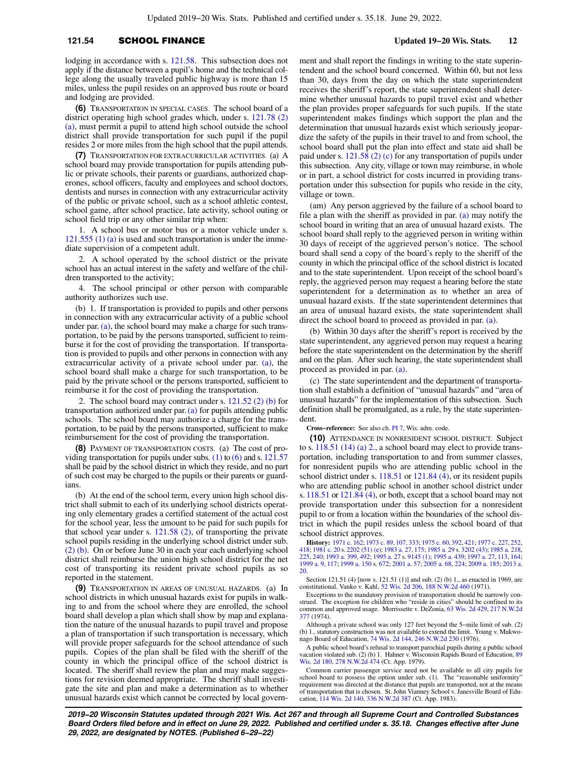## **121.54** SCHOOL FINANCE **Updated 19−20 Wis. Stats. 12**

lodging in accordance with s. [121.58.](https://docs.legis.wisconsin.gov/document/statutes/121.58) This subsection does not apply if the distance between a pupil's home and the technical college along the usually traveled public highway is more than 15 miles, unless the pupil resides on an approved bus route or board and lodging are provided.

**(6)** TRANSPORTATION IN SPECIAL CASES. The school board of a district operating high school grades which, under s. [121.78 \(2\)](https://docs.legis.wisconsin.gov/document/statutes/121.78(2)(a)) [\(a\),](https://docs.legis.wisconsin.gov/document/statutes/121.78(2)(a)) must permit a pupil to attend high school outside the school district shall provide transportation for such pupil if the pupil resides 2 or more miles from the high school that the pupil attends.

**(7)** TRANSPORTATION FOR EXTRACURRICULAR ACTIVITIES. (a) A school board may provide transportation for pupils attending public or private schools, their parents or guardians, authorized chaperones, school officers, faculty and employees and school doctors, dentists and nurses in connection with any extracurricular activity of the public or private school, such as a school athletic contest, school game, after school practice, late activity, school outing or school field trip or any other similar trip when:

1. A school bus or motor bus or a motor vehicle under s. [121.555 \(1\) \(a\)](https://docs.legis.wisconsin.gov/document/statutes/121.555(1)(a)) is used and such transportation is under the immediate supervision of a competent adult.

2. A school operated by the school district or the private school has an actual interest in the safety and welfare of the children transported to the activity;

4. The school principal or other person with comparable authority authorizes such use.

(b) 1. If transportation is provided to pupils and other persons in connection with any extracurricular activity of a public school under par. [\(a\)](https://docs.legis.wisconsin.gov/document/statutes/121.54(7)(a)), the school board may make a charge for such transportation, to be paid by the persons transported, sufficient to reimburse it for the cost of providing the transportation. If transportation is provided to pupils and other persons in connection with any extracurricular activity of a private school under par. [\(a\),](https://docs.legis.wisconsin.gov/document/statutes/121.54(7)(a)) the school board shall make a charge for such transportation, to be paid by the private school or the persons transported, sufficient to reimburse it for the cost of providing the transportation.

2. The school board may contract under s. [121.52 \(2\) \(b\)](https://docs.legis.wisconsin.gov/document/statutes/121.52(2)(b)) for transportation authorized under par.  $(a)$  for pupils attending public schools. The school board may authorize a charge for the transportation, to be paid by the persons transported, sufficient to make reimbursement for the cost of providing the transportation.

**(8)** PAYMENT OF TRANSPORTATION COSTS. (a) The cost of pro-viding transportation for pupils under subs. [\(1\)](https://docs.legis.wisconsin.gov/document/statutes/121.54(1)) to  $(6)$  and s. [121.57](https://docs.legis.wisconsin.gov/document/statutes/121.57) shall be paid by the school district in which they reside, and no part of such cost may be charged to the pupils or their parents or guardians.

(b) At the end of the school term, every union high school district shall submit to each of its underlying school districts operating only elementary grades a certified statement of the actual cost for the school year, less the amount to be paid for such pupils for that school year under s. [121.58 \(2\)](https://docs.legis.wisconsin.gov/document/statutes/121.58(2)), of transporting the private school pupils residing in the underlying school district under sub. [\(2\) \(b\).](https://docs.legis.wisconsin.gov/document/statutes/121.54(2)(b)) On or before June 30 in each year each underlying school district shall reimburse the union high school district for the net cost of transporting its resident private school pupils as so reported in the statement.

**(9)** TRANSPORTATION IN AREAS OF UNUSUAL HAZARDS. (a) In school districts in which unusual hazards exist for pupils in walking to and from the school where they are enrolled, the school board shall develop a plan which shall show by map and explanation the nature of the unusual hazards to pupil travel and propose a plan of transportation if such transportation is necessary, which will provide proper safeguards for the school attendance of such pupils. Copies of the plan shall be filed with the sheriff of the county in which the principal office of the school district is located. The sheriff shall review the plan and may make suggestions for revision deemed appropriate. The sheriff shall investigate the site and plan and make a determination as to whether unusual hazards exist which cannot be corrected by local government and shall report the findings in writing to the state superintendent and the school board concerned. Within 60, but not less than 30, days from the day on which the state superintendent receives the sheriff's report, the state superintendent shall determine whether unusual hazards to pupil travel exist and whether the plan provides proper safeguards for such pupils. If the state superintendent makes findings which support the plan and the determination that unusual hazards exist which seriously jeopardize the safety of the pupils in their travel to and from school, the school board shall put the plan into effect and state aid shall be paid under s.  $121.58$  (2) (c) for any transportation of pupils under this subsection. Any city, village or town may reimburse, in whole or in part, a school district for costs incurred in providing transportation under this subsection for pupils who reside in the city, village or town.

(am) Any person aggrieved by the failure of a school board to file a plan with the sheriff as provided in par. [\(a\)](https://docs.legis.wisconsin.gov/document/statutes/121.54(9)(a)) may notify the school board in writing that an area of unusual hazard exists. The school board shall reply to the aggrieved person in writing within 30 days of receipt of the aggrieved person's notice. The school board shall send a copy of the board's reply to the sheriff of the county in which the principal office of the school district is located and to the state superintendent. Upon receipt of the school board's reply, the aggrieved person may request a hearing before the state superintendent for a determination as to whether an area of unusual hazard exists. If the state superintendent determines that an area of unusual hazard exists, the state superintendent shall direct the school board to proceed as provided in par. [\(a\)](https://docs.legis.wisconsin.gov/document/statutes/121.54(9)(a)).

(b) Within 30 days after the sheriff's report is received by the state superintendent, any aggrieved person may request a hearing before the state superintendent on the determination by the sheriff and on the plan. After such hearing, the state superintendent shall proceed as provided in par. [\(a\)](https://docs.legis.wisconsin.gov/document/statutes/121.54(9)(a)).

(c) The state superintendent and the department of transportation shall establish a definition of "unusual hazards" and "area of unusual hazards" for the implementation of this subsection. Such definition shall be promulgated, as a rule, by the state superintendent.

**Cross−reference:** See also ch. [PI 7,](https://docs.legis.wisconsin.gov/document/administrativecode/ch.%20PI%207) Wis. adm. code.

**(10)** ATTENDANCE IN NONRESIDENT SCHOOL DISTRICT. Subject to s. [118.51 \(14\) \(a\) 2.,](https://docs.legis.wisconsin.gov/document/statutes/118.51(14)(a)2.) a school board may elect to provide transportation, including transportation to and from summer classes, for nonresident pupils who are attending public school in the school district under s. [118.51](https://docs.legis.wisconsin.gov/document/statutes/118.51) or [121.84 \(4\),](https://docs.legis.wisconsin.gov/document/statutes/121.84(4)) or its resident pupils who are attending public school in another school district under s. [118.51](https://docs.legis.wisconsin.gov/document/statutes/118.51) or [121.84 \(4\),](https://docs.legis.wisconsin.gov/document/statutes/121.84(4)) or both, except that a school board may not provide transportation under this subsection for a nonresident pupil to or from a location within the boundaries of the school district in which the pupil resides unless the school board of that school district approves.

**History:** [1971 c. 162](https://docs.legis.wisconsin.gov/document/acts/1971/162); [1973 c. 89](https://docs.legis.wisconsin.gov/document/acts/1973/89), [107,](https://docs.legis.wisconsin.gov/document/acts/1973/107) [333](https://docs.legis.wisconsin.gov/document/acts/1973/333); [1975 c. 60,](https://docs.legis.wisconsin.gov/document/acts/1975/60) [392,](https://docs.legis.wisconsin.gov/document/acts/1975/392) [421](https://docs.legis.wisconsin.gov/document/acts/1975/421); [1977 c. 227](https://docs.legis.wisconsin.gov/document/acts/1977/227), [252](https://docs.legis.wisconsin.gov/document/acts/1977/252), [418;](https://docs.legis.wisconsin.gov/document/acts/1977/418) [1981 c. 20](https://docs.legis.wisconsin.gov/document/acts/1981/20) s. [2202 \(51\) \(e\);](https://docs.legis.wisconsin.gov/document/acts/1981/20,%20s.%202202) [1983 a. 27](https://docs.legis.wisconsin.gov/document/acts/1983/27), [175](https://docs.legis.wisconsin.gov/document/acts/1983/175); [1985 a. 29](https://docs.legis.wisconsin.gov/document/acts/1985/29) s. [3202 \(43\)](https://docs.legis.wisconsin.gov/document/acts/1985/29,%20s.%203202); [1985 a. 218](https://docs.legis.wisconsin.gov/document/acts/1985/218), [225,](https://docs.legis.wisconsin.gov/document/acts/1985/225) [240](https://docs.legis.wisconsin.gov/document/acts/1985/240); [1993 a. 399,](https://docs.legis.wisconsin.gov/document/acts/1993/399) [492](https://docs.legis.wisconsin.gov/document/acts/1993/492); [1995 a. 27](https://docs.legis.wisconsin.gov/document/acts/1995/27) s. [9145 \(1\)](https://docs.legis.wisconsin.gov/document/acts/1995/27,%20s.%209145); [1995 a. 439](https://docs.legis.wisconsin.gov/document/acts/1995/439); [1997 a. 27](https://docs.legis.wisconsin.gov/document/acts/1997/27), [113,](https://docs.legis.wisconsin.gov/document/acts/1997/113) [164](https://docs.legis.wisconsin.gov/document/acts/1997/164); [1999 a. 9](https://docs.legis.wisconsin.gov/document/acts/1999/9), [117](https://docs.legis.wisconsin.gov/document/acts/1999/117); [1999 a. 150](https://docs.legis.wisconsin.gov/document/acts/1999/150) s. [672](https://docs.legis.wisconsin.gov/document/acts/1999/150,%20s.%20672); [2001 a. 57;](https://docs.legis.wisconsin.gov/document/acts/2001/57) [2005 a. 68](https://docs.legis.wisconsin.gov/document/acts/2005/68), [224](https://docs.legis.wisconsin.gov/document/acts/2005/224); [2009 a. 185](https://docs.legis.wisconsin.gov/document/acts/2009/185); [2013 a.](https://docs.legis.wisconsin.gov/document/acts/2013/20) [20](https://docs.legis.wisconsin.gov/document/acts/2013/20).

Section 121.51 (4) [now s. 121.51 (1)] and sub. (2) (b) 1., as enacted in 1969, are constitutional. Vanko v. Kahl, [52 Wis. 2d 206,](https://docs.legis.wisconsin.gov/document/courts/52%20Wis.%202d%20206) [188 N.W.2d 460](https://docs.legis.wisconsin.gov/document/courts/188%20N.W.2d%20460) (1971).

Exceptions to the mandatory provision of transportation should be narrowly construed. The exception for children who "reside in cities" should be confined to its common and approved usage. Morrissette v. DeZonia, [63 Wis. 2d 429](https://docs.legis.wisconsin.gov/document/courts/63%20Wis.%202d%20429), [217 N.W.2d](https://docs.legis.wisconsin.gov/document/courts/217%20N.W.2d%20377) [377](https://docs.legis.wisconsin.gov/document/courts/217%20N.W.2d%20377) (1974).

Although a private school was only 127 feet beyond the 5−mile limit of sub. (2) (b) 1., statutory construction was not available to extend the limit. Young v. Mukwonago Board of Education, [74 Wis. 2d 144](https://docs.legis.wisconsin.gov/document/courts/74%20Wis.%202d%20144), [246 N.W.2d 230](https://docs.legis.wisconsin.gov/document/courts/246%20N.W.2d%20230) (1976).

A public school board's refusal to transport parochial pupils during a public school vacation violated sub. (2) (b) 1. Hahner v. Wisconsin Rapids Board of Education, [89](https://docs.legis.wisconsin.gov/document/courts/89%20Wis.%202d%20180) [Wis. 2d 180,](https://docs.legis.wisconsin.gov/document/courts/89%20Wis.%202d%20180) [278 N.W.2d 474](https://docs.legis.wisconsin.gov/document/courts/278%20N.W.2d%20474) (Ct. App. 1979).

Common carrier passenger service need not be available to all city pupils for school board to possess the option under sub. (1). The "reasonable uniformity" requirement was directed at the distance that pupils are transported, not at the means of transportation that is chosen. St. John Vianney School v. Janesville Board of Education, [114 Wis. 2d 140](https://docs.legis.wisconsin.gov/document/courts/114%20Wis.%202d%20140), [336 N.W.2d 387](https://docs.legis.wisconsin.gov/document/courts/336%20N.W.2d%20387) (Ct. App. 1983).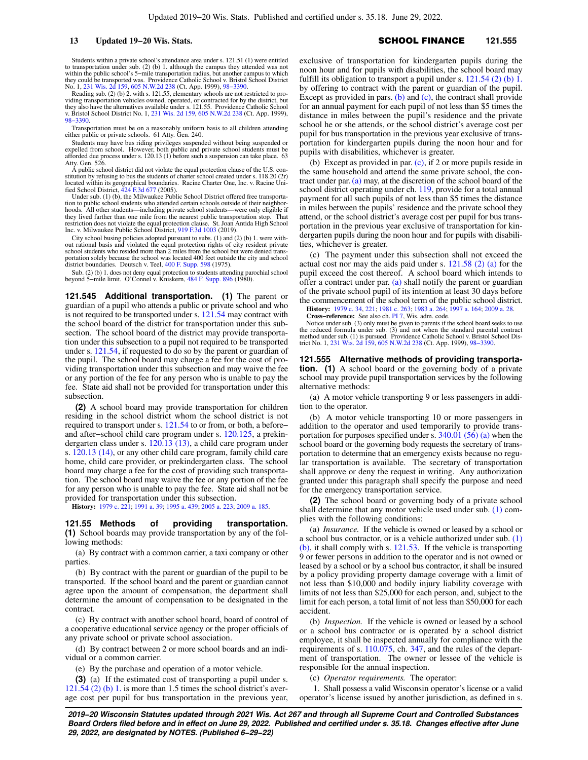Students within a private school's attendance area under s. 121.51 (1) were entitled to transportation under sub. (2) (b) 1. although the campus they attended was not within the public school's 5−mile transportation radius, but another campus to which they could be transported was. Providence Catholic School v. Bristol School District<br>No. 1, [231 Wis. 2d 159,](https://docs.legis.wisconsin.gov/document/courts/231%20Wis.%202d%20159) [605 N.W.2d 238](https://docs.legis.wisconsin.gov/document/courts/605%20N.W.2d%20238) (Ct. App. 1999), 98–3390.<br>Reading sub. (2) (b) 2. with s. 121.55, elementary schools are not restr

viding transportation vehicles owned, operated, or contracted for by the district, but<br>they also have the alternatives available under s. 121.55. Providence Catholic School<br>v. Bristol School District No. 1, [231 Wis. 2d 159](https://docs.legis.wisconsin.gov/document/courts/231%20Wis.%202d%20159) [98−3390](https://docs.legis.wisconsin.gov/document/wicourtofappeals/98-3390).

Transportation must be on a reasonably uniform basis to all children attending either public or private schools. 61 Atty. Gen. 240.

Students may have bus riding privileges suspended without being suspended or expelled from school. However, both public and private school students must be afforded due process under s. 120.13 (1) before such a suspension can take place. 63 Atty. Gen. 526. A public school district did not violate the equal protection clause of the U.S. con-

stitution by refusing to bus the students of charter school created under s. 118.20 (2r) located within its geographical boundaries. Racine Charter One, Inc. v. Racine Uni-<br>fied School District, [424 F.3d 677](https://docs.legis.wisconsin.gov/document/courts/424%20F.3d%20677) (2005).

Under sub. (1) (b), the Milwaukee Public School District offered free transportation to public school students who attended certain schools outside of their neighbor-hoods. All other students—including private school students—were only eligible if they lived farther than one mile from the nearest public transportation stop. That restriction does not violate the equal protection clause. St. Joan Antida High School Inc. v. Milwaukee Public School District, [919 F.3d 1003](https://docs.legis.wisconsin.gov/document/courts/919%20F.3d%201003) (2019).

City school busing policies adopted pursuant to subs. (1) and (2) (b) 1. were without rational basis and violated the equal protection rights of city resident private school students who resided more than 2 miles from the school but were denied trans-portation solely because the school was located 400 feet outside the city and school district boundaries. Deutsch v. Teel, [400 F. Supp. 598](https://docs.legis.wisconsin.gov/document/courts/400%20F.%20Supp.%20598) (1975).

Sub. (2) (b) 1. does not deny equal protection to students attending parochial school beyond 5−mile limit. O'Connel v. Kniskern, [484 F. Supp. 896](https://docs.legis.wisconsin.gov/document/courts/484%20F.%20Supp.%20896) (1980).

**121.545 Additional transportation. (1)** The parent or guardian of a pupil who attends a public or private school and who is not required to be transported under s. [121.54](https://docs.legis.wisconsin.gov/document/statutes/121.54) may contract with the school board of the district for transportation under this subsection. The school board of the district may provide transportation under this subsection to a pupil not required to be transported under s. [121.54,](https://docs.legis.wisconsin.gov/document/statutes/121.54) if requested to do so by the parent or guardian of the pupil. The school board may charge a fee for the cost of providing transportation under this subsection and may waive the fee or any portion of the fee for any person who is unable to pay the fee. State aid shall not be provided for transportation under this subsection.

**(2)** A school board may provide transportation for children residing in the school district whom the school district is not required to transport under s. [121.54](https://docs.legis.wisconsin.gov/document/statutes/121.54) to or from, or both, a before− and after−school child care program under s. [120.125,](https://docs.legis.wisconsin.gov/document/statutes/120.125) a prekindergarten class under s. [120.13 \(13\),](https://docs.legis.wisconsin.gov/document/statutes/120.13(13)) a child care program under s. [120.13 \(14\),](https://docs.legis.wisconsin.gov/document/statutes/120.13(14)) or any other child care program, family child care home, child care provider, or prekindergarten class. The school board may charge a fee for the cost of providing such transportation. The school board may waive the fee or any portion of the fee for any person who is unable to pay the fee. State aid shall not be provided for transportation under this subsection.

**History:** [1979 c. 221](https://docs.legis.wisconsin.gov/document/acts/1979/221); [1991 a. 39;](https://docs.legis.wisconsin.gov/document/acts/1991/39) [1995 a. 439](https://docs.legis.wisconsin.gov/document/acts/1995/439); [2005 a. 223;](https://docs.legis.wisconsin.gov/document/acts/2005/223) [2009 a. 185.](https://docs.legis.wisconsin.gov/document/acts/2009/185)

**121.55 Methods of providing transportation. (1)** School boards may provide transportation by any of the following methods:

(a) By contract with a common carrier, a taxi company or other parties.

(b) By contract with the parent or guardian of the pupil to be transported. If the school board and the parent or guardian cannot agree upon the amount of compensation, the department shall determine the amount of compensation to be designated in the contract.

(c) By contract with another school board, board of control of a cooperative educational service agency or the proper officials of any private school or private school association.

(d) By contract between 2 or more school boards and an individual or a common carrier.

(e) By the purchase and operation of a motor vehicle.

**(3)** (a) If the estimated cost of transporting a pupil under s. [121.54 \(2\) \(b\) 1.](https://docs.legis.wisconsin.gov/document/statutes/121.54(2)(b)1.) is more than 1.5 times the school district's average cost per pupil for bus transportation in the previous year, exclusive of transportation for kindergarten pupils during the noon hour and for pupils with disabilities, the school board may fulfill its obligation to transport a pupil under s.  $121.54$  (2) (b) 1. by offering to contract with the parent or guardian of the pupil. Except as provided in pars. [\(b\)](https://docs.legis.wisconsin.gov/document/statutes/121.55(3)(b)) and  $(c)$ , the contract shall provide for an annual payment for each pupil of not less than \$5 times the distance in miles between the pupil's residence and the private school he or she attends, or the school district's average cost per pupil for bus transportation in the previous year exclusive of transportation for kindergarten pupils during the noon hour and for pupils with disabilities, whichever is greater.

(b) Except as provided in par. [\(c\),](https://docs.legis.wisconsin.gov/document/statutes/121.55(3)(c)) if 2 or more pupils reside in the same household and attend the same private school, the contract under par. [\(a\)](https://docs.legis.wisconsin.gov/document/statutes/121.55(3)(a)) may, at the discretion of the school board of the school district operating under ch. [119,](https://docs.legis.wisconsin.gov/document/statutes/ch.%20119) provide for a total annual payment for all such pupils of not less than \$5 times the distance in miles between the pupils' residence and the private school they attend, or the school district's average cost per pupil for bus transportation in the previous year exclusive of transportation for kindergarten pupils during the noon hour and for pupils with disabilities, whichever is greater.

(c) The payment under this subsection shall not exceed the actual cost nor may the aids paid under s. [121.58 \(2\) \(a\)](https://docs.legis.wisconsin.gov/document/statutes/121.58(2)(a)) for the pupil exceed the cost thereof. A school board which intends to offer a contract under par. [\(a\)](https://docs.legis.wisconsin.gov/document/statutes/121.55(3)(a)) shall notify the parent or guardian of the private school pupil of its intention at least 30 days before the commencement of the school term of the public school district.

**History:** [1979 c. 34](https://docs.legis.wisconsin.gov/document/acts/1979/34), [221](https://docs.legis.wisconsin.gov/document/acts/1979/221); [1981 c. 263;](https://docs.legis.wisconsin.gov/document/acts/1981/263) [1983 a. 264](https://docs.legis.wisconsin.gov/document/acts/1983/264); [1997 a. 164](https://docs.legis.wisconsin.gov/document/acts/1997/164); [2009 a. 28](https://docs.legis.wisconsin.gov/document/acts/2009/28). **Cross−reference:** See also ch. [PI 7,](https://docs.legis.wisconsin.gov/document/administrativecode/ch.%20PI%207) Wis. adm. code.

Notice under sub. (3) only must be given to parents if the school board seeks to use the reduced formula under sub. (3) and not when the standard parental contract method under sub. (1) is pursued. Providence Catholic School v. Bristol School Dis-trict No. 1, [231 Wis. 2d 159](https://docs.legis.wisconsin.gov/document/courts/231%20Wis.%202d%20159), [605 N.W.2d 238](https://docs.legis.wisconsin.gov/document/courts/605%20N.W.2d%20238) (Ct. App. 1999), [98−3390](https://docs.legis.wisconsin.gov/document/wicourtofappeals/98-3390).

**121.555 Alternative methods of providing transportation. (1)** A school board or the governing body of a private school may provide pupil transportation services by the following alternative methods:

(a) A motor vehicle transporting 9 or less passengers in addition to the operator.

(b) A motor vehicle transporting 10 or more passengers in addition to the operator and used temporarily to provide transportation for purposes specified under s. [340.01 \(56\) \(a\)](https://docs.legis.wisconsin.gov/document/statutes/340.01(56)(a)) when the school board or the governing body requests the secretary of transportation to determine that an emergency exists because no regular transportation is available. The secretary of transportation shall approve or deny the request in writing. Any authorization granted under this paragraph shall specify the purpose and need for the emergency transportation service.

**(2)** The school board or governing body of a private school shall determine that any motor vehicle used under sub. [\(1\)](https://docs.legis.wisconsin.gov/document/statutes/121.555(1)) complies with the following conditions:

(a) *Insurance.* If the vehicle is owned or leased by a school or a school bus contractor, or is a vehicle authorized under sub. [\(1\)](https://docs.legis.wisconsin.gov/document/statutes/121.555(1)(b)) [\(b\),](https://docs.legis.wisconsin.gov/document/statutes/121.555(1)(b)) it shall comply with s. [121.53.](https://docs.legis.wisconsin.gov/document/statutes/121.53) If the vehicle is transporting 9 or fewer persons in addition to the operator and is not owned or leased by a school or by a school bus contractor, it shall be insured by a policy providing property damage coverage with a limit of not less than \$10,000 and bodily injury liability coverage with limits of not less than \$25,000 for each person, and, subject to the limit for each person, a total limit of not less than \$50,000 for each accident.

(b) *Inspection.* If the vehicle is owned or leased by a school or a school bus contractor or is operated by a school district employee, it shall be inspected annually for compliance with the requirements of s. [110.075](https://docs.legis.wisconsin.gov/document/statutes/110.075), ch. [347,](https://docs.legis.wisconsin.gov/document/statutes/ch.%20347) and the rules of the department of transportation. The owner or lessee of the vehicle is responsible for the annual inspection.

(c) *Operator requirements.* The operator:

1. Shall possess a valid Wisconsin operator's license or a valid operator's license issued by another jurisdiction, as defined in s.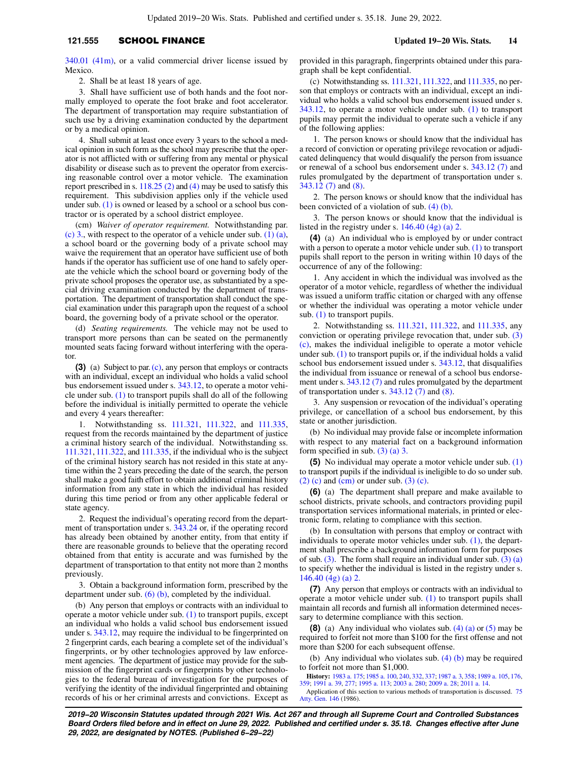## **121.555** SCHOOL FINANCE **Updated 19−20 Wis. Stats. 14**

[340.01 \(41m\)](https://docs.legis.wisconsin.gov/document/statutes/340.01(41m)), or a valid commercial driver license issued by Mexico.

2. Shall be at least 18 years of age.

3. Shall have sufficient use of both hands and the foot normally employed to operate the foot brake and foot accelerator. The department of transportation may require substantiation of such use by a driving examination conducted by the department or by a medical opinion.

4. Shall submit at least once every 3 years to the school a medical opinion in such form as the school may prescribe that the operator is not afflicted with or suffering from any mental or physical disability or disease such as to prevent the operator from exercising reasonable control over a motor vehicle. The examination report prescribed in s.  $118.25$  (2) and [\(4\)](https://docs.legis.wisconsin.gov/document/statutes/118.25(4)) may be used to satisfy this requirement. This subdivision applies only if the vehicle used under sub.  $(1)$  is owned or leased by a school or a school bus contractor or is operated by a school district employee.

(cm) *Waiver of operator requirement.* Notwithstanding par. [\(c\) 3.,](https://docs.legis.wisconsin.gov/document/statutes/121.555(2)(c)3.) with respect to the operator of a vehicle under sub.  $(1)$  (a), a school board or the governing body of a private school may waive the requirement that an operator have sufficient use of both hands if the operator has sufficient use of one hand to safely operate the vehicle which the school board or governing body of the private school proposes the operator use, as substantiated by a special driving examination conducted by the department of transportation. The department of transportation shall conduct the special examination under this paragraph upon the request of a school board, the governing body of a private school or the operator.

(d) *Seating requirements.* The vehicle may not be used to transport more persons than can be seated on the permanently mounted seats facing forward without interfering with the operator.

**(3)** (a) Subject to par. [\(c\)](https://docs.legis.wisconsin.gov/document/statutes/121.555(3)(c)), any person that employs or contracts with an individual, except an individual who holds a valid school bus endorsement issued under s. [343.12](https://docs.legis.wisconsin.gov/document/statutes/343.12), to operate a motor vehicle under sub. [\(1\)](https://docs.legis.wisconsin.gov/document/statutes/121.555(1)) to transport pupils shall do all of the following before the individual is initially permitted to operate the vehicle and every 4 years thereafter:

1. Notwithstanding ss. [111.321](https://docs.legis.wisconsin.gov/document/statutes/111.321), [111.322,](https://docs.legis.wisconsin.gov/document/statutes/111.322) and [111.335,](https://docs.legis.wisconsin.gov/document/statutes/111.335) request from the records maintained by the department of justice a criminal history search of the individual. Notwithstanding ss. [111.321,](https://docs.legis.wisconsin.gov/document/statutes/111.321) [111.322](https://docs.legis.wisconsin.gov/document/statutes/111.322), and [111.335](https://docs.legis.wisconsin.gov/document/statutes/111.335), if the individual who is the subject of the criminal history search has not resided in this state at anytime within the 2 years preceding the date of the search, the person shall make a good faith effort to obtain additional criminal history information from any state in which the individual has resided during this time period or from any other applicable federal or state agency.

2. Request the individual's operating record from the department of transportation under s. [343.24](https://docs.legis.wisconsin.gov/document/statutes/343.24) or, if the operating record has already been obtained by another entity, from that entity if there are reasonable grounds to believe that the operating record obtained from that entity is accurate and was furnished by the department of transportation to that entity not more than 2 months previously.

3. Obtain a background information form, prescribed by the department under sub. [\(6\) \(b\)](https://docs.legis.wisconsin.gov/document/statutes/121.555(6)(b)), completed by the individual.

(b) Any person that employs or contracts with an individual to operate a motor vehicle under sub. [\(1\)](https://docs.legis.wisconsin.gov/document/statutes/121.555(1)) to transport pupils, except an individual who holds a valid school bus endorsement issued under s. [343.12,](https://docs.legis.wisconsin.gov/document/statutes/343.12) may require the individual to be fingerprinted on 2 fingerprint cards, each bearing a complete set of the individual's fingerprints, or by other technologies approved by law enforcement agencies. The department of justice may provide for the submission of the fingerprint cards or fingerprints by other technologies to the federal bureau of investigation for the purposes of verifying the identity of the individual fingerprinted and obtaining records of his or her criminal arrests and convictions. Except as

provided in this paragraph, fingerprints obtained under this paragraph shall be kept confidential.

(c) Notwithstanding ss. [111.321](https://docs.legis.wisconsin.gov/document/statutes/111.321), [111.322,](https://docs.legis.wisconsin.gov/document/statutes/111.322) and [111.335,](https://docs.legis.wisconsin.gov/document/statutes/111.335) no person that employs or contracts with an individual, except an individual who holds a valid school bus endorsement issued under s. [343.12,](https://docs.legis.wisconsin.gov/document/statutes/343.12) to operate a motor vehicle under sub. [\(1\)](https://docs.legis.wisconsin.gov/document/statutes/121.555(1)) to transport pupils may permit the individual to operate such a vehicle if any of the following applies:

1. The person knows or should know that the individual has a record of conviction or operating privilege revocation or adjudicated delinquency that would disqualify the person from issuance or renewal of a school bus endorsement under s. [343.12 \(7\)](https://docs.legis.wisconsin.gov/document/statutes/343.12(7)) and rules promulgated by the department of transportation under s. [343.12 \(7\)](https://docs.legis.wisconsin.gov/document/statutes/343.12(7)) and [\(8\).](https://docs.legis.wisconsin.gov/document/statutes/343.12(8))

2. The person knows or should know that the individual has been convicted of a violation of sub. [\(4\) \(b\).](https://docs.legis.wisconsin.gov/document/statutes/121.555(4)(b))

3. The person knows or should know that the individual is listed in the registry under s. [146.40 \(4g\) \(a\) 2.](https://docs.legis.wisconsin.gov/document/statutes/146.40(4g)(a)2.)

**(4)** (a) An individual who is employed by or under contract with a person to operate a motor vehicle under sub. [\(1\)](https://docs.legis.wisconsin.gov/document/statutes/121.555(1)) to transport pupils shall report to the person in writing within 10 days of the occurrence of any of the following:

1. Any accident in which the individual was involved as the operator of a motor vehicle, regardless of whether the individual was issued a uniform traffic citation or charged with any offense or whether the individual was operating a motor vehicle under sub. [\(1\)](https://docs.legis.wisconsin.gov/document/statutes/121.555(1)) to transport pupils.

2. Notwithstanding ss. [111.321,](https://docs.legis.wisconsin.gov/document/statutes/111.321) [111.322,](https://docs.legis.wisconsin.gov/document/statutes/111.322) and [111.335](https://docs.legis.wisconsin.gov/document/statutes/111.335), any conviction or operating privilege revocation that, under sub. [\(3\)](https://docs.legis.wisconsin.gov/document/statutes/121.555(3)(c)) [\(c\)](https://docs.legis.wisconsin.gov/document/statutes/121.555(3)(c)), makes the individual ineligible to operate a motor vehicle under sub. [\(1\)](https://docs.legis.wisconsin.gov/document/statutes/121.555(1)) to transport pupils or, if the individual holds a valid school bus endorsement issued under s. [343.12](https://docs.legis.wisconsin.gov/document/statutes/343.12), that disqualifies the individual from issuance or renewal of a school bus endorsement under s. [343.12 \(7\)](https://docs.legis.wisconsin.gov/document/statutes/343.12(7)) and rules promulgated by the department of transportation under s. [343.12 \(7\)](https://docs.legis.wisconsin.gov/document/statutes/343.12(7)) and [\(8\)](https://docs.legis.wisconsin.gov/document/statutes/343.12(8)).

3. Any suspension or revocation of the individual's operating privilege, or cancellation of a school bus endorsement, by this state or another jurisdiction.

(b) No individual may provide false or incomplete information with respect to any material fact on a background information form specified in sub. [\(3\) \(a\) 3.](https://docs.legis.wisconsin.gov/document/statutes/121.555(3)(a)3.)

**(5)** No individual may operate a motor vehicle under sub. [\(1\)](https://docs.legis.wisconsin.gov/document/statutes/121.555(1)) to transport pupils if the individual is ineligible to do so under sub.  $(2)$  (c) and [\(cm\)](https://docs.legis.wisconsin.gov/document/statutes/121.555(2)(cm)) or under sub.  $(3)$  (c).

**(6)** (a) The department shall prepare and make available to school districts, private schools, and contractors providing pupil transportation services informational materials, in printed or electronic form, relating to compliance with this section.

(b) In consultation with persons that employ or contract with individuals to operate motor vehicles under sub.  $(1)$ , the department shall prescribe a background information form for purposes of sub.  $(3)$ . The form shall require an individual under sub.  $(3)$  (a) to specify whether the individual is listed in the registry under s. [146.40 \(4g\) \(a\) 2.](https://docs.legis.wisconsin.gov/document/statutes/146.40(4g)(a)2.)

**(7)** Any person that employs or contracts with an individual to operate a motor vehicle under sub. [\(1\)](https://docs.legis.wisconsin.gov/document/statutes/121.555(1)) to transport pupils shall maintain all records and furnish all information determined necessary to determine compliance with this section.

**(8)** (a) Any individual who violates sub. [\(4\) \(a\)](https://docs.legis.wisconsin.gov/document/statutes/121.555(4)(a)) or [\(5\)](https://docs.legis.wisconsin.gov/document/statutes/121.555(5)) may be required to forfeit not more than \$100 for the first offense and not more than \$200 for each subsequent offense.

(b) Any individual who violates sub.  $(4)$  (b) may be required to forfeit not more than \$1,000.

**History:** [1983 a. 175](https://docs.legis.wisconsin.gov/document/acts/1983/175); [1985 a. 100,](https://docs.legis.wisconsin.gov/document/acts/1985/100) [240](https://docs.legis.wisconsin.gov/document/acts/1985/240), [332,](https://docs.legis.wisconsin.gov/document/acts/1985/332) [337](https://docs.legis.wisconsin.gov/document/acts/1985/337); [1987 a. 3,](https://docs.legis.wisconsin.gov/document/acts/1987/3) [358](https://docs.legis.wisconsin.gov/document/acts/1987/358); [1989 a. 105](https://docs.legis.wisconsin.gov/document/acts/1989/105), [176](https://docs.legis.wisconsin.gov/document/acts/1989/176), [359;](https://docs.legis.wisconsin.gov/document/acts/1989/359) [1991 a. 39,](https://docs.legis.wisconsin.gov/document/acts/1991/39) [277;](https://docs.legis.wisconsin.gov/document/acts/1991/277) [1995 a. 113](https://docs.legis.wisconsin.gov/document/acts/1995/113); [2003 a. 280;](https://docs.legis.wisconsin.gov/document/acts/2003/280) [2009 a. 28;](https://docs.legis.wisconsin.gov/document/acts/2009/28) [2011 a. 14.](https://docs.legis.wisconsin.gov/document/acts/2011/14)

Application of this section to various methods of transportation is discussed. [75](https://docs.legis.wisconsin.gov/document/oag/vol75-146) [Atty. Gen. 146](https://docs.legis.wisconsin.gov/document/oag/vol75-146) (1986).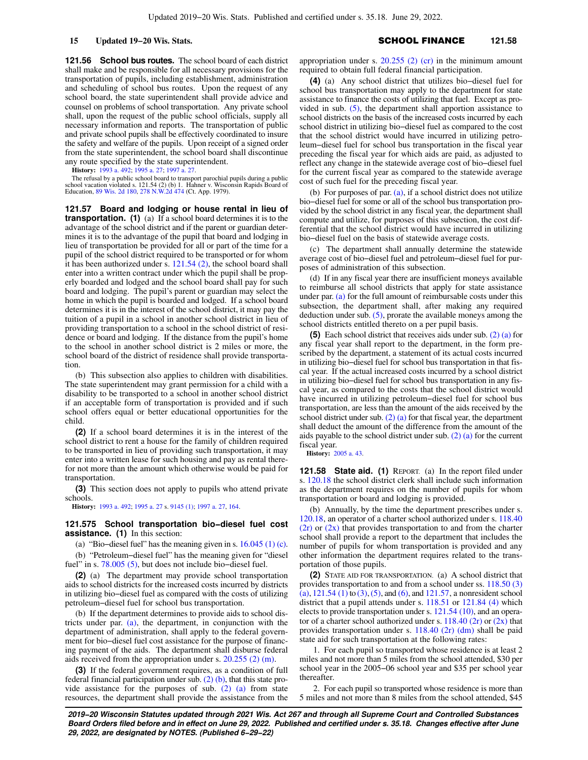**121.56 School bus routes.** The school board of each district shall make and be responsible for all necessary provisions for the transportation of pupils, including establishment, administration and scheduling of school bus routes. Upon the request of any school board, the state superintendent shall provide advice and counsel on problems of school transportation. Any private school shall, upon the request of the public school officials, supply all necessary information and reports. The transportation of public and private school pupils shall be effectively coordinated to insure the safety and welfare of the pupils. Upon receipt of a signed order from the state superintendent, the school board shall discontinue any route specified by the state superintendent.

**History:** [1993 a. 492](https://docs.legis.wisconsin.gov/document/acts/1993/492); [1995 a. 27;](https://docs.legis.wisconsin.gov/document/acts/1995/27) [1997 a. 27.](https://docs.legis.wisconsin.gov/document/acts/1997/27)

The refusal by a public school board to transport parochial pupils during a public school vacation violated s. 121.54 (2) (b) 1. Hahner v. Wisconsin Rapids Board of Education, [89 Wis. 2d 180](https://docs.legis.wisconsin.gov/document/courts/89%20Wis.%202d%20180), [278 N.W.2d 474](https://docs.legis.wisconsin.gov/document/courts/278%20N.W.2d%20474) (Ct. App. 1979).

**121.57 Board and lodging or house rental in lieu of transportation. (1)** (a) If a school board determines it is to the advantage of the school district and if the parent or guardian determines it is to the advantage of the pupil that board and lodging in lieu of transportation be provided for all or part of the time for a pupil of the school district required to be transported or for whom it has been authorized under s. [121.54 \(2\),](https://docs.legis.wisconsin.gov/document/statutes/121.54(2)) the school board shall enter into a written contract under which the pupil shall be properly boarded and lodged and the school board shall pay for such board and lodging. The pupil's parent or guardian may select the home in which the pupil is boarded and lodged. If a school board determines it is in the interest of the school district, it may pay the tuition of a pupil in a school in another school district in lieu of providing transportation to a school in the school district of residence or board and lodging. If the distance from the pupil's home to the school in another school district is 2 miles or more, the school board of the district of residence shall provide transportation.

(b) This subsection also applies to children with disabilities. The state superintendent may grant permission for a child with a disability to be transported to a school in another school district if an acceptable form of transportation is provided and if such school offers equal or better educational opportunities for the child.

**(2)** If a school board determines it is in the interest of the school district to rent a house for the family of children required to be transported in lieu of providing such transportation, it may enter into a written lease for such housing and pay as rental therefor not more than the amount which otherwise would be paid for transportation.

**(3)** This section does not apply to pupils who attend private schools.

**History:** [1993 a. 492](https://docs.legis.wisconsin.gov/document/acts/1993/492); [1995 a. 27](https://docs.legis.wisconsin.gov/document/acts/1995/27) s. [9145 \(1\)](https://docs.legis.wisconsin.gov/document/acts/1995/27,%20s.%209145); [1997 a. 27,](https://docs.legis.wisconsin.gov/document/acts/1997/27) [164.](https://docs.legis.wisconsin.gov/document/acts/1997/164)

## **121.575 School transportation bio−diesel fuel cost assistance. (1)** In this section:

(a) "Bio−diesel fuel" has the meaning given in s. [16.045 \(1\) \(c\).](https://docs.legis.wisconsin.gov/document/statutes/16.045(1)(c)) (b) "Petroleum−diesel fuel" has the meaning given for "diesel fuel" in s. [78.005 \(5\)](https://docs.legis.wisconsin.gov/document/statutes/78.005(5)), but does not include bio−diesel fuel.

**(2)** (a) The department may provide school transportation aids to school districts for the increased costs incurred by districts in utilizing bio−diesel fuel as compared with the costs of utilizing petroleum−diesel fuel for school bus transportation.

(b) If the department determines to provide aids to school districts under par. [\(a\)](https://docs.legis.wisconsin.gov/document/statutes/121.575(2)(a)), the department, in conjunction with the department of administration, shall apply to the federal government for bio−diesel fuel cost assistance for the purpose of financing payment of the aids. The department shall disburse federal aids received from the appropriation under s. [20.255 \(2\) \(m\).](https://docs.legis.wisconsin.gov/document/statutes/20.255(2)(m))

**(3)** If the federal government requires, as a condition of full federal financial participation under sub.  $(2)$  (b), that this state provide assistance for the purposes of sub.  $(2)$   $(a)$  from state resources, the department shall provide the assistance from the appropriation under s.  $20.255$  (2) (cr) in the minimum amount required to obtain full federal financial participation.

**(4)** (a) Any school district that utilizes bio−diesel fuel for school bus transportation may apply to the department for state assistance to finance the costs of utilizing that fuel. Except as provided in sub.  $(5)$ , the department shall apportion assistance to school districts on the basis of the increased costs incurred by each school district in utilizing bio−diesel fuel as compared to the cost that the school district would have incurred in utilizing petroleum−diesel fuel for school bus transportation in the fiscal year preceding the fiscal year for which aids are paid, as adjusted to reflect any change in the statewide average cost of bio−diesel fuel for the current fiscal year as compared to the statewide average cost of such fuel for the preceding fiscal year.

(b) For purposes of par.  $(a)$ , if a school district does not utilize bio−diesel fuel for some or all of the school bus transportation provided by the school district in any fiscal year, the department shall compute and utilize, for purposes of this subsection, the cost differential that the school district would have incurred in utilizing bio−diesel fuel on the basis of statewide average costs.

(c) The department shall annually determine the statewide average cost of bio−diesel fuel and petroleum−diesel fuel for purposes of administration of this subsection.

(d) If in any fiscal year there are insufficient moneys available to reimburse all school districts that apply for state assistance under par. [\(a\)](https://docs.legis.wisconsin.gov/document/statutes/121.575(4)(a)) for the full amount of reimbursable costs under this subsection, the department shall, after making any required deduction under sub. [\(5\),](https://docs.legis.wisconsin.gov/document/statutes/121.575(5)) prorate the available moneys among the school districts entitled thereto on a per pupil basis.

**(5)** Each school district that receives aids under sub. [\(2\) \(a\)](https://docs.legis.wisconsin.gov/document/statutes/121.575(2)(a)) for any fiscal year shall report to the department, in the form prescribed by the department, a statement of its actual costs incurred in utilizing bio−diesel fuel for school bus transportation in that fiscal year. If the actual increased costs incurred by a school district in utilizing bio−diesel fuel for school bus transportation in any fiscal year, as compared to the costs that the school district would have incurred in utilizing petroleum−diesel fuel for school bus transportation, are less than the amount of the aids received by the school district under sub.  $(2)$  (a) for that fiscal year, the department shall deduct the amount of the difference from the amount of the aids payable to the school district under sub. [\(2\) \(a\)](https://docs.legis.wisconsin.gov/document/statutes/121.575(2)(a)) for the current fiscal year.

**History:** [2005 a. 43](https://docs.legis.wisconsin.gov/document/acts/2005/43).

**121.58 State aid. (1)** REPORT. (a) In the report filed under s. [120.18](https://docs.legis.wisconsin.gov/document/statutes/120.18) the school district clerk shall include such information as the department requires on the number of pupils for whom transportation or board and lodging is provided.

(b) Annually, by the time the department prescribes under s. [120.18,](https://docs.legis.wisconsin.gov/document/statutes/120.18) an operator of a charter school authorized under s. [118.40](https://docs.legis.wisconsin.gov/document/statutes/118.40(2r))  $(2r)$  or  $(2x)$  that provides transportation to and from the charter school shall provide a report to the department that includes the number of pupils for whom transportation is provided and any other information the department requires related to the transportation of those pupils.

**(2)** STATE AID FOR TRANSPORTATION. (a) A school district that provides transportation to and from a school under ss. [118.50 \(3\)](https://docs.legis.wisconsin.gov/document/statutes/118.50(3)(a)) [\(a\)](https://docs.legis.wisconsin.gov/document/statutes/118.50(3)(a)),  $121.54$  (1) to [\(3\),](https://docs.legis.wisconsin.gov/document/statutes/121.54(3)) [\(5\),](https://docs.legis.wisconsin.gov/document/statutes/121.54(5)) and [\(6\)](https://docs.legis.wisconsin.gov/document/statutes/121.54(6)), and  $121.57$ , a nonresident school district that a pupil attends under s. [118.51](https://docs.legis.wisconsin.gov/document/statutes/118.51) or [121.84 \(4\)](https://docs.legis.wisconsin.gov/document/statutes/121.84(4)) which elects to provide transportation under s. [121.54 \(10\)](https://docs.legis.wisconsin.gov/document/statutes/121.54(10)), and an operator of a charter school authorized under s.  $118.40$  (2r) or [\(2x\)](https://docs.legis.wisconsin.gov/document/statutes/118.40(2x)) that provides transportation under s. [118.40 \(2r\) \(dm\)](https://docs.legis.wisconsin.gov/document/statutes/118.40(2r)(dm)) shall be paid state aid for such transportation at the following rates:

1. For each pupil so transported whose residence is at least 2 miles and not more than 5 miles from the school attended, \$30 per school year in the 2005−06 school year and \$35 per school year thereafter.

2. For each pupil so transported whose residence is more than 5 miles and not more than 8 miles from the school attended, \$45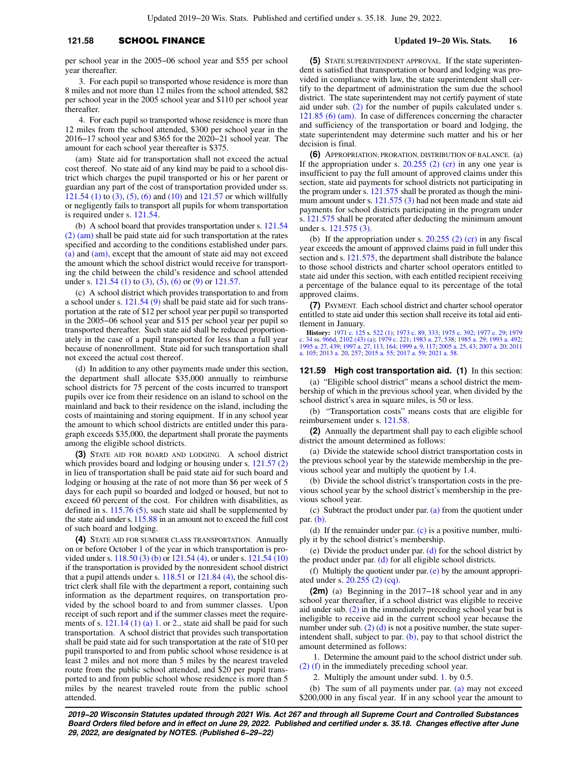## **121.58 SCHOOL FINANCE Updated 19−20 Wis. Stats. 16**

per school year in the 2005−06 school year and \$55 per school year thereafter.

3. For each pupil so transported whose residence is more than 8 miles and not more than 12 miles from the school attended, \$82 per school year in the 2005 school year and \$110 per school year thereafter.

4. For each pupil so transported whose residence is more than 12 miles from the school attended, \$300 per school year in the 2016−17 school year and \$365 for the 2020−21 school year. The amount for each school year thereafter is \$375.

(am) State aid for transportation shall not exceed the actual cost thereof. No state aid of any kind may be paid to a school district which charges the pupil transported or his or her parent or guardian any part of the cost of transportation provided under ss. [121.54 \(1\)](https://docs.legis.wisconsin.gov/document/statutes/121.54(1)) to [\(3\)](https://docs.legis.wisconsin.gov/document/statutes/121.54(3)), [\(5\)](https://docs.legis.wisconsin.gov/document/statutes/121.54(5)), [\(6\)](https://docs.legis.wisconsin.gov/document/statutes/121.54(6)) and [\(10\)](https://docs.legis.wisconsin.gov/document/statutes/121.54(10)) and [121.57](https://docs.legis.wisconsin.gov/document/statutes/121.57) or which willfully or negligently fails to transport all pupils for whom transportation is required under s. [121.54](https://docs.legis.wisconsin.gov/document/statutes/121.54).

(b) A school board that provides transportation under s. [121.54](https://docs.legis.wisconsin.gov/document/statutes/121.54(2)(am)) [\(2\) \(am\)](https://docs.legis.wisconsin.gov/document/statutes/121.54(2)(am)) shall be paid state aid for such transportation at the rates specified and according to the conditions established under pars. [\(a\)](https://docs.legis.wisconsin.gov/document/statutes/121.58(2)(a)) and [\(am\)](https://docs.legis.wisconsin.gov/document/statutes/121.58(2)(am)), except that the amount of state aid may not exceed the amount which the school district would receive for transporting the child between the child's residence and school attended under s. [121.54 \(1\)](https://docs.legis.wisconsin.gov/document/statutes/121.54(1)) to [\(3\),](https://docs.legis.wisconsin.gov/document/statutes/121.54(3)) [\(5\),](https://docs.legis.wisconsin.gov/document/statutes/121.54(5)) [\(6\)](https://docs.legis.wisconsin.gov/document/statutes/121.54(6)) or [\(9\)](https://docs.legis.wisconsin.gov/document/statutes/121.54(9)) or [121.57](https://docs.legis.wisconsin.gov/document/statutes/121.57).

(c) A school district which provides transportation to and from a school under s. [121.54 \(9\)](https://docs.legis.wisconsin.gov/document/statutes/121.54(9)) shall be paid state aid for such transportation at the rate of \$12 per school year per pupil so transported in the 2005−06 school year and \$15 per school year per pupil so transported thereafter. Such state aid shall be reduced proportionately in the case of a pupil transported for less than a full year because of nonenrollment. State aid for such transportation shall not exceed the actual cost thereof.

(d) In addition to any other payments made under this section, the department shall allocate \$35,000 annually to reimburse school districts for 75 percent of the costs incurred to transport pupils over ice from their residence on an island to school on the mainland and back to their residence on the island, including the costs of maintaining and storing equipment. If in any school year the amount to which school districts are entitled under this paragraph exceeds \$35,000, the department shall prorate the payments among the eligible school districts.

**(3)** STATE AID FOR BOARD AND LODGING. A school district which provides board and lodging or housing under s. [121.57 \(2\)](https://docs.legis.wisconsin.gov/document/statutes/121.57(2)) in lieu of transportation shall be paid state aid for such board and lodging or housing at the rate of not more than \$6 per week of 5 days for each pupil so boarded and lodged or housed, but not to exceed 60 percent of the cost. For children with disabilities, as defined in s. [115.76 \(5\)](https://docs.legis.wisconsin.gov/document/statutes/115.76(5)), such state aid shall be supplemented by the state aid under s. [115.88](https://docs.legis.wisconsin.gov/document/statutes/115.88) in an amount not to exceed the full cost of such board and lodging.

**(4)** STATE AID FOR SUMMER CLASS TRANSPORTATION. Annually on or before October 1 of the year in which transportation is provided under s. [118.50 \(3\) \(b\)](https://docs.legis.wisconsin.gov/document/statutes/118.50(3)(b)) or [121.54 \(4\),](https://docs.legis.wisconsin.gov/document/statutes/121.54(4)) or under s. [121.54 \(10\)](https://docs.legis.wisconsin.gov/document/statutes/121.54(10)) if the transportation is provided by the nonresident school district that a pupil attends under s. [118.51](https://docs.legis.wisconsin.gov/document/statutes/118.51) or [121.84 \(4\),](https://docs.legis.wisconsin.gov/document/statutes/121.84(4)) the school district clerk shall file with the department a report, containing such information as the department requires, on transportation provided by the school board to and from summer classes. Upon receipt of such report and if the summer classes meet the requirements of s.  $121.14$  (1) (a) 1. or [2.,](https://docs.legis.wisconsin.gov/document/statutes/121.14(1)(a)2.) state aid shall be paid for such transportation. A school district that provides such transportation shall be paid state aid for such transportation at the rate of \$10 per pupil transported to and from public school whose residence is at least 2 miles and not more than 5 miles by the nearest traveled route from the public school attended, and \$20 per pupil transported to and from public school whose residence is more than 5 miles by the nearest traveled route from the public school attended.

**(5)** STATE SUPERINTENDENT APPROVAL. If the state superintendent is satisfied that transportation or board and lodging was provided in compliance with law, the state superintendent shall certify to the department of administration the sum due the school district. The state superintendent may not certify payment of state aid under sub. [\(2\)](https://docs.legis.wisconsin.gov/document/statutes/121.58(2)) for the number of pupils calculated under s. [121.85 \(6\) \(am\).](https://docs.legis.wisconsin.gov/document/statutes/121.85(6)(am)) In case of differences concerning the character and sufficiency of the transportation or board and lodging, the state superintendent may determine such matter and his or her decision is final.

**(6)** APPROPRIATION; PRORATION, DISTRIBUTION OF BALANCE. (a) If the appropriation under s.  $20.255$  (2) (cr) in any one year is insufficient to pay the full amount of approved claims under this section, state aid payments for school districts not participating in the program under s. [121.575](https://docs.legis.wisconsin.gov/document/statutes/121.575) shall be prorated as though the minimum amount under s. [121.575 \(3\)](https://docs.legis.wisconsin.gov/document/statutes/121.575(3)) had not been made and state aid payments for school districts participating in the program under s. [121.575](https://docs.legis.wisconsin.gov/document/statutes/121.575) shall be prorated after deducting the minimum amount under s. [121.575 \(3\)](https://docs.legis.wisconsin.gov/document/statutes/121.575(3)).

(b) If the appropriation under s.  $20.255$  (2) (cr) in any fiscal year exceeds the amount of approved claims paid in full under this section and s. [121.575,](https://docs.legis.wisconsin.gov/document/statutes/121.575) the department shall distribute the balance to those school districts and charter school operators entitled to state aid under this section, with each entitled recipient receiving a percentage of the balance equal to its percentage of the total approved claims.

**(7)** PAYMENT. Each school district and charter school operator entitled to state aid under this section shall receive its total aid entitlement in January.

**History:** [1971 c. 125](https://docs.legis.wisconsin.gov/document/acts/1971/125) s. [522 \(1\)](https://docs.legis.wisconsin.gov/document/acts/1971/125,%20s.%20522); [1973 c. 89](https://docs.legis.wisconsin.gov/document/acts/1973/89), [333](https://docs.legis.wisconsin.gov/document/acts/1973/333); [1975 c. 392](https://docs.legis.wisconsin.gov/document/acts/1975/392); [1977 c. 29;](https://docs.legis.wisconsin.gov/document/acts/1977/29) [1979](https://docs.legis.wisconsin.gov/document/acts/1979/34)<br>[c. 34](https://docs.legis.wisconsin.gov/document/acts/1979/34) ss. [966d](https://docs.legis.wisconsin.gov/document/acts/1979/34,%20s.%20966d), [2102 \(43\) \(a\)](https://docs.legis.wisconsin.gov/document/acts/1979/34,%20s.%202102); [1979 c. 221;](https://docs.legis.wisconsin.gov/document/acts/1979/221) [1983 a. 27](https://docs.legis.wisconsin.gov/document/acts/1983/27), [538](https://docs.legis.wisconsin.gov/document/acts/1983/538); [1985 a. 29](https://docs.legis.wisconsin.gov/document/acts/1985/29); [1993 a. 492](https://docs.legis.wisconsin.gov/document/acts/1993/492);<br>[1995 a. 27](https://docs.legis.wisconsin.gov/document/acts/1995/27), [439;](https://docs.legis.wisconsin.gov/document/acts/1995/439) [1997 a. 27,](https://docs.legis.wisconsin.gov/document/acts/1997/27) [113,](https://docs.legis.wisconsin.gov/document/acts/1997/113) [164](https://docs.legis.wisconsin.gov/document/acts/1997/164); [1999 a. 9,](https://docs.legis.wisconsin.gov/document/acts/1999/9) [117;](https://docs.legis.wisconsin.gov/document/acts/1999/117) [a. 105](https://docs.legis.wisconsin.gov/document/acts/2011/105); [2013 a. 20](https://docs.legis.wisconsin.gov/document/acts/2013/20), [257](https://docs.legis.wisconsin.gov/document/acts/2013/257); [2015 a. 55;](https://docs.legis.wisconsin.gov/document/acts/2015/55) [2017 a. 59;](https://docs.legis.wisconsin.gov/document/acts/2017/59) [2021 a. 58.](https://docs.legis.wisconsin.gov/document/acts/2021/58)

### **121.59 High cost transportation aid. (1)** In this section:

(a) "Eligible school district" means a school district the membership of which in the previous school year, when divided by the school district's area in square miles, is 50 or less.

(b) "Transportation costs" means costs that are eligible for reimbursement under s. [121.58](https://docs.legis.wisconsin.gov/document/statutes/121.58).

**(2)** Annually the department shall pay to each eligible school district the amount determined as follows:

(a) Divide the statewide school district transportation costs in the previous school year by the statewide membership in the previous school year and multiply the quotient by 1.4.

(b) Divide the school district's transportation costs in the previous school year by the school district's membership in the previous school year.

(c) Subtract the product under par. [\(a\)](https://docs.legis.wisconsin.gov/document/statutes/121.59(2)(a)) from the quotient under par. [\(b\)](https://docs.legis.wisconsin.gov/document/statutes/121.59(2)(b)).

(d) If the remainder under par. [\(c\)](https://docs.legis.wisconsin.gov/document/statutes/121.59(2)(c)) is a positive number, multiply it by the school district's membership.

(e) Divide the product under par.  $(d)$  for the school district by the product under par. [\(d\)](https://docs.legis.wisconsin.gov/document/statutes/121.59(2)(d)) for all eligible school districts.

(f) Multiply the quotient under par.  $(e)$  by the amount appropriated under s. [20.255 \(2\) \(cq\).](https://docs.legis.wisconsin.gov/document/statutes/20.255(2)(cq))

**(2m)** (a) Beginning in the 2017−18 school year and in any school year thereafter, if a school district was eligible to receive aid under sub. [\(2\)](https://docs.legis.wisconsin.gov/document/statutes/121.59(2)) in the immediately preceding school year but is ineligible to receive aid in the current school year because the number under sub.  $(2)$  (d) is not a positive number, the state superintendent shall, subject to par.  $(b)$ , pay to that school district the amount determined as follows:

1. Determine the amount paid to the school district under sub. [\(2\) \(f\)](https://docs.legis.wisconsin.gov/document/statutes/121.59(2)(f)) in the immediately preceding school year.

2. Multiply the amount under subd. [1.](https://docs.legis.wisconsin.gov/document/statutes/121.59(2m)(a)1.) by 0.5.

(b) The sum of all payments under par. [\(a\)](https://docs.legis.wisconsin.gov/document/statutes/121.59(2m)(a)) may not exceed \$200,000 in any fiscal year. If in any school year the amount to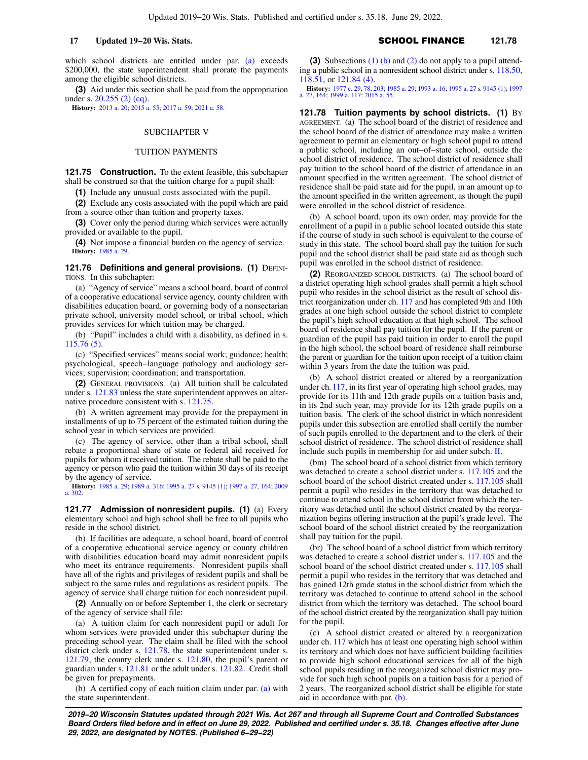which school districts are entitled under par. [\(a\)](https://docs.legis.wisconsin.gov/document/statutes/121.59(2m)(a)) exceeds \$200,000, the state superintendent shall prorate the payments among the eligible school districts.

**(3)** Aid under this section shall be paid from the appropriation under s. [20.255 \(2\) \(cq\)](https://docs.legis.wisconsin.gov/document/statutes/20.255(2)(cq)).

**History:** [2013 a. 20;](https://docs.legis.wisconsin.gov/document/acts/2013/20) [2015 a. 55;](https://docs.legis.wisconsin.gov/document/acts/2015/55) [2017 a. 59](https://docs.legis.wisconsin.gov/document/acts/2017/59); [2021 a. 58](https://docs.legis.wisconsin.gov/document/acts/2021/58).

## SUBCHAPTER V

## TUITION PAYMENTS

**121.75 Construction.** To the extent feasible, this subchapter shall be construed so that the tuition charge for a pupil shall:

**(1)** Include any unusual costs associated with the pupil.

**(2)** Exclude any costs associated with the pupil which are paid from a source other than tuition and property taxes.

**(3)** Cover only the period during which services were actually provided or available to the pupil.

**(4)** Not impose a financial burden on the agency of service. **History:** [1985 a. 29.](https://docs.legis.wisconsin.gov/document/acts/1985/29)

**121.76 Definitions and general provisions. (1) DEFINI-**TIONS. In this subchapter:

(a) "Agency of service" means a school board, board of control of a cooperative educational service agency, county children with disabilities education board, or governing body of a nonsectarian private school, university model school, or tribal school, which provides services for which tuition may be charged.

(b) "Pupil" includes a child with a disability, as defined in s. [115.76 \(5\)](https://docs.legis.wisconsin.gov/document/statutes/115.76(5)).

(c) "Specified services" means social work; guidance; health; psychological, speech−language pathology and audiology services; supervision; coordination; and transportation.

**(2)** GENERAL PROVISIONS. (a) All tuition shall be calculated under s. [121.83](https://docs.legis.wisconsin.gov/document/statutes/121.83) unless the state superintendent approves an alternative procedure consistent with s. [121.75](https://docs.legis.wisconsin.gov/document/statutes/121.75).

(b) A written agreement may provide for the prepayment in installments of up to 75 percent of the estimated tuition during the school year in which services are provided.

(c) The agency of service, other than a tribal school, shall rebate a proportional share of state or federal aid received for pupils for whom it received tuition. The rebate shall be paid to the agency or person who paid the tuition within 30 days of its receipt by the agency of service.

**History:** [1985 a. 29;](https://docs.legis.wisconsin.gov/document/acts/1985/29) [1989 a. 316;](https://docs.legis.wisconsin.gov/document/acts/1989/316) [1995 a. 27](https://docs.legis.wisconsin.gov/document/acts/1995/27) s. [9145 \(1\);](https://docs.legis.wisconsin.gov/document/acts/1995/27,%20s.%209145) [1997 a. 27](https://docs.legis.wisconsin.gov/document/acts/1997/27), [164](https://docs.legis.wisconsin.gov/document/acts/1997/164); [2009](https://docs.legis.wisconsin.gov/document/acts/2009/302) [a. 302.](https://docs.legis.wisconsin.gov/document/acts/2009/302)

**121.77 Admission of nonresident pupils. (1)** (a) Every elementary school and high school shall be free to all pupils who reside in the school district.

(b) If facilities are adequate, a school board, board of control of a cooperative educational service agency or county children with disabilities education board may admit nonresident pupils who meet its entrance requirements. Nonresident pupils shall have all of the rights and privileges of resident pupils and shall be subject to the same rules and regulations as resident pupils. The agency of service shall charge tuition for each nonresident pupil.

**(2)** Annually on or before September 1, the clerk or secretary of the agency of service shall file:

(a) A tuition claim for each nonresident pupil or adult for whom services were provided under this subchapter during the preceding school year. The claim shall be filed with the school district clerk under s. [121.78,](https://docs.legis.wisconsin.gov/document/statutes/121.78) the state superintendent under s. [121.79,](https://docs.legis.wisconsin.gov/document/statutes/121.79) the county clerk under s. [121.80](https://docs.legis.wisconsin.gov/document/statutes/121.80), the pupil's parent or guardian under s. [121.81](https://docs.legis.wisconsin.gov/document/statutes/121.81) or the adult under s. [121.82](https://docs.legis.wisconsin.gov/document/statutes/121.82). Credit shall be given for prepayments.

(b) A certified copy of each tuition claim under par. [\(a\)](https://docs.legis.wisconsin.gov/document/statutes/121.77(2)(a)) with the state superintendent.

**(3)** Subsections [\(1\) \(b\)](https://docs.legis.wisconsin.gov/document/statutes/121.77(1)(b)) and [\(2\)](https://docs.legis.wisconsin.gov/document/statutes/121.77(2)) do not apply to a pupil attending a public school in a nonresident school district under s. [118.50,](https://docs.legis.wisconsin.gov/document/statutes/118.50) [118.51,](https://docs.legis.wisconsin.gov/document/statutes/118.51) or [121.84 \(4\).](https://docs.legis.wisconsin.gov/document/statutes/121.84(4))

**History:** [1977 c. 29,](https://docs.legis.wisconsin.gov/document/acts/1977/29) [78,](https://docs.legis.wisconsin.gov/document/acts/1977/78) [203;](https://docs.legis.wisconsin.gov/document/acts/1977/203) [1985 a. 29;](https://docs.legis.wisconsin.gov/document/acts/1985/29) [1993 a. 16;](https://docs.legis.wisconsin.gov/document/acts/1993/16) [1995 a. 27](https://docs.legis.wisconsin.gov/document/acts/1995/27) s. [9145 \(1\);](https://docs.legis.wisconsin.gov/document/acts/1995/27,%20s.%209145) [1997](https://docs.legis.wisconsin.gov/document/acts/1997/27) [a. 27,](https://docs.legis.wisconsin.gov/document/acts/1997/27) [164;](https://docs.legis.wisconsin.gov/document/acts/1997/164) [1999 a. 117](https://docs.legis.wisconsin.gov/document/acts/1999/117); [2015 a. 55](https://docs.legis.wisconsin.gov/document/acts/2015/55).

**121.78 Tuition payments by school districts. (1)** BY AGREEMENT. (a) The school board of the district of residence and the school board of the district of attendance may make a written agreement to permit an elementary or high school pupil to attend a public school, including an out−of−state school, outside the school district of residence. The school district of residence shall pay tuition to the school board of the district of attendance in an amount specified in the written agreement. The school district of residence shall be paid state aid for the pupil, in an amount up to the amount specified in the written agreement, as though the pupil were enrolled in the school district of residence.

(b) A school board, upon its own order, may provide for the enrollment of a pupil in a public school located outside this state if the course of study in such school is equivalent to the course of study in this state. The school board shall pay the tuition for such pupil and the school district shall be paid state aid as though such pupil was enrolled in the school district of residence.

**(2)** REORGANIZED SCHOOL DISTRICTS. (a) The school board of a district operating high school grades shall permit a high school pupil who resides in the school district as the result of school district reorganization under ch. [117](https://docs.legis.wisconsin.gov/document/statutes/ch.%20117) and has completed 9th and 10th grades at one high school outside the school district to complete the pupil's high school education at that high school. The school board of residence shall pay tuition for the pupil. If the parent or guardian of the pupil has paid tuition in order to enroll the pupil in the high school, the school board of residence shall reimburse the parent or guardian for the tuition upon receipt of a tuition claim within 3 years from the date the tuition was paid.

(b) A school district created or altered by a reorganization under ch. [117](https://docs.legis.wisconsin.gov/document/statutes/ch.%20117), in its first year of operating high school grades, may provide for its 11th and 12th grade pupils on a tuition basis and, in its 2nd such year, may provide for its 12th grade pupils on a tuition basis. The clerk of the school district in which nonresident pupils under this subsection are enrolled shall certify the number of such pupils enrolled to the department and to the clerk of their school district of residence. The school district of residence shall include such pupils in membership for aid under subch. [II](https://docs.legis.wisconsin.gov/document/statutes/subch.%20II%20of%20ch.%20121).

(bm) The school board of a school district from which territory was detached to create a school district under s. [117.105](https://docs.legis.wisconsin.gov/document/statutes/117.105) and the school board of the school district created under s. [117.105](https://docs.legis.wisconsin.gov/document/statutes/117.105) shall permit a pupil who resides in the territory that was detached to continue to attend school in the school district from which the territory was detached until the school district created by the reorganization begins offering instruction at the pupil's grade level. The school board of the school district created by the reorganization shall pay tuition for the pupil.

(br) The school board of a school district from which territory was detached to create a school district under s. [117.105](https://docs.legis.wisconsin.gov/document/statutes/117.105) and the school board of the school district created under s. [117.105](https://docs.legis.wisconsin.gov/document/statutes/117.105) shall permit a pupil who resides in the territory that was detached and has gained 12th grade status in the school district from which the territory was detached to continue to attend school in the school district from which the territory was detached. The school board of the school district created by the reorganization shall pay tuition for the pupil.

(c) A school district created or altered by a reorganization under ch. [117](https://docs.legis.wisconsin.gov/document/statutes/ch.%20117) which has at least one operating high school within its territory and which does not have sufficient building facilities to provide high school educational services for all of the high school pupils residing in the reorganized school district may provide for such high school pupils on a tuition basis for a period of 2 years. The reorganized school district shall be eligible for state aid in accordance with par. [\(b\)](https://docs.legis.wisconsin.gov/document/statutes/121.78(2)(b)).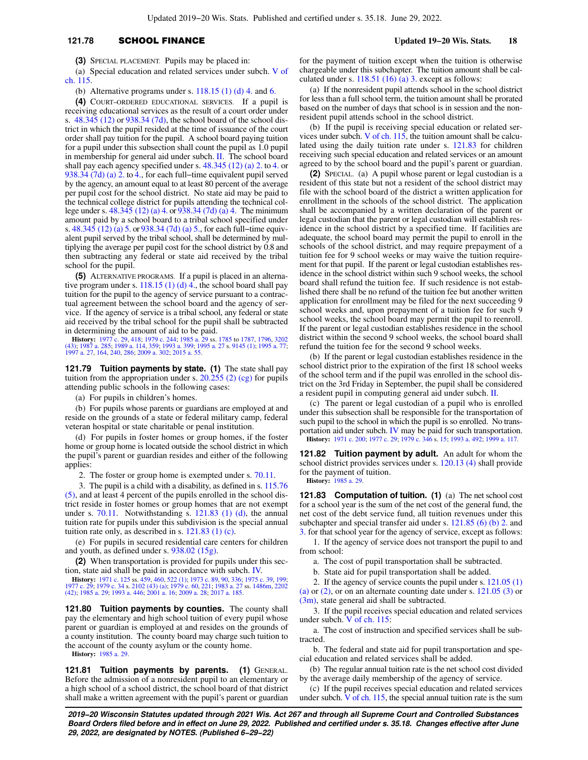## **121.78** SCHOOL FINANCE **Updated 19−20 Wis. Stats. 18**

**(3)** SPECIAL PLACEMENT. Pupils may be placed in:

(a) Special education and related services under subch. [V of](https://docs.legis.wisconsin.gov/document/statutes/subch.%20V%20of%20ch.%20115) [ch. 115](https://docs.legis.wisconsin.gov/document/statutes/subch.%20V%20of%20ch.%20115).

(b) Alternative programs under s.  $118.15$  (1) (d) 4. and [6.](https://docs.legis.wisconsin.gov/document/statutes/118.15(1)(d)6.)

**(4)** COURT−ORDERED EDUCATIONAL SERVICES. If a pupil is receiving educational services as the result of a court order under s. [48.345 \(12\)](https://docs.legis.wisconsin.gov/document/statutes/48.345(12)) or [938.34 \(7d\),](https://docs.legis.wisconsin.gov/document/statutes/938.34(7d)) the school board of the school district in which the pupil resided at the time of issuance of the court order shall pay tuition for the pupil. A school board paying tuition for a pupil under this subsection shall count the pupil as 1.0 pupil in membership for general aid under subch. [II.](https://docs.legis.wisconsin.gov/document/statutes/subch.%20II%20of%20ch.%20121) The school board shall pay each agency specified under s. [48.345 \(12\) \(a\) 2.](https://docs.legis.wisconsin.gov/document/statutes/48.345(12)(a)2.) to [4.](https://docs.legis.wisconsin.gov/document/statutes/48.345(12)(a)4.) or [938.34 \(7d\) \(a\) 2.](https://docs.legis.wisconsin.gov/document/statutes/938.34(7d)(a)2.) to [4.](https://docs.legis.wisconsin.gov/document/statutes/938.34(7d)(a)4.), for each full–time equivalent pupil served by the agency, an amount equal to at least 80 percent of the average per pupil cost for the school district. No state aid may be paid to the technical college district for pupils attending the technical college under s. [48.345 \(12\) \(a\) 4.](https://docs.legis.wisconsin.gov/document/statutes/48.345(12)(a)4.) or [938.34 \(7d\) \(a\) 4.](https://docs.legis.wisconsin.gov/document/statutes/938.34(7d)(a)4.) The minimum amount paid by a school board to a tribal school specified under s. [48.345 \(12\) \(a\) 5.](https://docs.legis.wisconsin.gov/document/statutes/48.345(12)(a)5.) or [938.34 \(7d\) \(a\) 5.](https://docs.legis.wisconsin.gov/document/statutes/938.34(7d)(a)5.), for each full−time equivalent pupil served by the tribal school, shall be determined by multiplying the average per pupil cost for the school district by 0.8 and then subtracting any federal or state aid received by the tribal school for the pupil.

**(5)** ALTERNATIVE PROGRAMS. If a pupil is placed in an alternative program under s.  $118.15$  (1) (d) 4., the school board shall pay tuition for the pupil to the agency of service pursuant to a contractual agreement between the school board and the agency of service. If the agency of service is a tribal school, any federal or state aid received by the tribal school for the pupil shall be subtracted in determining the amount of aid to be paid.

**History:** [1977 c. 29,](https://docs.legis.wisconsin.gov/document/acts/1977/29) [418;](https://docs.legis.wisconsin.gov/document/acts/1977/418) [1979 c. 244;](https://docs.legis.wisconsin.gov/document/acts/1979/244) [1985 a. 29](https://docs.legis.wisconsin.gov/document/acts/1985/29) ss. [1785](https://docs.legis.wisconsin.gov/document/acts/1985/29,%20s.%201785) to [1787,](https://docs.legis.wisconsin.gov/document/acts/1985/29,%20s.%201787) [1796](https://docs.legis.wisconsin.gov/document/acts/1985/29,%20s.%201796), [3202](https://docs.legis.wisconsin.gov/document/acts/1985/29,%20s.%203202)<br>[\(43\)](https://docs.legis.wisconsin.gov/document/acts/1985/29,%20s.%203202); [1987 a. 285;](https://docs.legis.wisconsin.gov/document/acts/1987/285) [1989 a. 114](https://docs.legis.wisconsin.gov/document/acts/1989/114), [359](https://docs.legis.wisconsin.gov/document/acts/1989/359); [1993 a. 399;](https://docs.legis.wisconsin.gov/document/acts/1993/399) [1995 a. 27](https://docs.legis.wisconsin.gov/document/acts/1995/27) s. [9145 \(1\);](https://docs.legis.wisconsin.gov/document/acts/1995/27,%20s.%209145) [1995 a. 77](https://docs.legis.wisconsin.gov/document/acts/1995/77);<br>[1997 a. 27](https://docs.legis.wisconsin.gov/document/acts/1997/27), [164](https://docs.legis.wisconsin.gov/document/acts/1997/164), [240](https://docs.legis.wisconsin.gov/document/acts/1997/240), [286](https://docs.legis.wisconsin.gov/document/acts/1997/286); [2009 a. 302](https://docs.legis.wisconsin.gov/document/acts/2009/302); [2015 a. 55](https://docs.legis.wisconsin.gov/document/acts/2015/55).

**121.79 Tuition payments by state. (1)** The state shall pay tuition from the appropriation under s. [20.255 \(2\) \(cg\)](https://docs.legis.wisconsin.gov/document/statutes/20.255(2)(cg)) for pupils attending public schools in the following cases:

(a) For pupils in children's homes.

(b) For pupils whose parents or guardians are employed at and reside on the grounds of a state or federal military camp, federal veteran hospital or state charitable or penal institution.

(d) For pupils in foster homes or group homes, if the foster home or group home is located outside the school district in which the pupil's parent or guardian resides and either of the following applies:

2. The foster or group home is exempted under s. [70.11](https://docs.legis.wisconsin.gov/document/statutes/70.11).

3. The pupil is a child with a disability, as defined in s. [115.76](https://docs.legis.wisconsin.gov/document/statutes/115.76(5)) [\(5\)](https://docs.legis.wisconsin.gov/document/statutes/115.76(5)), and at least 4 percent of the pupils enrolled in the school district reside in foster homes or group homes that are not exempt under s.  $70.11$ . Notwithstanding s.  $121.83$  (1) (d), the annual tuition rate for pupils under this subdivision is the special annual tuition rate only, as described in s.  $121.83$  (1) (c).

(e) For pupils in secured residential care centers for children and youth, as defined under s. [938.02 \(15g\)](https://docs.legis.wisconsin.gov/document/statutes/938.02(15g)).

**(2)** When transportation is provided for pupils under this section, state aid shall be paid in accordance with subch. [IV.](https://docs.legis.wisconsin.gov/document/statutes/subch.%20IV%20of%20ch.%20121)

**History:** [1971 c. 125](https://docs.legis.wisconsin.gov/document/acts/1971/125) ss. [459,](https://docs.legis.wisconsin.gov/document/acts/1971/125,%20s.%20459) [460,](https://docs.legis.wisconsin.gov/document/acts/1971/125,%20s.%20460) [522 \(1\)](https://docs.legis.wisconsin.gov/document/acts/1971/125,%20s.%20522); [1973 c. 89](https://docs.legis.wisconsin.gov/document/acts/1973/89), [90,](https://docs.legis.wisconsin.gov/document/acts/1973/90) [336](https://docs.legis.wisconsin.gov/document/acts/1973/336); [1975 c. 39](https://docs.legis.wisconsin.gov/document/acts/1975/39), [199](https://docs.legis.wisconsin.gov/document/acts/1975/199); [1977 c. 29;](https://docs.legis.wisconsin.gov/document/acts/1977/29) [1979 c. 34](https://docs.legis.wisconsin.gov/document/acts/1979/34) s. [2102 \(43\) \(a\);](https://docs.legis.wisconsin.gov/document/acts/1979/34,%20s.%202102) [1979 c. 60](https://docs.legis.wisconsin.gov/document/acts/1979/60), [221](https://docs.legis.wisconsin.gov/document/acts/1979/221); [1983 a. 27](https://docs.legis.wisconsin.gov/document/acts/1983/27) ss. [1486m,](https://docs.legis.wisconsin.gov/document/acts/1983/27,%20s.%201486m) [2202](https://docs.legis.wisconsin.gov/document/acts/1983/27,%20s.%202202) [\(42\)](https://docs.legis.wisconsin.gov/document/acts/1983/27,%20s.%202202); [1985 a. 29;](https://docs.legis.wisconsin.gov/document/acts/1985/29) [1993 a. 446](https://docs.legis.wisconsin.gov/document/acts/1993/446); [2001 a. 16](https://docs.legis.wisconsin.gov/document/acts/2001/16); [2009 a. 28;](https://docs.legis.wisconsin.gov/document/acts/2009/28) [2017 a. 185](https://docs.legis.wisconsin.gov/document/acts/2017/185).

**121.80 Tuition payments by counties.** The county shall pay the elementary and high school tuition of every pupil whose parent or guardian is employed at and resides on the grounds of a county institution. The county board may charge such tuition to the account of the county asylum or the county home.

**History:** [1985 a. 29.](https://docs.legis.wisconsin.gov/document/acts/1985/29)

121.81 Tuition payments by parents. (1) GENERAL. Before the admission of a nonresident pupil to an elementary or a high school of a school district, the school board of that district shall make a written agreement with the pupil's parent or guardian for the payment of tuition except when the tuition is otherwise chargeable under this subchapter. The tuition amount shall be calculated under s.  $118.51$  (16) (a) 3. except as follows:

(a) If the nonresident pupil attends school in the school district for less than a full school term, the tuition amount shall be prorated based on the number of days that school is in session and the nonresident pupil attends school in the school district.

(b) If the pupil is receiving special education or related services under subch. [V of ch. 115,](https://docs.legis.wisconsin.gov/document/statutes/subch.%20V%20of%20ch.%20115) the tuition amount shall be calculated using the daily tuition rate under s. [121.83](https://docs.legis.wisconsin.gov/document/statutes/121.83) for children receiving such special education and related services or an amount agreed to by the school board and the pupil's parent or guardian.

**(2)** SPECIAL. (a) A pupil whose parent or legal custodian is a resident of this state but not a resident of the school district may file with the school board of the district a written application for enrollment in the schools of the school district. The application shall be accompanied by a written declaration of the parent or legal custodian that the parent or legal custodian will establish residence in the school district by a specified time. If facilities are adequate, the school board may permit the pupil to enroll in the schools of the school district, and may require prepayment of a tuition fee for 9 school weeks or may waive the tuition requirement for that pupil. If the parent or legal custodian establishes residence in the school district within such 9 school weeks, the school board shall refund the tuition fee. If such residence is not established there shall be no refund of the tuition fee but another written application for enrollment may be filed for the next succeeding 9 school weeks and, upon prepayment of a tuition fee for such 9 school weeks, the school board may permit the pupil to reenroll. If the parent or legal custodian establishes residence in the school district within the second 9 school weeks, the school board shall refund the tuition fee for the second 9 school weeks.

(b) If the parent or legal custodian establishes residence in the school district prior to the expiration of the first 18 school weeks of the school term and if the pupil was enrolled in the school district on the 3rd Friday in September, the pupil shall be considered a resident pupil in computing general aid under subch. [II](https://docs.legis.wisconsin.gov/document/statutes/subch.%20II%20of%20ch.%20121).

(c) The parent or legal custodian of a pupil who is enrolled under this subsection shall be responsible for the transportation of such pupil to the school in which the pupil is so enrolled. No transportation aid under subch. [IV](https://docs.legis.wisconsin.gov/document/statutes/subch.%20IV%20of%20ch.%20121) may be paid for such transportation. **History:** [1971 c. 200;](https://docs.legis.wisconsin.gov/document/acts/1971/200) [1977 c. 29;](https://docs.legis.wisconsin.gov/document/acts/1977/29) [1979 c. 346](https://docs.legis.wisconsin.gov/document/acts/1979/346) s. [15](https://docs.legis.wisconsin.gov/document/acts/1979/346,%20s.%2015); [1993 a. 492](https://docs.legis.wisconsin.gov/document/acts/1993/492); [1999 a. 117.](https://docs.legis.wisconsin.gov/document/acts/1999/117)

**121.82 Tuition payment by adult.** An adult for whom the school district provides services under s. [120.13 \(4\)](https://docs.legis.wisconsin.gov/document/statutes/120.13(4)) shall provide for the payment of tuition.

**History:** [1985 a. 29](https://docs.legis.wisconsin.gov/document/acts/1985/29).

**121.83 Computation of tuition. (1)** (a) The net school cost for a school year is the sum of the net cost of the general fund, the net cost of the debt service fund, all tuition revenues under this subchapter and special transfer aid under s. [121.85 \(6\) \(b\) 2.](https://docs.legis.wisconsin.gov/document/statutes/121.85(6)(b)2.) and [3.](https://docs.legis.wisconsin.gov/document/statutes/121.85(6)(b)3.) for that school year for the agency of service, except as follows:

1. If the agency of service does not transport the pupil to and from school:

a. The cost of pupil transportation shall be subtracted.

b. State aid for pupil transportation shall be added.

2. If the agency of service counts the pupil under s. [121.05 \(1\)](https://docs.legis.wisconsin.gov/document/statutes/121.05(1)(a))

[\(a\)](https://docs.legis.wisconsin.gov/document/statutes/121.05(1)(a)) or  $(2)$ , or on an alternate counting date under s.  $121.05(3)$  or [\(3m\),](https://docs.legis.wisconsin.gov/document/statutes/121.05(3m)) state general aid shall be subtracted.

3. If the pupil receives special education and related services under subch. [V of ch. 115:](https://docs.legis.wisconsin.gov/document/statutes/subch.%20V%20of%20ch.%20115)

a. The cost of instruction and specified services shall be subtracted.

b. The federal and state aid for pupil transportation and special education and related services shall be added.

(b) The regular annual tuition rate is the net school cost divided by the average daily membership of the agency of service.

(c) If the pupil receives special education and related services under subch. [V of ch. 115](https://docs.legis.wisconsin.gov/document/statutes/subch.%20V%20of%20ch.%20115), the special annual tuition rate is the sum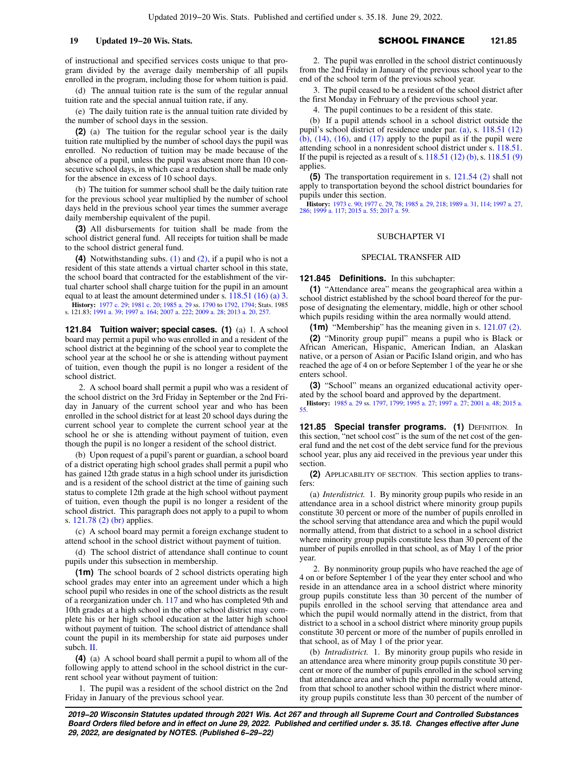of instructional and specified services costs unique to that program divided by the average daily membership of all pupils enrolled in the program, including those for whom tuition is paid.

(d) The annual tuition rate is the sum of the regular annual tuition rate and the special annual tuition rate, if any.

(e) The daily tuition rate is the annual tuition rate divided by the number of school days in the session.

**(2)** (a) The tuition for the regular school year is the daily tuition rate multiplied by the number of school days the pupil was enrolled. No reduction of tuition may be made because of the absence of a pupil, unless the pupil was absent more than 10 consecutive school days, in which case a reduction shall be made only for the absence in excess of 10 school days.

(b) The tuition for summer school shall be the daily tuition rate for the previous school year multiplied by the number of school days held in the previous school year times the summer average daily membership equivalent of the pupil.

**(3)** All disbursements for tuition shall be made from the school district general fund. All receipts for tuition shall be made to the school district general fund.

**(4)** Notwithstanding subs. [\(1\)](https://docs.legis.wisconsin.gov/document/statutes/121.83(1)) and [\(2\)](https://docs.legis.wisconsin.gov/document/statutes/121.83(2)), if a pupil who is not a resident of this state attends a virtual charter school in this state, the school board that contracted for the establishment of the virtual charter school shall charge tuition for the pupil in an amount equal to at least the amount determined under s. [118.51 \(16\) \(a\) 3.](https://docs.legis.wisconsin.gov/document/statutes/118.51(16)(a)3.)

**History:** [1977 c. 29](https://docs.legis.wisconsin.gov/document/acts/1977/29); [1981 c. 20](https://docs.legis.wisconsin.gov/document/acts/1981/20); [1985 a. 29](https://docs.legis.wisconsin.gov/document/acts/1985/29) ss. [1790](https://docs.legis.wisconsin.gov/document/acts/1985/29,%20s.%201790) to [1792,](https://docs.legis.wisconsin.gov/document/acts/1985/29,%20s.%201792) [1794](https://docs.legis.wisconsin.gov/document/acts/1985/29,%20s.%201794); Stats. 1985 s. 121.83; [1991 a. 39](https://docs.legis.wisconsin.gov/document/acts/1991/39); [1997 a. 164](https://docs.legis.wisconsin.gov/document/acts/1997/164); [2007 a. 222;](https://docs.legis.wisconsin.gov/document/acts/2007/222) [2009 a. 28](https://docs.legis.wisconsin.gov/document/acts/2009/28); [2013 a. 20](https://docs.legis.wisconsin.gov/document/acts/2013/20), [257](https://docs.legis.wisconsin.gov/document/acts/2013/257).

**121.84 Tuition waiver; special cases. (1)** (a) 1. A school board may permit a pupil who was enrolled in and a resident of the school district at the beginning of the school year to complete the school year at the school he or she is attending without payment of tuition, even though the pupil is no longer a resident of the school district.

2. A school board shall permit a pupil who was a resident of the school district on the 3rd Friday in September or the 2nd Friday in January of the current school year and who has been enrolled in the school district for at least 20 school days during the current school year to complete the current school year at the school he or she is attending without payment of tuition, even though the pupil is no longer a resident of the school district.

(b) Upon request of a pupil's parent or guardian, a school board of a district operating high school grades shall permit a pupil who has gained 12th grade status in a high school under its jurisdiction and is a resident of the school district at the time of gaining such status to complete 12th grade at the high school without payment of tuition, even though the pupil is no longer a resident of the school district. This paragraph does not apply to a pupil to whom s. [121.78 \(2\) \(br\)](https://docs.legis.wisconsin.gov/document/statutes/121.78(2)(br)) applies.

(c) A school board may permit a foreign exchange student to attend school in the school district without payment of tuition.

(d) The school district of attendance shall continue to count pupils under this subsection in membership.

**(1m)** The school boards of 2 school districts operating high school grades may enter into an agreement under which a high school pupil who resides in one of the school districts as the result of a reorganization under ch. [117](https://docs.legis.wisconsin.gov/document/statutes/ch.%20117) and who has completed 9th and 10th grades at a high school in the other school district may complete his or her high school education at the latter high school without payment of tuition. The school district of attendance shall count the pupil in its membership for state aid purposes under subch. [II](https://docs.legis.wisconsin.gov/document/statutes/subch.%20II%20of%20ch.%20121).

**(4)** (a) A school board shall permit a pupil to whom all of the following apply to attend school in the school district in the current school year without payment of tuition:

1. The pupil was a resident of the school district on the 2nd Friday in January of the previous school year.

2. The pupil was enrolled in the school district continuously from the 2nd Friday in January of the previous school year to the end of the school term of the previous school year.

3. The pupil ceased to be a resident of the school district after the first Monday in February of the previous school year.

4. The pupil continues to be a resident of this state.

(b) If a pupil attends school in a school district outside the pupil's school district of residence under par. [\(a\),](https://docs.legis.wisconsin.gov/document/statutes/121.84(4)(a)) s. [118.51 \(12\)](https://docs.legis.wisconsin.gov/document/statutes/118.51(12)(b))  $(b)$ ,  $(14)$ ,  $(16)$ , and  $(17)$  apply to the pupil as if the pupil were attending school in a nonresident school district under s. [118.51.](https://docs.legis.wisconsin.gov/document/statutes/118.51) If the pupil is rejected as a result of s. [118.51 \(12\) \(b\)](https://docs.legis.wisconsin.gov/document/statutes/118.51(12)(b)), s. [118.51 \(9\)](https://docs.legis.wisconsin.gov/document/statutes/118.51(9)) applies.

**(5)** The transportation requirement in s. [121.54 \(2\)](https://docs.legis.wisconsin.gov/document/statutes/121.54(2)) shall not apply to transportation beyond the school district boundaries for pupils under this section.

**History:** [1973 c. 90;](https://docs.legis.wisconsin.gov/document/acts/1973/90) [1977 c. 29](https://docs.legis.wisconsin.gov/document/acts/1977/29), [78;](https://docs.legis.wisconsin.gov/document/acts/1977/78) [1985 a. 29,](https://docs.legis.wisconsin.gov/document/acts/1985/29) [218;](https://docs.legis.wisconsin.gov/document/acts/1985/218) [1989 a. 31,](https://docs.legis.wisconsin.gov/document/acts/1989/31) [114](https://docs.legis.wisconsin.gov/document/acts/1989/114); [1997 a. 27](https://docs.legis.wisconsin.gov/document/acts/1997/27), [286;](https://docs.legis.wisconsin.gov/document/acts/1997/286) [1999 a. 117;](https://docs.legis.wisconsin.gov/document/acts/1999/117) [2015 a. 55](https://docs.legis.wisconsin.gov/document/acts/2015/55); [2017 a. 59](https://docs.legis.wisconsin.gov/document/acts/2017/59).

## SUBCHAPTER VI

## SPECIAL TRANSFER AID

**121.845 Definitions.** In this subchapter:

**(1)** "Attendance area" means the geographical area within a school district established by the school board thereof for the purpose of designating the elementary, middle, high or other school which pupils residing within the area normally would attend.

**(1m)** "Membership" has the meaning given in s. [121.07 \(2\).](https://docs.legis.wisconsin.gov/document/statutes/121.07(2))

**(2)** "Minority group pupil" means a pupil who is Black or African American, Hispanic, American Indian, an Alaskan native, or a person of Asian or Pacific Island origin, and who has reached the age of 4 on or before September 1 of the year he or she enters school.

**(3)** "School" means an organized educational activity operated by the school board and approved by the department.

**History:** [1985 a. 29](https://docs.legis.wisconsin.gov/document/acts/1985/29) ss. [1797](https://docs.legis.wisconsin.gov/document/acts/1985/29,%20s.%201797), [1799;](https://docs.legis.wisconsin.gov/document/acts/1985/29,%20s.%201799) [1995 a. 27](https://docs.legis.wisconsin.gov/document/acts/1995/27); [1997 a. 27](https://docs.legis.wisconsin.gov/document/acts/1997/27); [2001 a. 48;](https://docs.legis.wisconsin.gov/document/acts/2001/48) [2015 a.](https://docs.legis.wisconsin.gov/document/acts/2015/55) [55](https://docs.legis.wisconsin.gov/document/acts/2015/55).

**121.85 Special transfer programs. (1) DEFINITION. In** this section, "net school cost" is the sum of the net cost of the general fund and the net cost of the debt service fund for the previous school year, plus any aid received in the previous year under this section.

**(2)** APPLICABILITY OF SECTION. This section applies to transfers:

(a) *Interdistrict.* 1. By minority group pupils who reside in an attendance area in a school district where minority group pupils constitute 30 percent or more of the number of pupils enrolled in the school serving that attendance area and which the pupil would normally attend, from that district to a school in a school district where minority group pupils constitute less than 30 percent of the number of pupils enrolled in that school, as of May 1 of the prior year.

2. By nonminority group pupils who have reached the age of 4 on or before September 1 of the year they enter school and who reside in an attendance area in a school district where minority group pupils constitute less than 30 percent of the number of pupils enrolled in the school serving that attendance area and which the pupil would normally attend in the district, from that district to a school in a school district where minority group pupils constitute 30 percent or more of the number of pupils enrolled in that school, as of May 1 of the prior year.

(b) *Intradistrict.* 1. By minority group pupils who reside in an attendance area where minority group pupils constitute 30 percent or more of the number of pupils enrolled in the school serving that attendance area and which the pupil normally would attend, from that school to another school within the district where minority group pupils constitute less than 30 percent of the number of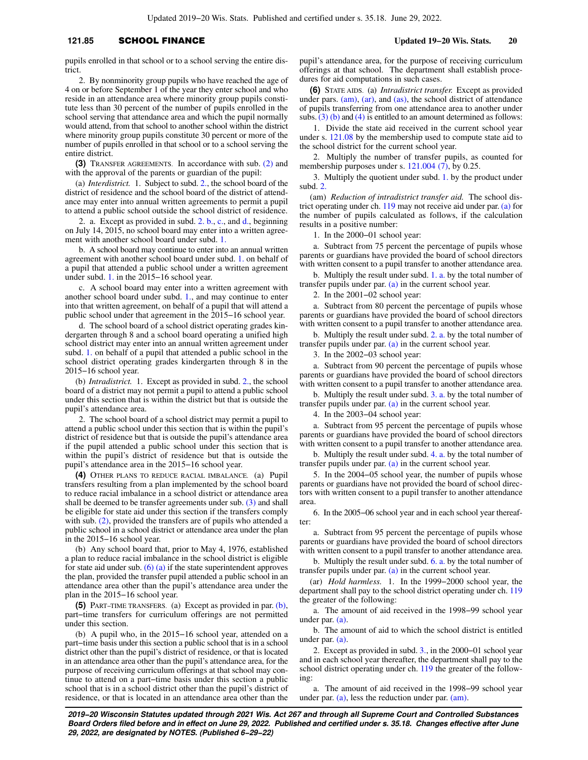## **121.85** SCHOOL FINANCE **Updated 19−20 Wis. Stats. 20**

pupils enrolled in that school or to a school serving the entire district.

2. By nonminority group pupils who have reached the age of 4 on or before September 1 of the year they enter school and who reside in an attendance area where minority group pupils constitute less than 30 percent of the number of pupils enrolled in the school serving that attendance area and which the pupil normally would attend, from that school to another school within the district where minority group pupils constitute 30 percent or more of the number of pupils enrolled in that school or to a school serving the entire district.

**(3)** TRANSFER AGREEMENTS. In accordance with sub. [\(2\)](https://docs.legis.wisconsin.gov/document/statutes/121.85(2)) and with the approval of the parents or guardian of the pupil:

(a) *Interdistrict.* 1. Subject to subd. [2.,](https://docs.legis.wisconsin.gov/document/statutes/121.85(3)(a)2.) the school board of the district of residence and the school board of the district of attendance may enter into annual written agreements to permit a pupil to attend a public school outside the school district of residence.

2. a. Except as provided in subd. [2. b.](https://docs.legis.wisconsin.gov/document/statutes/121.85(3)(a)2.b.), [c.,](https://docs.legis.wisconsin.gov/document/statutes/121.85(3)(a)2.c.) and [d.](https://docs.legis.wisconsin.gov/document/statutes/121.85(3)(a)2.d.), beginning on July 14, 2015, no school board may enter into a written agreement with another school board under subd. [1.](https://docs.legis.wisconsin.gov/document/statutes/121.85(3)(a)1.)

b. A school board may continue to enter into an annual written agreement with another school board under subd. [1.](https://docs.legis.wisconsin.gov/document/statutes/121.85(3)(a)1.) on behalf of a pupil that attended a public school under a written agreement under subd. [1.](https://docs.legis.wisconsin.gov/document/statutes/121.85(3)(a)1.) in the 2015−16 school year.

c. A school board may enter into a written agreement with another school board under subd. [1.](https://docs.legis.wisconsin.gov/document/statutes/121.85(3)(a)1.), and may continue to enter into that written agreement, on behalf of a pupil that will attend a public school under that agreement in the 2015−16 school year.

d. The school board of a school district operating grades kindergarten through 8 and a school board operating a unified high school district may enter into an annual written agreement under subd. [1.](https://docs.legis.wisconsin.gov/document/statutes/121.85(3)(a)1.) on behalf of a pupil that attended a public school in the school district operating grades kindergarten through 8 in the 2015−16 school year.

(b) *Intradistrict.* 1. Except as provided in subd. [2.](https://docs.legis.wisconsin.gov/document/statutes/121.85(3)(b)2.), the school board of a district may not permit a pupil to attend a public school under this section that is within the district but that is outside the pupil's attendance area.

2. The school board of a school district may permit a pupil to attend a public school under this section that is within the pupil's district of residence but that is outside the pupil's attendance area if the pupil attended a public school under this section that is within the pupil's district of residence but that is outside the pupil's attendance area in the 2015−16 school year.

**(4)** OTHER PLANS TO REDUCE RACIAL IMBALANCE. (a) Pupil transfers resulting from a plan implemented by the school board to reduce racial imbalance in a school district or attendance area shall be deemed to be transfer agreements under sub. [\(3\)](https://docs.legis.wisconsin.gov/document/statutes/121.85(3)) and shall be eligible for state aid under this section if the transfers comply with sub. [\(2\)](https://docs.legis.wisconsin.gov/document/statutes/121.85(2)), provided the transfers are of pupils who attended a public school in a school district or attendance area under the plan in the 2015−16 school year.

(b) Any school board that, prior to May 4, 1976, established a plan to reduce racial imbalance in the school district is eligible for state aid under sub.  $(6)$  (a) if the state superintendent approves the plan, provided the transfer pupil attended a public school in an attendance area other than the pupil's attendance area under the plan in the 2015−16 school year.

**(5)** PART−TIME TRANSFERS. (a) Except as provided in par. [\(b\),](https://docs.legis.wisconsin.gov/document/statutes/121.85(5)(b)) part−time transfers for curriculum offerings are not permitted under this section.

(b) A pupil who, in the 2015−16 school year, attended on a part−time basis under this section a public school that is in a school district other than the pupil's district of residence, or that is located in an attendance area other than the pupil's attendance area, for the purpose of receiving curriculum offerings at that school may continue to attend on a part−time basis under this section a public school that is in a school district other than the pupil's district of residence, or that is located in an attendance area other than the

pupil's attendance area, for the purpose of receiving curriculum offerings at that school. The department shall establish procedures for aid computations in such cases.

**(6)** STATE AIDS. (a) *Intradistrict transfer.* Except as provided under pars. [\(am\)](https://docs.legis.wisconsin.gov/document/statutes/121.85(6)(am)), [\(ar\),](https://docs.legis.wisconsin.gov/document/statutes/121.85(6)(ar)) and [\(as\),](https://docs.legis.wisconsin.gov/document/statutes/121.85(6)(as)) the school district of attendance of pupils transferring from one attendance area to another under subs.  $(3)$  (b) and [\(4\)](https://docs.legis.wisconsin.gov/document/statutes/121.85(4)) is entitled to an amount determined as follows:

1. Divide the state aid received in the current school year under s. [121.08](https://docs.legis.wisconsin.gov/document/statutes/121.08) by the membership used to compute state aid to the school district for the current school year.

2. Multiply the number of transfer pupils, as counted for membership purposes under s. [121.004 \(7\),](https://docs.legis.wisconsin.gov/document/statutes/121.004(7)) by 0.25.

3. Multiply the quotient under subd. [1.](https://docs.legis.wisconsin.gov/document/statutes/121.85(6)(a)1.) by the product under subd. [2.](https://docs.legis.wisconsin.gov/document/statutes/121.85(6)(a)2.)

(am) *Reduction of intradistrict transfer aid.* The school district operating under ch. [119](https://docs.legis.wisconsin.gov/document/statutes/ch.%20119) may not receive aid under par. [\(a\)](https://docs.legis.wisconsin.gov/document/statutes/121.85(6)(a)) for the number of pupils calculated as follows, if the calculation results in a positive number:

1. In the 2000−01 school year:

a. Subtract from 75 percent the percentage of pupils whose parents or guardians have provided the board of school directors with written consent to a pupil transfer to another attendance area.

b. Multiply the result under subd. [1. a.](https://docs.legis.wisconsin.gov/document/statutes/121.85(6)(am)1.a.) by the total number of transfer pupils under par. [\(a\)](https://docs.legis.wisconsin.gov/document/statutes/121.85(6)(a)) in the current school year.

2. In the 2001−02 school year:

a. Subtract from 80 percent the percentage of pupils whose parents or guardians have provided the board of school directors with written consent to a pupil transfer to another attendance area.

b. Multiply the result under subd. [2. a.](https://docs.legis.wisconsin.gov/document/statutes/121.85(6)(am)2.a.) by the total number of transfer pupils under par. [\(a\)](https://docs.legis.wisconsin.gov/document/statutes/121.85(6)(a)) in the current school year.

3. In the 2002−03 school year:

a. Subtract from 90 percent the percentage of pupils whose parents or guardians have provided the board of school directors with written consent to a pupil transfer to another attendance area.

b. Multiply the result under subd. [3. a.](https://docs.legis.wisconsin.gov/document/statutes/121.85(6)(am)3.a.) by the total number of transfer pupils under par. [\(a\)](https://docs.legis.wisconsin.gov/document/statutes/121.85(6)(a)) in the current school year.

4. In the 2003−04 school year:

a. Subtract from 95 percent the percentage of pupils whose parents or guardians have provided the board of school directors with written consent to a pupil transfer to another attendance area.

b. Multiply the result under subd. [4. a.](https://docs.legis.wisconsin.gov/document/statutes/121.85(6)(am)4.a.) by the total number of transfer pupils under par. [\(a\)](https://docs.legis.wisconsin.gov/document/statutes/121.85(6)(a)) in the current school year.

5. In the 2004−05 school year, the number of pupils whose parents or guardians have not provided the board of school directors with written consent to a pupil transfer to another attendance area.

6. In the 2005−06 school year and in each school year thereafter:

a. Subtract from 95 percent the percentage of pupils whose parents or guardians have provided the board of school directors with written consent to a pupil transfer to another attendance area.

b. Multiply the result under subd. [6. a.](https://docs.legis.wisconsin.gov/document/statutes/121.85(6)(am)6.a.) by the total number of transfer pupils under par.  $(a)$  in the current school year.

(ar) *Hold harmless.* 1. In the 1999−2000 school year, the department shall pay to the school district operating under ch. [119](https://docs.legis.wisconsin.gov/document/statutes/ch.%20119) the greater of the following:

a. The amount of aid received in the 1998−99 school year under par. [\(a\).](https://docs.legis.wisconsin.gov/document/statutes/121.85(6)(a))

b. The amount of aid to which the school district is entitled under par. [\(a\).](https://docs.legis.wisconsin.gov/document/statutes/121.85(6)(a))

2. Except as provided in subd. [3.,](https://docs.legis.wisconsin.gov/document/statutes/121.85(6)(ar)3.) in the 2000−01 school year and in each school year thereafter, the department shall pay to the school district operating under ch. [119](https://docs.legis.wisconsin.gov/document/statutes/ch.%20119) the greater of the following:

a. The amount of aid received in the 1998−99 school year under par.  $(a)$ , less the reduction under par.  $(am)$ .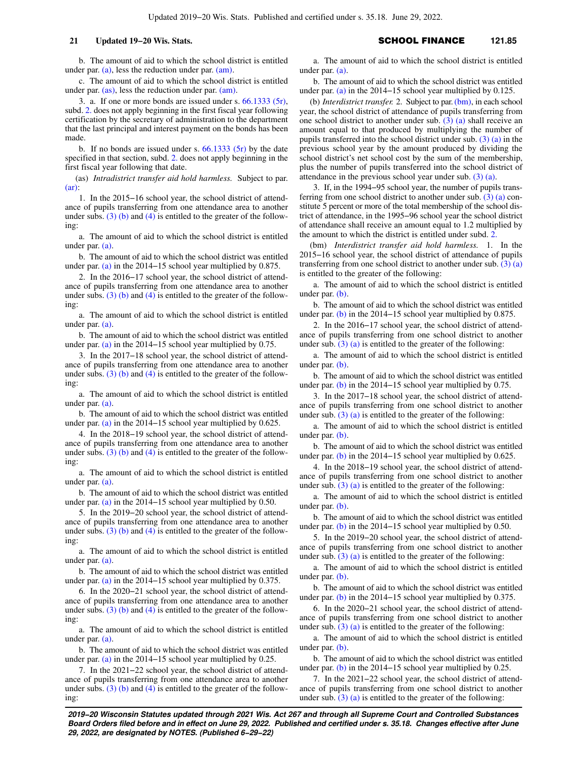b. The amount of aid to which the school district is entitled under par. [\(a\)](https://docs.legis.wisconsin.gov/document/statutes/121.85(6)(a)), less the reduction under par. [\(am\).](https://docs.legis.wisconsin.gov/document/statutes/121.85(6)(am))

c. The amount of aid to which the school district is entitled under par. [\(as\),](https://docs.legis.wisconsin.gov/document/statutes/121.85(6)(as)) less the reduction under par. [\(am\)](https://docs.legis.wisconsin.gov/document/statutes/121.85(6)(am)).

3. a. If one or more bonds are issued under s.  $66.1333(5r)$ , subd. [2.](https://docs.legis.wisconsin.gov/document/statutes/121.85(6)(ar)2.) does not apply beginning in the first fiscal year following certification by the secretary of administration to the department that the last principal and interest payment on the bonds has been made.

b. If no bonds are issued under s.  $66.1333$  (5r) by the date specified in that section, subd. [2.](https://docs.legis.wisconsin.gov/document/statutes/121.85(6)(ar)2.) does not apply beginning in the first fiscal year following that date.

(as) *Intradistrict transfer aid hold harmless.* Subject to par. [\(ar\):](https://docs.legis.wisconsin.gov/document/statutes/121.85(6)(ar))

1. In the 2015−16 school year, the school district of attendance of pupils transferring from one attendance area to another under subs. [\(3\) \(b\)](https://docs.legis.wisconsin.gov/document/statutes/121.85(3)(b)) and [\(4\)](https://docs.legis.wisconsin.gov/document/statutes/121.85(4)) is entitled to the greater of the following:

a. The amount of aid to which the school district is entitled under par. [\(a\)](https://docs.legis.wisconsin.gov/document/statutes/121.85(6)(a)).

b. The amount of aid to which the school district was entitled under par. [\(a\)](https://docs.legis.wisconsin.gov/document/statutes/121.85(6)(a)) in the 2014−15 school year multiplied by 0.875.

2. In the 2016−17 school year, the school district of attendance of pupils transferring from one attendance area to another under subs. [\(3\) \(b\)](https://docs.legis.wisconsin.gov/document/statutes/121.85(3)(b)) and [\(4\)](https://docs.legis.wisconsin.gov/document/statutes/121.85(4)) is entitled to the greater of the following:

a. The amount of aid to which the school district is entitled under par. [\(a\)](https://docs.legis.wisconsin.gov/document/statutes/121.85(6)(a)).

b. The amount of aid to which the school district was entitled under par. [\(a\)](https://docs.legis.wisconsin.gov/document/statutes/121.85(6)(a)) in the 2014−15 school year multiplied by 0.75.

3. In the 2017−18 school year, the school district of attendance of pupils transferring from one attendance area to another under subs.  $(3)$  (b) and [\(4\)](https://docs.legis.wisconsin.gov/document/statutes/121.85(4)) is entitled to the greater of the following:

a. The amount of aid to which the school district is entitled under par. [\(a\)](https://docs.legis.wisconsin.gov/document/statutes/121.85(6)(a)).

b. The amount of aid to which the school district was entitled under par. [\(a\)](https://docs.legis.wisconsin.gov/document/statutes/121.85(6)(a)) in the 2014−15 school year multiplied by 0.625.

4. In the 2018−19 school year, the school district of attendance of pupils transferring from one attendance area to another under subs.  $(3)$  (b) and [\(4\)](https://docs.legis.wisconsin.gov/document/statutes/121.85(4)) is entitled to the greater of the following:

a. The amount of aid to which the school district is entitled under par. [\(a\)](https://docs.legis.wisconsin.gov/document/statutes/121.85(6)(a)).

b. The amount of aid to which the school district was entitled under par. [\(a\)](https://docs.legis.wisconsin.gov/document/statutes/121.85(6)(a)) in the 2014−15 school year multiplied by 0.50.

5. In the 2019−20 school year, the school district of attendance of pupils transferring from one attendance area to another under subs.  $(3)$  (b) and [\(4\)](https://docs.legis.wisconsin.gov/document/statutes/121.85(4)) is entitled to the greater of the following:

a. The amount of aid to which the school district is entitled under par. [\(a\)](https://docs.legis.wisconsin.gov/document/statutes/121.85(6)(a)).

b. The amount of aid to which the school district was entitled under par. [\(a\)](https://docs.legis.wisconsin.gov/document/statutes/121.85(6)(a)) in the 2014−15 school year multiplied by 0.375.

6. In the 2020−21 school year, the school district of attendance of pupils transferring from one attendance area to another under subs.  $(3)$  (b) and  $(4)$  is entitled to the greater of the following:

a. The amount of aid to which the school district is entitled under par. [\(a\)](https://docs.legis.wisconsin.gov/document/statutes/121.85(6)(a)).

b. The amount of aid to which the school district was entitled under par. [\(a\)](https://docs.legis.wisconsin.gov/document/statutes/121.85(6)(a)) in the 2014−15 school year multiplied by 0.25.

7. In the 2021−22 school year, the school district of attendance of pupils transferring from one attendance area to another under subs.  $(3)$  (b) and [\(4\)](https://docs.legis.wisconsin.gov/document/statutes/121.85(4)) is entitled to the greater of the following:

a. The amount of aid to which the school district is entitled under par. [\(a\).](https://docs.legis.wisconsin.gov/document/statutes/121.85(6)(a))

b. The amount of aid to which the school district was entitled under par. [\(a\)](https://docs.legis.wisconsin.gov/document/statutes/121.85(6)(a)) in the 2014−15 school year multiplied by 0.125.

(b) *Interdistrict transfer.* 2. Subject to par. [\(bm\),](https://docs.legis.wisconsin.gov/document/statutes/121.85(6)(bm)) in each school year, the school district of attendance of pupils transferring from one school district to another under sub. [\(3\) \(a\)](https://docs.legis.wisconsin.gov/document/statutes/121.85(3)(a)) shall receive an amount equal to that produced by multiplying the number of pupils transferred into the school district under sub.  $(3)$  (a) in the previous school year by the amount produced by dividing the school district's net school cost by the sum of the membership, plus the number of pupils transferred into the school district of attendance in the previous school year under sub. [\(3\) \(a\).](https://docs.legis.wisconsin.gov/document/statutes/121.85(3)(a))

3. If, in the 1994−95 school year, the number of pupils transferring from one school district to another under sub. [\(3\) \(a\)](https://docs.legis.wisconsin.gov/document/statutes/121.85(3)(a)) constitute 5 percent or more of the total membership of the school district of attendance, in the 1995−96 school year the school district of attendance shall receive an amount equal to 1.2 multiplied by the amount to which the district is entitled under subd. [2.](https://docs.legis.wisconsin.gov/document/statutes/121.85(6)(b)2.)

(bm) *Interdistrict transfer aid hold harmless.* 1. In the 2015−16 school year, the school district of attendance of pupils transferring from one school district to another under sub. [\(3\) \(a\)](https://docs.legis.wisconsin.gov/document/statutes/121.85(3)(a)) is entitled to the greater of the following:

a. The amount of aid to which the school district is entitled under par. [\(b\)](https://docs.legis.wisconsin.gov/document/statutes/121.85(6)(b)).

b. The amount of aid to which the school district was entitled under par. [\(b\)](https://docs.legis.wisconsin.gov/document/statutes/121.85(6)(b)) in the 2014−15 school year multiplied by 0.875.

2. In the 2016−17 school year, the school district of attendance of pupils transferring from one school district to another under sub.  $(3)$  (a) is entitled to the greater of the following:

a. The amount of aid to which the school district is entitled under par. [\(b\)](https://docs.legis.wisconsin.gov/document/statutes/121.85(6)(b)).

b. The amount of aid to which the school district was entitled under par. [\(b\)](https://docs.legis.wisconsin.gov/document/statutes/121.85(6)(b)) in the 2014−15 school year multiplied by 0.75.

3. In the 2017−18 school year, the school district of attendance of pupils transferring from one school district to another under sub.  $(3)$  (a) is entitled to the greater of the following:

a. The amount of aid to which the school district is entitled under par. [\(b\)](https://docs.legis.wisconsin.gov/document/statutes/121.85(6)(b)).

b. The amount of aid to which the school district was entitled under par. [\(b\)](https://docs.legis.wisconsin.gov/document/statutes/121.85(6)(b)) in the 2014−15 school year multiplied by 0.625.

4. In the 2018−19 school year, the school district of attendance of pupils transferring from one school district to another under sub.  $(3)$  (a) is entitled to the greater of the following:

a. The amount of aid to which the school district is entitled under par. [\(b\)](https://docs.legis.wisconsin.gov/document/statutes/121.85(6)(b)).

b. The amount of aid to which the school district was entitled under par. [\(b\)](https://docs.legis.wisconsin.gov/document/statutes/121.85(6)(b)) in the 2014−15 school year multiplied by 0.50.

5. In the 2019−20 school year, the school district of attendance of pupils transferring from one school district to another under sub.  $(3)$  (a) is entitled to the greater of the following:

a. The amount of aid to which the school district is entitled under par. [\(b\)](https://docs.legis.wisconsin.gov/document/statutes/121.85(6)(b)).

b. The amount of aid to which the school district was entitled under par. [\(b\)](https://docs.legis.wisconsin.gov/document/statutes/121.85(6)(b)) in the 2014−15 school year multiplied by 0.375.

6. In the 2020−21 school year, the school district of attendance of pupils transferring from one school district to another under sub. [\(3\) \(a\)](https://docs.legis.wisconsin.gov/document/statutes/121.85(3)(a)) is entitled to the greater of the following:

a. The amount of aid to which the school district is entitled under par. [\(b\)](https://docs.legis.wisconsin.gov/document/statutes/121.85(6)(b)).

b. The amount of aid to which the school district was entitled under par. [\(b\)](https://docs.legis.wisconsin.gov/document/statutes/121.85(6)(b)) in the 2014−15 school year multiplied by 0.25.

7. In the 2021−22 school year, the school district of attendance of pupils transferring from one school district to another under sub.  $(3)$  (a) is entitled to the greater of the following:

**2019−20 Wisconsin Statutes updated through 2021 Wis. Act 267 and through all Supreme Court and Controlled Substances Board Orders filed before and in effect on June 29, 2022. Published and certified under s. 35.18. Changes effective after June 29, 2022, are designated by NOTES. (Published 6−29−22)**

## **21 Updated 19−20 Wis. Stats.** SCHOOL FINANCE 121.85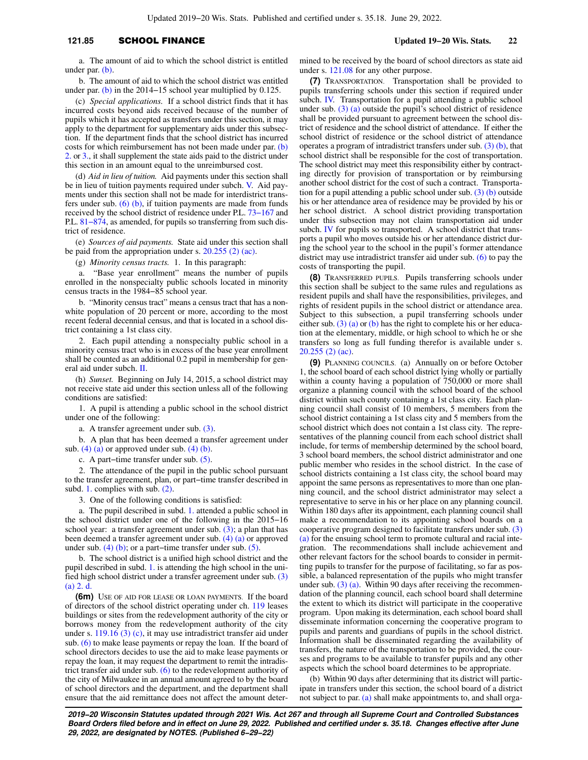## **121.85** SCHOOL FINANCE **Updated 19−20 Wis. Stats. 22**

a. The amount of aid to which the school district is entitled under par. [\(b\).](https://docs.legis.wisconsin.gov/document/statutes/121.85(6)(b))

b. The amount of aid to which the school district was entitled under par. [\(b\)](https://docs.legis.wisconsin.gov/document/statutes/121.85(6)(b)) in the 2014−15 school year multiplied by 0.125.

(c) *Special applications.* If a school district finds that it has incurred costs beyond aids received because of the number of pupils which it has accepted as transfers under this section, it may apply to the department for supplementary aids under this subsection. If the department finds that the school district has incurred costs for which reimbursement has not been made under par. [\(b\)](https://docs.legis.wisconsin.gov/document/statutes/121.85(6)(b)2.) [2.](https://docs.legis.wisconsin.gov/document/statutes/121.85(6)(b)2.) or [3.,](https://docs.legis.wisconsin.gov/document/statutes/121.85(6)(b)3.) it shall supplement the state aids paid to the district under this section in an amount equal to the unreimbursed cost.

(d) *Aid in lieu of tuition.* Aid payments under this section shall be in lieu of tuition payments required under subch. [V.](https://docs.legis.wisconsin.gov/document/statutes/subch.%20V%20of%20ch.%20121) Aid payments under this section shall not be made for interdistrict transfers under sub. [\(6\) \(b\),](https://docs.legis.wisconsin.gov/document/statutes/121.85(6)(b)) if tuition payments are made from funds received by the school district of residence under P.L. [73−167](https://docs.legis.wisconsin.gov/document/publiclaw/73-167) and P.L. 81–874, as amended, for pupils so transferring from such district of residence.

(e) *Sources of aid payments.* State aid under this section shall be paid from the appropriation under s. [20.255 \(2\) \(ac\).](https://docs.legis.wisconsin.gov/document/statutes/20.255(2)(ac))

(g) *Minority census tracts.* 1. In this paragraph:

a. "Base year enrollment" means the number of pupils enrolled in the nonspecialty public schools located in minority census tracts in the 1984−85 school year.

b. "Minority census tract" means a census tract that has a nonwhite population of 20 percent or more, according to the most recent federal decennial census, and that is located in a school district containing a 1st class city.

2. Each pupil attending a nonspecialty public school in a minority census tract who is in excess of the base year enrollment shall be counted as an additional 0.2 pupil in membership for general aid under subch. [II](https://docs.legis.wisconsin.gov/document/statutes/subch.%20II%20of%20ch.%20121).

(h) *Sunset.* Beginning on July 14, 2015, a school district may not receive state aid under this section unless all of the following conditions are satisfied:

1. A pupil is attending a public school in the school district under one of the following:

a. A transfer agreement under sub. [\(3\)](https://docs.legis.wisconsin.gov/document/statutes/121.85(3)).

b. A plan that has been deemed a transfer agreement under sub.  $(4)$   $(a)$  or approved under sub.  $(4)$   $(b)$ .

c. A part−time transfer under sub. [\(5\)](https://docs.legis.wisconsin.gov/document/statutes/121.85(5)).

2. The attendance of the pupil in the public school pursuant to the transfer agreement, plan, or part−time transfer described in subd. [1.](https://docs.legis.wisconsin.gov/document/statutes/121.85(6)(h)1.) complies with sub. [\(2\)](https://docs.legis.wisconsin.gov/document/statutes/121.85(2)).

3. One of the following conditions is satisfied:

a. The pupil described in subd. [1.](https://docs.legis.wisconsin.gov/document/statutes/121.85(6)(h)1.) attended a public school in the school district under one of the following in the 2015−16 school year: a transfer agreement under sub.  $(3)$ ; a plan that has been deemed a transfer agreement under sub. [\(4\) \(a\)](https://docs.legis.wisconsin.gov/document/statutes/121.85(4)(a)) or approved under sub.  $(4)$  (b); or a part–time transfer under sub.  $(5)$ .

b. The school district is a unified high school district and the pupil described in subd. [1.](https://docs.legis.wisconsin.gov/document/statutes/121.85(6)(h)1.) is attending the high school in the unified high school district under a transfer agreement under sub. [\(3\)](https://docs.legis.wisconsin.gov/document/statutes/121.85(3)(a)2.d.) [\(a\) 2. d.](https://docs.legis.wisconsin.gov/document/statutes/121.85(3)(a)2.d.)

**(6m)** USE OF AID FOR LEASE OR LOAN PAYMENTS. If the board of directors of the school district operating under ch. [119](https://docs.legis.wisconsin.gov/document/statutes/ch.%20119) leases buildings or sites from the redevelopment authority of the city or borrows money from the redevelopment authority of the city under s. [119.16 \(3\) \(c\)](https://docs.legis.wisconsin.gov/document/statutes/119.16(3)(c)), it may use intradistrict transfer aid under sub. [\(6\)](https://docs.legis.wisconsin.gov/document/statutes/121.85(6)) to make lease payments or repay the loan. If the board of school directors decides to use the aid to make lease payments or repay the loan, it may request the department to remit the intradistrict transfer aid under sub. [\(6\)](https://docs.legis.wisconsin.gov/document/statutes/121.85(6)) to the redevelopment authority of the city of Milwaukee in an annual amount agreed to by the board of school directors and the department, and the department shall ensure that the aid remittance does not affect the amount determined to be received by the board of school directors as state aid under s. [121.08](https://docs.legis.wisconsin.gov/document/statutes/121.08) for any other purpose.

**(7)** TRANSPORTATION. Transportation shall be provided to pupils transferring schools under this section if required under subch. [IV.](https://docs.legis.wisconsin.gov/document/statutes/subch.%20IV%20of%20ch.%20121) Transportation for a pupil attending a public school under sub.  $(3)$   $(a)$  outside the pupil's school district of residence shall be provided pursuant to agreement between the school district of residence and the school district of attendance. If either the school district of residence or the school district of attendance operates a program of intradistrict transfers under sub.  $(3)$  (b), that school district shall be responsible for the cost of transportation. The school district may meet this responsibility either by contracting directly for provision of transportation or by reimbursing another school district for the cost of such a contract. Transportation for a pupil attending a public school under sub.  $(3)$  (b) outside his or her attendance area of residence may be provided by his or her school district. A school district providing transportation under this subsection may not claim transportation aid under subch. [IV](https://docs.legis.wisconsin.gov/document/statutes/subch.%20IV%20of%20ch.%20121) for pupils so transported. A school district that transports a pupil who moves outside his or her attendance district during the school year to the school in the pupil's former attendance district may use intradistrict transfer aid under sub. [\(6\)](https://docs.legis.wisconsin.gov/document/statutes/121.85(6)) to pay the costs of transporting the pupil.

**(8)** TRANSFERRED PUPILS. Pupils transferring schools under this section shall be subject to the same rules and regulations as resident pupils and shall have the responsibilities, privileges, and rights of resident pupils in the school district or attendance area. Subject to this subsection, a pupil transferring schools under either sub. [\(3\) \(a\)](https://docs.legis.wisconsin.gov/document/statutes/121.85(3)(a)) or [\(b\)](https://docs.legis.wisconsin.gov/document/statutes/121.85(3)(b)) has the right to complete his or her education at the elementary, middle, or high school to which he or she transfers so long as full funding therefor is available under s. [20.255 \(2\) \(ac\)](https://docs.legis.wisconsin.gov/document/statutes/20.255(2)(ac)).

**(9)** PLANNING COUNCILS. (a) Annually on or before October 1, the school board of each school district lying wholly or partially within a county having a population of 750,000 or more shall organize a planning council with the school board of the school district within such county containing a 1st class city. Each planning council shall consist of 10 members, 5 members from the school district containing a 1st class city and 5 members from the school district which does not contain a 1st class city. The representatives of the planning council from each school district shall include, for terms of membership determined by the school board, 3 school board members, the school district administrator and one public member who resides in the school district. In the case of school districts containing a 1st class city, the school board may appoint the same persons as representatives to more than one planning council, and the school district administrator may select a representative to serve in his or her place on any planning council. Within 180 days after its appointment, each planning council shall make a recommendation to its appointing school boards on a cooperative program designed to facilitate transfers under sub. [\(3\)](https://docs.legis.wisconsin.gov/document/statutes/121.85(3)(a)) [\(a\)](https://docs.legis.wisconsin.gov/document/statutes/121.85(3)(a)) for the ensuing school term to promote cultural and racial integration. The recommendations shall include achievement and other relevant factors for the school boards to consider in permitting pupils to transfer for the purpose of facilitating, so far as possible, a balanced representation of the pupils who might transfer under sub.  $(3)$  (a). Within 90 days after receiving the recommendation of the planning council, each school board shall determine the extent to which its district will participate in the cooperative program. Upon making its determination, each school board shall disseminate information concerning the cooperative program to pupils and parents and guardians of pupils in the school district. Information shall be disseminated regarding the availability of transfers, the nature of the transportation to be provided, the courses and programs to be available to transfer pupils and any other aspects which the school board determines to be appropriate.

(b) Within 90 days after determining that its district will participate in transfers under this section, the school board of a district not subject to par. [\(a\)](https://docs.legis.wisconsin.gov/document/statutes/121.85(9)(a)) shall make appointments to, and shall orga-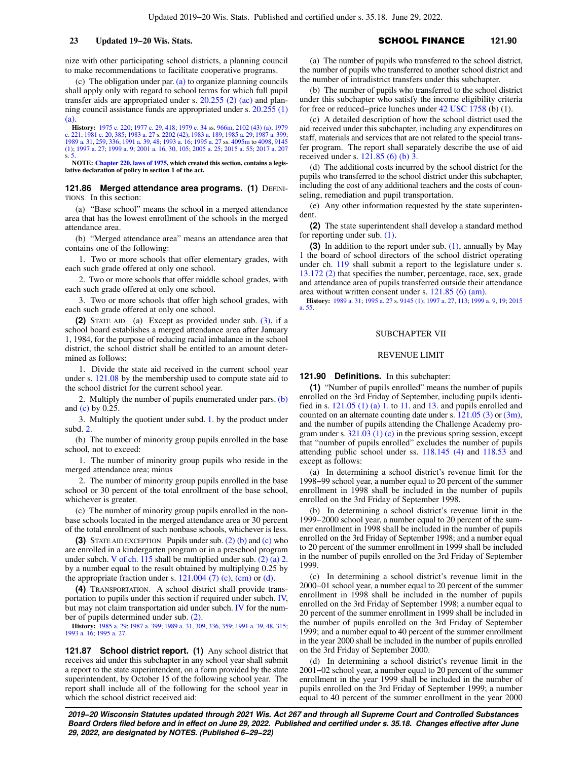nize with other participating school districts, a planning council to make recommendations to facilitate cooperative programs.

(c) The obligation under par. [\(a\)](https://docs.legis.wisconsin.gov/document/statutes/121.85(9)(a)) to organize planning councils shall apply only with regard to school terms for which full pupil transfer aids are appropriated under s. [20.255 \(2\) \(ac\)](https://docs.legis.wisconsin.gov/document/statutes/20.255(2)(ac)) and planning council assistance funds are appropriated under s. [20.255 \(1\)](https://docs.legis.wisconsin.gov/document/statutes/20.255(1)(a)) [\(a\).](https://docs.legis.wisconsin.gov/document/statutes/20.255(1)(a))

**History:** [1975 c. 220;](https://docs.legis.wisconsin.gov/document/acts/1975/220) [1977 c. 29,](https://docs.legis.wisconsin.gov/document/acts/1977/29) [418;](https://docs.legis.wisconsin.gov/document/acts/1977/418) [1979 c. 34](https://docs.legis.wisconsin.gov/document/acts/1979/34) ss. [966m](https://docs.legis.wisconsin.gov/document/acts/1979/34,%20s.%20966m), [2102 \(43\) \(a\)](https://docs.legis.wisconsin.gov/document/acts/1979/34,%20s.%202102); [1979](https://docs.legis.wisconsin.gov/document/acts/1979/221) [c. 221](https://docs.legis.wisconsin.gov/document/acts/1979/221); [1981 c. 20](https://docs.legis.wisconsin.gov/document/acts/1981/20), [385;](https://docs.legis.wisconsin.gov/document/acts/1981/385) [1983 a. 27](https://docs.legis.wisconsin.gov/document/acts/1983/27) s. [2202 \(42\);](https://docs.legis.wisconsin.gov/document/acts/1983/27,%20s.%202202) [1983 a. 189](https://docs.legis.wisconsin.gov/document/acts/1983/189); [1985 a. 29;](https://docs.legis.wisconsin.gov/document/acts/1985/29) [1987 a. 399](https://docs.legis.wisconsin.gov/document/acts/1987/399); [1989 a. 31,](https://docs.legis.wisconsin.gov/document/acts/1989/31) [259](https://docs.legis.wisconsin.gov/document/acts/1989/259), [336;](https://docs.legis.wisconsin.gov/document/acts/1989/336) [1991 a. 39](https://docs.legis.wisconsin.gov/document/acts/1991/39), [48](https://docs.legis.wisconsin.gov/document/acts/1991/48); [1993 a. 16;](https://docs.legis.wisconsin.gov/document/acts/1993/16) [1995 a. 27](https://docs.legis.wisconsin.gov/document/acts/1995/27) ss. [4095m](https://docs.legis.wisconsin.gov/document/acts/1995/27,%20s.%204095m) to [4098,](https://docs.legis.wisconsin.gov/document/acts/1995/27,%20s.%204098) [9145](https://docs.legis.wisconsin.gov/document/acts/1995/27,%20s.%209145) [\(1\);](https://docs.legis.wisconsin.gov/document/acts/1995/27,%20s.%209145) [1997 a. 27](https://docs.legis.wisconsin.gov/document/acts/1997/27); [1999 a. 9;](https://docs.legis.wisconsin.gov/document/acts/1999/9) [2001 a. 16](https://docs.legis.wisconsin.gov/document/acts/2001/16), [30,](https://docs.legis.wisconsin.gov/document/acts/2001/30) [105;](https://docs.legis.wisconsin.gov/document/acts/2001/105) [2005 a. 25](https://docs.legis.wisconsin.gov/document/acts/2005/25); [2015 a. 55](https://docs.legis.wisconsin.gov/document/acts/2015/55); [2017 a. 207](https://docs.legis.wisconsin.gov/document/acts/2017/207) s. [5](https://docs.legis.wisconsin.gov/document/acts/2017/207,%20s.%205). **NOTE: [Chapter 220, laws of 1975,](https://docs.legis.wisconsin.gov/document/acts/1975/220) which created this section, contains a legis-**

**lative declaration of policy in section 1 of the act.**

### **121.86 Merged attendance area programs. (1) DEFINI-**TIONS. In this section:

(a) "Base school" means the school in a merged attendance area that has the lowest enrollment of the schools in the merged attendance area.

(b) "Merged attendance area" means an attendance area that contains one of the following:

1. Two or more schools that offer elementary grades, with each such grade offered at only one school.

2. Two or more schools that offer middle school grades, with each such grade offered at only one school.

3. Two or more schools that offer high school grades, with each such grade offered at only one school.

**(2)** STATE AID. (a) Except as provided under sub. [\(3\),](https://docs.legis.wisconsin.gov/document/statutes/121.86(3)) if a school board establishes a merged attendance area after January 1, 1984, for the purpose of reducing racial imbalance in the school district, the school district shall be entitled to an amount determined as follows:

1. Divide the state aid received in the current school year under s. [121.08](https://docs.legis.wisconsin.gov/document/statutes/121.08) by the membership used to compute state aid to the school district for the current school year.

2. Multiply the number of pupils enumerated under pars. [\(b\)](https://docs.legis.wisconsin.gov/document/statutes/121.86(2)(b)) and [\(c\)](https://docs.legis.wisconsin.gov/document/statutes/121.86(2)(c)) by 0.25.

3. Multiply the quotient under subd. [1.](https://docs.legis.wisconsin.gov/document/statutes/121.86(2)(a)1.) by the product under subd. [2.](https://docs.legis.wisconsin.gov/document/statutes/121.86(2)(a)2.)

(b) The number of minority group pupils enrolled in the base school, not to exceed:

1. The number of minority group pupils who reside in the merged attendance area; minus

2. The number of minority group pupils enrolled in the base school or 30 percent of the total enrollment of the base school, whichever is greater.

(c) The number of minority group pupils enrolled in the nonbase schools located in the merged attendance area or 30 percent of the total enrollment of such nonbase schools, whichever is less.

**(3)** STATE AID EXCEPTION. Pupils under sub. [\(2\) \(b\)](https://docs.legis.wisconsin.gov/document/statutes/121.86(2)(b)) and [\(c\)](https://docs.legis.wisconsin.gov/document/statutes/121.86(2)(c)) who are enrolled in a kindergarten program or in a preschool program under subch. [V of ch. 115](https://docs.legis.wisconsin.gov/document/statutes/subch.%20V%20of%20ch.%20115) shall be multiplied under sub. [\(2\) \(a\) 2.](https://docs.legis.wisconsin.gov/document/statutes/121.86(2)(a)2.) by a number equal to the result obtained by multiplying 0.25 by the appropriate fraction under s.  $121.004$  (7) (c), [\(cm\)](https://docs.legis.wisconsin.gov/document/statutes/121.004(7)(cm)) or [\(d\).](https://docs.legis.wisconsin.gov/document/statutes/121.004(7)(d))

**(4)** TRANSPORTATION. A school district shall provide transportation to pupils under this section if required under subch. [IV,](https://docs.legis.wisconsin.gov/document/statutes/subch.%20IV%20of%20ch.%20121) but may not claim transportation aid under subch. [IV](https://docs.legis.wisconsin.gov/document/statutes/subch.%20IV%20of%20ch.%20121) for the number of pupils determined under sub. [\(2\)](https://docs.legis.wisconsin.gov/document/statutes/121.86(2)).

**History:** [1985 a. 29;](https://docs.legis.wisconsin.gov/document/acts/1985/29) [1987 a. 399;](https://docs.legis.wisconsin.gov/document/acts/1987/399) [1989 a. 31](https://docs.legis.wisconsin.gov/document/acts/1989/31), [309](https://docs.legis.wisconsin.gov/document/acts/1989/309), [336,](https://docs.legis.wisconsin.gov/document/acts/1989/336) [359;](https://docs.legis.wisconsin.gov/document/acts/1989/359) [1991 a. 39,](https://docs.legis.wisconsin.gov/document/acts/1991/39) [48](https://docs.legis.wisconsin.gov/document/acts/1991/48), [315](https://docs.legis.wisconsin.gov/document/acts/1991/315); [1993 a. 16](https://docs.legis.wisconsin.gov/document/acts/1993/16); [1995 a. 27](https://docs.legis.wisconsin.gov/document/acts/1995/27).

**121.87 School district report. (1)** Any school district that receives aid under this subchapter in any school year shall submit a report to the state superintendent, on a form provided by the state superintendent, by October 15 of the following school year. The report shall include all of the following for the school year in which the school district received aid:

(a) The number of pupils who transferred to the school district, the number of pupils who transferred to another school district and the number of intradistrict transfers under this subchapter.

(b) The number of pupils who transferred to the school district under this subchapter who satisfy the income eligibility criteria for free or reduced−price lunches under [42 USC 1758](https://docs.legis.wisconsin.gov/document/usc/42%20USC%201758) (b) (1).

(c) A detailed description of how the school district used the aid received under this subchapter, including any expenditures on staff, materials and services that are not related to the special transfer program. The report shall separately describe the use of aid received under s. [121.85 \(6\) \(b\) 3.](https://docs.legis.wisconsin.gov/document/statutes/121.85(6)(b)3.)

(d) The additional costs incurred by the school district for the pupils who transferred to the school district under this subchapter, including the cost of any additional teachers and the costs of counseling, remediation and pupil transportation.

(e) Any other information requested by the state superintendent.

**(2)** The state superintendent shall develop a standard method for reporting under sub. [\(1\).](https://docs.legis.wisconsin.gov/document/statutes/121.87(1))

**(3)** In addition to the report under sub. [\(1\),](https://docs.legis.wisconsin.gov/document/statutes/121.87(1)) annually by May 1 the board of school directors of the school district operating under ch. [119](https://docs.legis.wisconsin.gov/document/statutes/ch.%20119) shall submit a report to the legislature under s. [13.172 \(2\)](https://docs.legis.wisconsin.gov/document/statutes/13.172(2)) that specifies the number, percentage, race, sex, grade and attendance area of pupils transferred outside their attendance area without written consent under s. [121.85 \(6\) \(am\)](https://docs.legis.wisconsin.gov/document/statutes/121.85(6)(am)).

**History:** [1989 a. 31](https://docs.legis.wisconsin.gov/document/acts/1989/31); [1995 a. 27](https://docs.legis.wisconsin.gov/document/acts/1995/27) s. [9145 \(1\);](https://docs.legis.wisconsin.gov/document/acts/1995/27,%20s.%209145) [1997 a. 27](https://docs.legis.wisconsin.gov/document/acts/1997/27), [113](https://docs.legis.wisconsin.gov/document/acts/1997/113); [1999 a. 9](https://docs.legis.wisconsin.gov/document/acts/1999/9), [19;](https://docs.legis.wisconsin.gov/document/acts/1999/19) [2015](https://docs.legis.wisconsin.gov/document/acts/2015/55) [a. 55.](https://docs.legis.wisconsin.gov/document/acts/2015/55)

### SUBCHAPTER VII

### REVENUE LIMIT

### **121.90 Definitions.** In this subchapter:

**(1)** "Number of pupils enrolled" means the number of pupils enrolled on the 3rd Friday of September, including pupils identified in s.  $121.05$  (1) (a) 1. to [11.](https://docs.legis.wisconsin.gov/document/statutes/121.05(1)(a)11.) and [13.](https://docs.legis.wisconsin.gov/document/statutes/121.05(1)(a)13.) and pupils enrolled and counted on an alternate counting date under s. [121.05 \(3\)](https://docs.legis.wisconsin.gov/document/statutes/121.05(3)) or [\(3m\),](https://docs.legis.wisconsin.gov/document/statutes/121.05(3m)) and the number of pupils attending the Challenge Academy program under s.  $321.03$  (1) (c) in the previous spring session, except that "number of pupils enrolled" excludes the number of pupils attending public school under ss. [118.145 \(4\)](https://docs.legis.wisconsin.gov/document/statutes/118.145(4)) and [118.53](https://docs.legis.wisconsin.gov/document/statutes/118.53) and except as follows:

(a) In determining a school district's revenue limit for the 1998−99 school year, a number equal to 20 percent of the summer enrollment in 1998 shall be included in the number of pupils enrolled on the 3rd Friday of September 1998.

(b) In determining a school district's revenue limit in the 1999−2000 school year, a number equal to 20 percent of the summer enrollment in 1998 shall be included in the number of pupils enrolled on the 3rd Friday of September 1998; and a number equal to 20 percent of the summer enrollment in 1999 shall be included in the number of pupils enrolled on the 3rd Friday of September 1999.

(c) In determining a school district's revenue limit in the 2000−01 school year, a number equal to 20 percent of the summer enrollment in 1998 shall be included in the number of pupils enrolled on the 3rd Friday of September 1998; a number equal to 20 percent of the summer enrollment in 1999 shall be included in the number of pupils enrolled on the 3rd Friday of September 1999; and a number equal to 40 percent of the summer enrollment in the year 2000 shall be included in the number of pupils enrolled on the 3rd Friday of September 2000.

(d) In determining a school district's revenue limit in the 2001−02 school year, a number equal to 20 percent of the summer enrollment in the year 1999 shall be included in the number of pupils enrolled on the 3rd Friday of September 1999; a number equal to 40 percent of the summer enrollment in the year 2000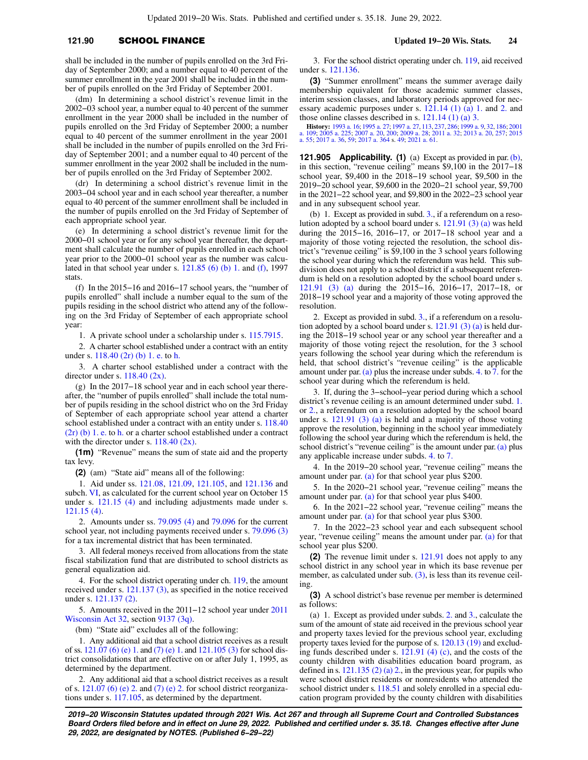## **121.90** SCHOOL FINANCE **Updated 19−20 Wis. Stats. 24**

shall be included in the number of pupils enrolled on the 3rd Friday of September 2000; and a number equal to 40 percent of the summer enrollment in the year 2001 shall be included in the number of pupils enrolled on the 3rd Friday of September 2001.

(dm) In determining a school district's revenue limit in the 2002−03 school year, a number equal to 40 percent of the summer enrollment in the year 2000 shall be included in the number of pupils enrolled on the 3rd Friday of September 2000; a number equal to 40 percent of the summer enrollment in the year 2001 shall be included in the number of pupils enrolled on the 3rd Friday of September 2001; and a number equal to 40 percent of the summer enrollment in the year 2002 shall be included in the number of pupils enrolled on the 3rd Friday of September 2002.

(dr) In determining a school district's revenue limit in the 2003−04 school year and in each school year thereafter, a number equal to 40 percent of the summer enrollment shall be included in the number of pupils enrolled on the 3rd Friday of September of each appropriate school year.

(e) In determining a school district's revenue limit for the 2000−01 school year or for any school year thereafter, the department shall calculate the number of pupils enrolled in each school year prior to the 2000−01 school year as the number was calculated in that school year under s. [121.85 \(6\) \(b\) 1.](https://docs.legis.wisconsin.gov/document/statutes/1997/121.85(6)(b)1.) and [\(f\)](https://docs.legis.wisconsin.gov/document/statutes/1997/121.85(6)(f)), 1997 stats.

(f) In the 2015−16 and 2016−17 school years, the "number of pupils enrolled" shall include a number equal to the sum of the pupils residing in the school district who attend any of the following on the 3rd Friday of September of each appropriate school year:

1. A private school under a scholarship under s. [115.7915.](https://docs.legis.wisconsin.gov/document/statutes/115.7915)

2. A charter school established under a contract with an entity under s. [118.40 \(2r\) \(b\) 1. e.](https://docs.legis.wisconsin.gov/document/statutes/118.40(2r)(b)1.e.) to [h.](https://docs.legis.wisconsin.gov/document/statutes/118.40(2r)(b)1.h.)

3. A charter school established under a contract with the director under s.  $118.40$  (2x).

(g) In the 2017−18 school year and in each school year thereafter, the "number of pupils enrolled" shall include the total number of pupils residing in the school district who on the 3rd Friday of September of each appropriate school year attend a charter school established under a contract with an entity under s. [118.40](https://docs.legis.wisconsin.gov/document/statutes/118.40(2r)(b)1.e.) [\(2r\) \(b\) 1. e.](https://docs.legis.wisconsin.gov/document/statutes/118.40(2r)(b)1.e.) to [h.](https://docs.legis.wisconsin.gov/document/statutes/118.40(2r)(b)1.h.) or a charter school established under a contract with the director under s.  $118.40$  (2x).

**(1m)** "Revenue" means the sum of state aid and the property tax levy.

**(2)** (am) "State aid" means all of the following:

1. Aid under ss. [121.08](https://docs.legis.wisconsin.gov/document/statutes/121.08), [121.09](https://docs.legis.wisconsin.gov/document/statutes/121.09), [121.105](https://docs.legis.wisconsin.gov/document/statutes/121.105), and [121.136](https://docs.legis.wisconsin.gov/document/statutes/121.136) and subch. [VI](https://docs.legis.wisconsin.gov/document/statutes/subch.%20VI%20of%20ch.%20121), as calculated for the current school year on October 15 under s. [121.15 \(4\)](https://docs.legis.wisconsin.gov/document/statutes/121.15(4)) and including adjustments made under s. [121.15 \(4\).](https://docs.legis.wisconsin.gov/document/statutes/121.15(4))

2. Amounts under ss. [79.095 \(4\)](https://docs.legis.wisconsin.gov/document/statutes/79.095(4)) and [79.096](https://docs.legis.wisconsin.gov/document/statutes/79.096) for the current school year, not including payments received under s. [79.096 \(3\)](https://docs.legis.wisconsin.gov/document/statutes/79.096(3)) for a tax incremental district that has been terminated.

3. All federal moneys received from allocations from the state fiscal stabilization fund that are distributed to school districts as general equalization aid.

4. For the school district operating under ch. [119,](https://docs.legis.wisconsin.gov/document/statutes/ch.%20119) the amount received under s. [121.137 \(3\),](https://docs.legis.wisconsin.gov/document/statutes/121.137(3)) as specified in the notice received under s. [121.137 \(2\).](https://docs.legis.wisconsin.gov/document/statutes/121.137(2))

5. Amounts received in the 2011−12 school year under [2011](https://docs.legis.wisconsin.gov/document/acts/2011/32) [Wisconsin Act 32](https://docs.legis.wisconsin.gov/document/acts/2011/32), section [9137 \(3q\)](https://docs.legis.wisconsin.gov/document/acts/2011/32,%20s.%209137).

(bm) "State aid" excludes all of the following:

1. Any additional aid that a school district receives as a result of ss. [121.07 \(6\) \(e\) 1.](https://docs.legis.wisconsin.gov/document/statutes/121.07(6)(e)1.) and [\(7\) \(e\) 1.](https://docs.legis.wisconsin.gov/document/statutes/121.07(7)(e)1.) and [121.105 \(3\)](https://docs.legis.wisconsin.gov/document/statutes/121.105(3)) for school district consolidations that are effective on or after July 1, 1995, as determined by the department.

2. Any additional aid that a school district receives as a result of s.  $121.07$  (6) (e) 2. and [\(7\) \(e\) 2.](https://docs.legis.wisconsin.gov/document/statutes/121.07(7)(e)2.) for school district reorganizations under s. [117.105,](https://docs.legis.wisconsin.gov/document/statutes/117.105) as determined by the department.

3. For the school district operating under ch. [119](https://docs.legis.wisconsin.gov/document/statutes/ch.%20119), aid received under s. [121.136](https://docs.legis.wisconsin.gov/document/statutes/121.136).

**(3)** "Summer enrollment" means the summer average daily membership equivalent for those academic summer classes, interim session classes, and laboratory periods approved for necessary academic purposes under s. [121.14 \(1\) \(a\) 1.](https://docs.legis.wisconsin.gov/document/statutes/121.14(1)(a)1.) and [2.](https://docs.legis.wisconsin.gov/document/statutes/121.14(1)(a)2.) and those online classes described in s. [121.14 \(1\) \(a\) 3.](https://docs.legis.wisconsin.gov/document/statutes/121.14(1)(a)3.)

**History:** [1993 a. 16](https://docs.legis.wisconsin.gov/document/acts/1993/16); [1995 a. 27](https://docs.legis.wisconsin.gov/document/acts/1995/27); [1997 a. 27,](https://docs.legis.wisconsin.gov/document/acts/1997/27) [113,](https://docs.legis.wisconsin.gov/document/acts/1997/113) [237](https://docs.legis.wisconsin.gov/document/acts/1997/237), [286](https://docs.legis.wisconsin.gov/document/acts/1997/286); [1999 a. 9](https://docs.legis.wisconsin.gov/document/acts/1999/9), [32,](https://docs.legis.wisconsin.gov/document/acts/1999/32) [186](https://docs.legis.wisconsin.gov/document/acts/1999/186); [2001](https://docs.legis.wisconsin.gov/document/acts/2001/109) [a. 109](https://docs.legis.wisconsin.gov/document/acts/2001/109); [2005 a. 225;](https://docs.legis.wisconsin.gov/document/acts/2005/225) [2007 a. 20](https://docs.legis.wisconsin.gov/document/acts/2007/20), [200](https://docs.legis.wisconsin.gov/document/acts/2007/200); [2009 a. 28](https://docs.legis.wisconsin.gov/document/acts/2009/28); [2011 a. 32](https://docs.legis.wisconsin.gov/document/acts/2011/32); [2013 a. 20](https://docs.legis.wisconsin.gov/document/acts/2013/20), [257;](https://docs.legis.wisconsin.gov/document/acts/2013/257) [2015](https://docs.legis.wisconsin.gov/document/acts/2015/55) [a. 55;](https://docs.legis.wisconsin.gov/document/acts/2015/55) [2017 a. 36,](https://docs.legis.wisconsin.gov/document/acts/2017/36) [59](https://docs.legis.wisconsin.gov/document/acts/2017/59); [2017 a. 364](https://docs.legis.wisconsin.gov/document/acts/2017/364) s. [49](https://docs.legis.wisconsin.gov/document/acts/2017/364,%20s.%2049); [2021 a. 61](https://docs.legis.wisconsin.gov/document/acts/2021/61).

**121.905 Applicability. (1)** (a) Except as provided in par. [\(b\),](https://docs.legis.wisconsin.gov/document/statutes/121.905(1)(b)) in this section, "revenue ceiling" means \$9,100 in the 2017−18 school year, \$9,400 in the 2018−19 school year, \$9,500 in the 2019−20 school year, \$9,600 in the 2020−21 school year, \$9,700 in the 2021−22 school year, and \$9,800 in the 2022−23 school year and in any subsequent school year.

(b) 1. Except as provided in subd. [3.,](https://docs.legis.wisconsin.gov/document/statutes/121.905(1)(b)3.) if a referendum on a resolution adopted by a school board under s. [121.91 \(3\) \(a\)](https://docs.legis.wisconsin.gov/document/statutes/121.91(3)(a)) was held during the 2015−16, 2016−17, or 2017−18 school year and a majority of those voting rejected the resolution, the school district's "revenue ceiling" is \$9,100 in the 3 school years following the school year during which the referendum was held. This subdivision does not apply to a school district if a subsequent referendum is held on a resolution adopted by the school board under s. [121.91 \(3\) \(a\)](https://docs.legis.wisconsin.gov/document/statutes/121.91(3)(a)) during the 2015−16, 2016−17, 2017−18, or 2018−19 school year and a majority of those voting approved the resolution.

2. Except as provided in subd. [3.,](https://docs.legis.wisconsin.gov/document/statutes/121.905(1)(b)3.) if a referendum on a resolution adopted by a school board under s.  $121.91$  (3) (a) is held during the 2018−19 school year or any school year thereafter and a majority of those voting reject the resolution, for the 3 school years following the school year during which the referendum is held, that school district's "revenue ceiling" is the applicable amount under par.[\(a\)](https://docs.legis.wisconsin.gov/document/statutes/121.905(1)(a)) plus the increase under subds. [4.](https://docs.legis.wisconsin.gov/document/statutes/121.905(1)(b)4.) to [7.](https://docs.legis.wisconsin.gov/document/statutes/121.905(1)(b)7.) for the school year during which the referendum is held.

3. If, during the 3−school−year period during which a school district's revenue ceiling is an amount determined under subd. [1.](https://docs.legis.wisconsin.gov/document/statutes/121.905(1)(b)1.) or [2.,](https://docs.legis.wisconsin.gov/document/statutes/121.905(1)(b)2.) a referendum on a resolution adopted by the school board under s. [121.91 \(3\) \(a\)](https://docs.legis.wisconsin.gov/document/statutes/121.91(3)(a)) is held and a majority of those voting approve the resolution, beginning in the school year immediately following the school year during which the referendum is held, the school district's "revenue ceiling" is the amount under par. [\(a\)](https://docs.legis.wisconsin.gov/document/statutes/121.905(1)(a)) plus any applicable increase under subds. [4.](https://docs.legis.wisconsin.gov/document/statutes/121.905(1)(b)4.) to [7.](https://docs.legis.wisconsin.gov/document/statutes/121.905(1)(b)7.)

4. In the 2019−20 school year, "revenue ceiling" means the amount under par. [\(a\)](https://docs.legis.wisconsin.gov/document/statutes/121.905(1)(a)) for that school year plus \$200.

5. In the 2020−21 school year, "revenue ceiling" means the amount under par. [\(a\)](https://docs.legis.wisconsin.gov/document/statutes/121.905(1)(a)) for that school year plus \$400.

6. In the 2021−22 school year, "revenue ceiling" means the amount under par. [\(a\)](https://docs.legis.wisconsin.gov/document/statutes/121.905(1)(a)) for that school year plus \$300.

7. In the 2022−23 school year and each subsequent school year, "revenue ceiling" means the amount under par. [\(a\)](https://docs.legis.wisconsin.gov/document/statutes/121.905(1)(a)) for that school year plus \$200.

**(2)** The revenue limit under s. [121.91](https://docs.legis.wisconsin.gov/document/statutes/121.91) does not apply to any school district in any school year in which its base revenue per member, as calculated under sub. [\(3\),](https://docs.legis.wisconsin.gov/document/statutes/121.905(3)) is less than its revenue ceiling.

**(3)** A school district's base revenue per member is determined as follows:

(a) 1. Except as provided under subds. [2.](https://docs.legis.wisconsin.gov/document/statutes/121.905(3)(a)2.) and [3.](https://docs.legis.wisconsin.gov/document/statutes/121.905(3)(a)3.), calculate the sum of the amount of state aid received in the previous school year and property taxes levied for the previous school year, excluding property taxes levied for the purpose of s. [120.13 \(19\)](https://docs.legis.wisconsin.gov/document/statutes/120.13(19)) and excluding funds described under s. [121.91 \(4\) \(c\)](https://docs.legis.wisconsin.gov/document/statutes/121.91(4)(c)), and the costs of the county children with disabilities education board program, as defined in s.  $121.135$  (2) (a) 2., in the previous year, for pupils who were school district residents or nonresidents who attended the school district under s. [118.51](https://docs.legis.wisconsin.gov/document/statutes/118.51) and solely enrolled in a special education program provided by the county children with disabilities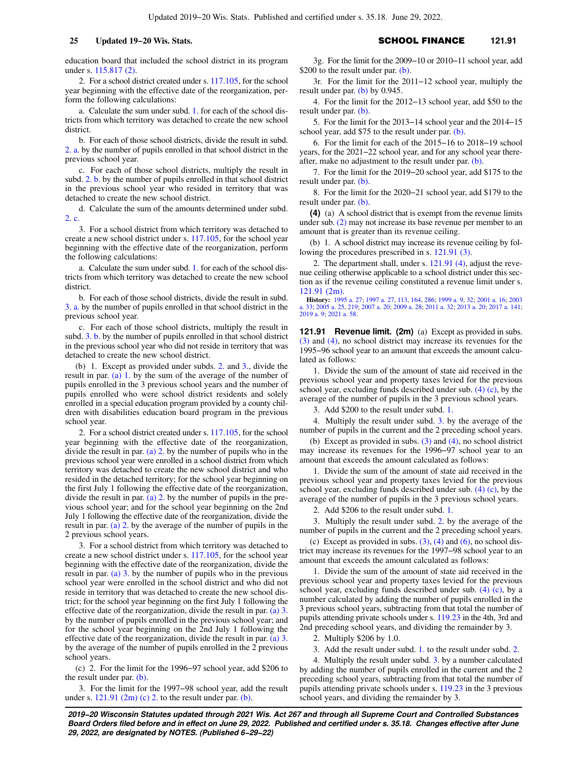education board that included the school district in its program under s. [115.817 \(2\).](https://docs.legis.wisconsin.gov/document/statutes/115.817(2))

2. For a school district created under s. [117.105](https://docs.legis.wisconsin.gov/document/statutes/117.105), for the school year beginning with the effective date of the reorganization, perform the following calculations:

a. Calculate the sum under subd. [1.](https://docs.legis.wisconsin.gov/document/statutes/121.905(3)(a)1.) for each of the school districts from which territory was detached to create the new school district.

b. For each of those school districts, divide the result in subd. [2. a.](https://docs.legis.wisconsin.gov/document/statutes/121.905(3)(a)2.a.) by the number of pupils enrolled in that school district in the previous school year.

c. For each of those school districts, multiply the result in subd. [2. b.](https://docs.legis.wisconsin.gov/document/statutes/121.905(3)(a)2.b.) by the number of pupils enrolled in that school district in the previous school year who resided in territory that was detached to create the new school district.

d. Calculate the sum of the amounts determined under subd. [2. c.](https://docs.legis.wisconsin.gov/document/statutes/121.905(3)(a)2.c.)

3. For a school district from which territory was detached to create a new school district under s. [117.105](https://docs.legis.wisconsin.gov/document/statutes/117.105), for the school year beginning with the effective date of the reorganization, perform the following calculations:

a. Calculate the sum under subd. [1.](https://docs.legis.wisconsin.gov/document/statutes/121.905(3)(a)1.) for each of the school districts from which territory was detached to create the new school district.

b. For each of those school districts, divide the result in subd. [3. a.](https://docs.legis.wisconsin.gov/document/statutes/121.905(3)(a)3.a.) by the number of pupils enrolled in that school district in the previous school year.

c. For each of those school districts, multiply the result in subd. [3. b.](https://docs.legis.wisconsin.gov/document/statutes/121.905(3)(a)3.b.) by the number of pupils enrolled in that school district in the previous school year who did not reside in territory that was detached to create the new school district.

(b) 1. Except as provided under subds. [2.](https://docs.legis.wisconsin.gov/document/statutes/121.905(3)(b)2.) and [3.](https://docs.legis.wisconsin.gov/document/statutes/121.905(3)(b)3.), divide the result in par. [\(a\) 1.](https://docs.legis.wisconsin.gov/document/statutes/121.905(3)(a)1.) by the sum of the average of the number of pupils enrolled in the 3 previous school years and the number of pupils enrolled who were school district residents and solely enrolled in a special education program provided by a county children with disabilities education board program in the previous school year.

2. For a school district created under s. [117.105](https://docs.legis.wisconsin.gov/document/statutes/117.105), for the school year beginning with the effective date of the reorganization, divide the result in par. [\(a\) 2.](https://docs.legis.wisconsin.gov/document/statutes/121.905(3)(a)2.) by the number of pupils who in the previous school year were enrolled in a school district from which territory was detached to create the new school district and who resided in the detached territory; for the school year beginning on the first July 1 following the effective date of the reorganization, divide the result in par. [\(a\) 2.](https://docs.legis.wisconsin.gov/document/statutes/121.905(3)(a)2.) by the number of pupils in the previous school year; and for the school year beginning on the 2nd July 1 following the effective date of the reorganization, divide the result in par. [\(a\) 2.](https://docs.legis.wisconsin.gov/document/statutes/121.905(3)(a)2.) by the average of the number of pupils in the 2 previous school years.

3. For a school district from which territory was detached to create a new school district under s. [117.105](https://docs.legis.wisconsin.gov/document/statutes/117.105), for the school year beginning with the effective date of the reorganization, divide the result in par. (a)  $3.$  by the number of pupils who in the previous school year were enrolled in the school district and who did not reside in territory that was detached to create the new school district; for the school year beginning on the first July 1 following the effective date of the reorganization, divide the result in par. [\(a\) 3.](https://docs.legis.wisconsin.gov/document/statutes/121.905(3)(a)3.) by the number of pupils enrolled in the previous school year; and for the school year beginning on the 2nd July 1 following the effective date of the reorganization, divide the result in par. [\(a\) 3.](https://docs.legis.wisconsin.gov/document/statutes/121.905(3)(a)3.) by the average of the number of pupils enrolled in the 2 previous school years.

(c) 2. For the limit for the 1996−97 school year, add \$206 to the result under par. [\(b\)](https://docs.legis.wisconsin.gov/document/statutes/121.905(3)(b)).

3. For the limit for the 1997−98 school year, add the result under s.  $121.91$  (2m) (c) 2. to the result under par. [\(b\)](https://docs.legis.wisconsin.gov/document/statutes/121.905(3)(b)).

**25 Updated 19−20 Wis. Stats.** SCHOOL FINANCE 121.91

3g. For the limit for the 2009−10 or 2010−11 school year, add \$200 to the result under par. [\(b\)](https://docs.legis.wisconsin.gov/document/statutes/121.905(3)(b)).

3r. For the limit for the 2011−12 school year, multiply the result under par. [\(b\)](https://docs.legis.wisconsin.gov/document/statutes/121.905(3)(b)) by 0.945.

4. For the limit for the 2012−13 school year, add \$50 to the result under par. [\(b\)](https://docs.legis.wisconsin.gov/document/statutes/121.905(3)(b)).

5. For the limit for the 2013−14 school year and the 2014−15 school year, add \$75 to the result under par. [\(b\).](https://docs.legis.wisconsin.gov/document/statutes/121.905(3)(b))

6. For the limit for each of the 2015−16 to 2018−19 school years, for the 2021−22 school year, and for any school year thereafter, make no adjustment to the result under par. [\(b\).](https://docs.legis.wisconsin.gov/document/statutes/121.905(3)(b))

7. For the limit for the 2019−20 school year, add \$175 to the result under par. [\(b\)](https://docs.legis.wisconsin.gov/document/statutes/121.905(3)(b)).

8. For the limit for the 2020−21 school year, add \$179 to the result under par. [\(b\)](https://docs.legis.wisconsin.gov/document/statutes/121.905(3)(b)).

**(4)** (a) A school district that is exempt from the revenue limits under sub. [\(2\)](https://docs.legis.wisconsin.gov/document/statutes/121.905(2)) may not increase its base revenue per member to an amount that is greater than its revenue ceiling.

(b) 1. A school district may increase its revenue ceiling by following the procedures prescribed in s. [121.91 \(3\).](https://docs.legis.wisconsin.gov/document/statutes/121.91(3))

2. The department shall, under s. [121.91 \(4\),](https://docs.legis.wisconsin.gov/document/statutes/121.91(4)) adjust the revenue ceiling otherwise applicable to a school district under this section as if the revenue ceiling constituted a revenue limit under s. [121.91 \(2m\).](https://docs.legis.wisconsin.gov/document/statutes/121.91(2m))

**History:** [1995 a. 27](https://docs.legis.wisconsin.gov/document/acts/1995/27); [1997 a. 27,](https://docs.legis.wisconsin.gov/document/acts/1997/27) [113](https://docs.legis.wisconsin.gov/document/acts/1997/113), [164,](https://docs.legis.wisconsin.gov/document/acts/1997/164) [286;](https://docs.legis.wisconsin.gov/document/acts/1997/286) [1999 a. 9,](https://docs.legis.wisconsin.gov/document/acts/1999/9) [32](https://docs.legis.wisconsin.gov/document/acts/1999/32); [2001 a. 16](https://docs.legis.wisconsin.gov/document/acts/2001/16); [2003](https://docs.legis.wisconsin.gov/document/acts/2003/33) [a. 33;](https://docs.legis.wisconsin.gov/document/acts/2003/33) [2005 a. 25,](https://docs.legis.wisconsin.gov/document/acts/2005/25) [219;](https://docs.legis.wisconsin.gov/document/acts/2005/219) [2007 a. 20](https://docs.legis.wisconsin.gov/document/acts/2007/20); [2009 a. 28](https://docs.legis.wisconsin.gov/document/acts/2009/28); [2011 a. 32](https://docs.legis.wisconsin.gov/document/acts/2011/32); [2013 a. 20;](https://docs.legis.wisconsin.gov/document/acts/2013/20) [2017 a. 141](https://docs.legis.wisconsin.gov/document/acts/2017/141); [2019 a. 9;](https://docs.legis.wisconsin.gov/document/acts/2019/9) [2021 a. 58](https://docs.legis.wisconsin.gov/document/acts/2021/58).

**121.91 Revenue limit. (2m)** (a) Except as provided in subs. [\(3\)](https://docs.legis.wisconsin.gov/document/statutes/121.91(3)) and [\(4\),](https://docs.legis.wisconsin.gov/document/statutes/121.91(4)) no school district may increase its revenues for the 1995−96 school year to an amount that exceeds the amount calculated as follows:

1. Divide the sum of the amount of state aid received in the previous school year and property taxes levied for the previous school year, excluding funds described under sub. [\(4\) \(c\)](https://docs.legis.wisconsin.gov/document/statutes/121.91(4)(c)), by the average of the number of pupils in the 3 previous school years.

3. Add \$200 to the result under subd. [1.](https://docs.legis.wisconsin.gov/document/statutes/121.91(2m)(a)1.)

4. Multiply the result under subd. [3.](https://docs.legis.wisconsin.gov/document/statutes/121.91(2m)(a)3.) by the average of the number of pupils in the current and the 2 preceding school years.

(b) Except as provided in subs.  $(3)$  and  $(4)$ , no school district may increase its revenues for the 1996−97 school year to an amount that exceeds the amount calculated as follows:

1. Divide the sum of the amount of state aid received in the previous school year and property taxes levied for the previous school year, excluding funds described under sub. [\(4\) \(c\)](https://docs.legis.wisconsin.gov/document/statutes/121.91(4)(c)), by the average of the number of pupils in the 3 previous school years.

2. Add \$206 to the result under subd. [1.](https://docs.legis.wisconsin.gov/document/statutes/121.91(2m)(b)1.)

3. Multiply the result under subd. [2.](https://docs.legis.wisconsin.gov/document/statutes/121.91(2m)(b)2.) by the average of the number of pupils in the current and the 2 preceding school years.

(c) Except as provided in subs.  $(3)$ ,  $(4)$  and  $(6)$ , no school district may increase its revenues for the 1997−98 school year to an amount that exceeds the amount calculated as follows:

1. Divide the sum of the amount of state aid received in the previous school year and property taxes levied for the previous school year, excluding funds described under sub.  $(4)$   $(c)$ , by a number calculated by adding the number of pupils enrolled in the 3 previous school years, subtracting from that total the number of pupils attending private schools under s. [119.23](https://docs.legis.wisconsin.gov/document/statutes/119.23) in the 4th, 3rd and 2nd preceding school years, and dividing the remainder by 3.

2. Multiply \$206 by 1.0.

3. Add the result under subd. [1.](https://docs.legis.wisconsin.gov/document/statutes/121.91(2m)(c)1.) to the result under subd. [2.](https://docs.legis.wisconsin.gov/document/statutes/121.91(2m)(c)2.)

4. Multiply the result under subd. [3.](https://docs.legis.wisconsin.gov/document/statutes/121.91(2m)(c)3.) by a number calculated by adding the number of pupils enrolled in the current and the 2 preceding school years, subtracting from that total the number of pupils attending private schools under s. [119.23](https://docs.legis.wisconsin.gov/document/statutes/119.23) in the 3 previous school years, and dividing the remainder by 3.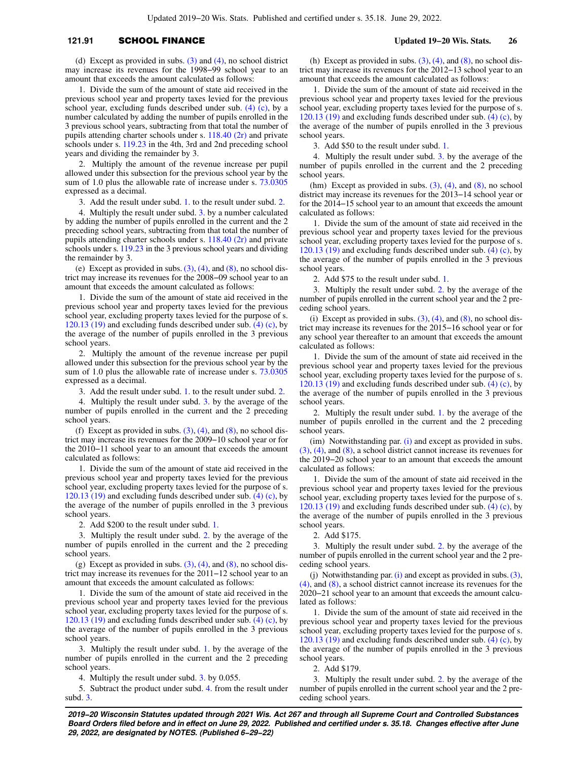# **121.91** SCHOOL FINANCE **Updated 19−20 Wis. Stats. 26**

(d) Except as provided in subs. [\(3\)](https://docs.legis.wisconsin.gov/document/statutes/121.91(3)) and [\(4\)](https://docs.legis.wisconsin.gov/document/statutes/121.91(4)), no school district may increase its revenues for the 1998−99 school year to an amount that exceeds the amount calculated as follows:

1. Divide the sum of the amount of state aid received in the previous school year and property taxes levied for the previous school year, excluding funds described under sub.  $(4)$   $(c)$ , by a number calculated by adding the number of pupils enrolled in the 3 previous school years, subtracting from that total the number of pupils attending charter schools under s. [118.40 \(2r\)](https://docs.legis.wisconsin.gov/document/statutes/118.40(2r)) and private schools under s. [119.23](https://docs.legis.wisconsin.gov/document/statutes/119.23) in the 4th, 3rd and 2nd preceding school years and dividing the remainder by 3.

2. Multiply the amount of the revenue increase per pupil allowed under this subsection for the previous school year by the sum of 1.0 plus the allowable rate of increase under s.  $73.0305$ expressed as a decimal.

3. Add the result under subd. [1.](https://docs.legis.wisconsin.gov/document/statutes/121.91(2m)(d)1.) to the result under subd. [2.](https://docs.legis.wisconsin.gov/document/statutes/121.91(2m)(d)2.)

4. Multiply the result under subd. [3.](https://docs.legis.wisconsin.gov/document/statutes/121.91(2m)(d)3.) by a number calculated by adding the number of pupils enrolled in the current and the 2 preceding school years, subtracting from that total the number of pupils attending charter schools under s. [118.40 \(2r\)](https://docs.legis.wisconsin.gov/document/statutes/118.40(2r)) and private schools under s. [119.23](https://docs.legis.wisconsin.gov/document/statutes/119.23) in the 3 previous school years and dividing the remainder by 3.

(e) Except as provided in subs.  $(3)$ ,  $(4)$ , and  $(8)$ , no school district may increase its revenues for the 2008−09 school year to an amount that exceeds the amount calculated as follows:

1. Divide the sum of the amount of state aid received in the previous school year and property taxes levied for the previous school year, excluding property taxes levied for the purpose of s. [120.13 \(19\)](https://docs.legis.wisconsin.gov/document/statutes/120.13(19)) and excluding funds described under sub. [\(4\) \(c\),](https://docs.legis.wisconsin.gov/document/statutes/121.91(4)(c)) by the average of the number of pupils enrolled in the 3 previous school years.

2. Multiply the amount of the revenue increase per pupil allowed under this subsection for the previous school year by the sum of 1.0 plus the allowable rate of increase under s. [73.0305](https://docs.legis.wisconsin.gov/document/statutes/73.0305) expressed as a decimal.

3. Add the result under subd. [1.](https://docs.legis.wisconsin.gov/document/statutes/121.91(2m)(e)1.) to the result under subd. [2.](https://docs.legis.wisconsin.gov/document/statutes/121.91(2m)(e)2.)

4. Multiply the result under subd. [3.](https://docs.legis.wisconsin.gov/document/statutes/121.91(2m)(e)3.) by the average of the number of pupils enrolled in the current and the 2 preceding school years.

(f) Except as provided in subs.  $(3)$ ,  $(4)$ , and  $(8)$ , no school district may increase its revenues for the 2009−10 school year or for the 2010−11 school year to an amount that exceeds the amount calculated as follows:

1. Divide the sum of the amount of state aid received in the previous school year and property taxes levied for the previous school year, excluding property taxes levied for the purpose of s. [120.13 \(19\)](https://docs.legis.wisconsin.gov/document/statutes/120.13(19)) and excluding funds described under sub.  $(4)$  (c), by the average of the number of pupils enrolled in the 3 previous school years.

2. Add \$200 to the result under subd. [1.](https://docs.legis.wisconsin.gov/document/statutes/121.91(2m)(f)1.)

3. Multiply the result under subd. [2.](https://docs.legis.wisconsin.gov/document/statutes/121.91(2m)(f)2.) by the average of the number of pupils enrolled in the current and the 2 preceding school years.

(g) Except as provided in subs.  $(3)$ ,  $(4)$ , and  $(8)$ , no school district may increase its revenues for the 2011−12 school year to an amount that exceeds the amount calculated as follows:

1. Divide the sum of the amount of state aid received in the previous school year and property taxes levied for the previous school year, excluding property taxes levied for the purpose of s. [120.13 \(19\)](https://docs.legis.wisconsin.gov/document/statutes/120.13(19)) and excluding funds described under sub. [\(4\) \(c\),](https://docs.legis.wisconsin.gov/document/statutes/121.91(4)(c)) by the average of the number of pupils enrolled in the 3 previous school years.

3. Multiply the result under subd. [1.](https://docs.legis.wisconsin.gov/document/statutes/121.91(2m)(g)1.) by the average of the number of pupils enrolled in the current and the 2 preceding school years.

4. Multiply the result under subd. [3.](https://docs.legis.wisconsin.gov/document/statutes/121.91(2m)(g)3.) by 0.055.

5. Subtract the product under subd. [4.](https://docs.legis.wisconsin.gov/document/statutes/121.91(2m)(g)4.) from the result under subd. [3.](https://docs.legis.wisconsin.gov/document/statutes/121.91(2m)(g)3.)

(h) Except as provided in subs.  $(3)$ ,  $(4)$ , and  $(8)$ , no school district may increase its revenues for the 2012−13 school year to an amount that exceeds the amount calculated as follows:

1. Divide the sum of the amount of state aid received in the previous school year and property taxes levied for the previous school year, excluding property taxes levied for the purpose of s. [120.13 \(19\)](https://docs.legis.wisconsin.gov/document/statutes/120.13(19)) and excluding funds described under sub.  $(4)$  (c), by the average of the number of pupils enrolled in the 3 previous school years.

3. Add \$50 to the result under subd. [1.](https://docs.legis.wisconsin.gov/document/statutes/121.91(2m)(h)1.)

4. Multiply the result under subd. [3.](https://docs.legis.wisconsin.gov/document/statutes/121.91(2m)(h)3.) by the average of the number of pupils enrolled in the current and the 2 preceding school years.

(hm) Except as provided in subs.  $(3)$ ,  $(4)$ , and  $(8)$ , no school district may increase its revenues for the 2013−14 school year or for the 2014−15 school year to an amount that exceeds the amount calculated as follows:

1. Divide the sum of the amount of state aid received in the previous school year and property taxes levied for the previous school year, excluding property taxes levied for the purpose of s. [120.13 \(19\)](https://docs.legis.wisconsin.gov/document/statutes/120.13(19)) and excluding funds described under sub. [\(4\) \(c\),](https://docs.legis.wisconsin.gov/document/statutes/121.91(4)(c)) by the average of the number of pupils enrolled in the 3 previous school years.

2. Add \$75 to the result under subd. [1.](https://docs.legis.wisconsin.gov/document/statutes/121.91(2m)(hm)1.)

3. Multiply the result under subd. [2.](https://docs.legis.wisconsin.gov/document/statutes/121.91(2m)(hm)2.) by the average of the number of pupils enrolled in the current school year and the 2 preceding school years.

(i) Except as provided in subs.  $(3)$ ,  $(4)$ , and  $(8)$ , no school district may increase its revenues for the 2015−16 school year or for any school year thereafter to an amount that exceeds the amount calculated as follows:

1. Divide the sum of the amount of state aid received in the previous school year and property taxes levied for the previous school year, excluding property taxes levied for the purpose of s. [120.13 \(19\)](https://docs.legis.wisconsin.gov/document/statutes/120.13(19)) and excluding funds described under sub.  $(4)$  (c), by the average of the number of pupils enrolled in the 3 previous school years.

2. Multiply the result under subd. [1.](https://docs.legis.wisconsin.gov/document/statutes/121.91(2m)(i)1.) by the average of the number of pupils enrolled in the current and the 2 preceding school years.

(im) Notwithstanding par. [\(i\)](https://docs.legis.wisconsin.gov/document/statutes/121.91(2m)(i)) and except as provided in subs. [\(3\),](https://docs.legis.wisconsin.gov/document/statutes/121.91(3)) [\(4\)](https://docs.legis.wisconsin.gov/document/statutes/121.91(4)), and [\(8\),](https://docs.legis.wisconsin.gov/document/statutes/121.91(8)) a school district cannot increase its revenues for the 2019−20 school year to an amount that exceeds the amount calculated as follows:

1. Divide the sum of the amount of state aid received in the previous school year and property taxes levied for the previous school year, excluding property taxes levied for the purpose of s. [120.13 \(19\)](https://docs.legis.wisconsin.gov/document/statutes/120.13(19)) and excluding funds described under sub. [\(4\) \(c\),](https://docs.legis.wisconsin.gov/document/statutes/121.91(4)(c)) by the average of the number of pupils enrolled in the 3 previous school years.

2. Add \$175.

3. Multiply the result under subd. [2.](https://docs.legis.wisconsin.gov/document/statutes/121.91(2m)(im)2.) by the average of the number of pupils enrolled in the current school year and the 2 preceding school years.

(j) Notwithstanding par. [\(i\)](https://docs.legis.wisconsin.gov/document/statutes/121.91(2m)(i)) and except as provided in subs.[\(3\),](https://docs.legis.wisconsin.gov/document/statutes/121.91(3)) [\(4\),](https://docs.legis.wisconsin.gov/document/statutes/121.91(4)) and [\(8\),](https://docs.legis.wisconsin.gov/document/statutes/121.91(8)) a school district cannot increase its revenues for the 2020−21 school year to an amount that exceeds the amount calculated as follows:

1. Divide the sum of the amount of state aid received in the previous school year and property taxes levied for the previous school year, excluding property taxes levied for the purpose of s. [120.13 \(19\)](https://docs.legis.wisconsin.gov/document/statutes/120.13(19)) and excluding funds described under sub.  $(4)$  (c), by the average of the number of pupils enrolled in the 3 previous school years.

2. Add \$179.

3. Multiply the result under subd. [2.](https://docs.legis.wisconsin.gov/document/statutes/121.91(2m)(j)2.) by the average of the number of pupils enrolled in the current school year and the 2 preceding school years.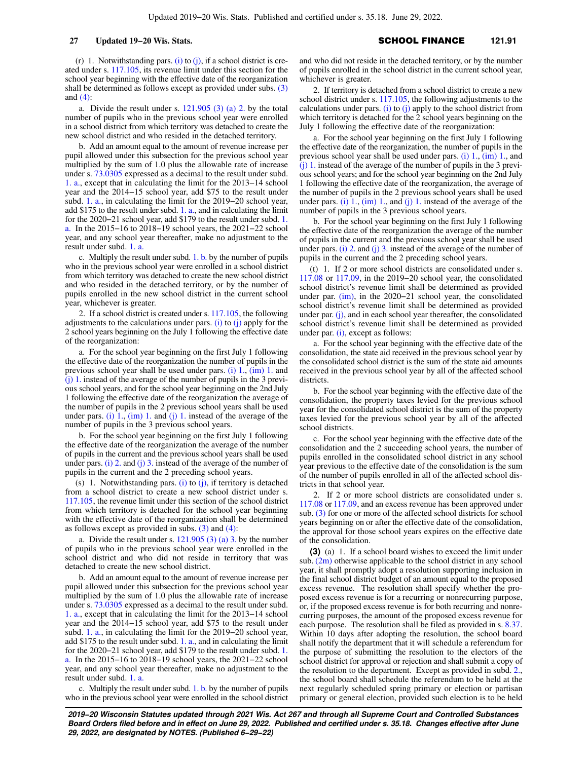(r) 1. Notwithstanding pars. [\(i\)](https://docs.legis.wisconsin.gov/document/statutes/121.91(2m)(i)) to  $(j)$ , if a school district is created under s. [117.105](https://docs.legis.wisconsin.gov/document/statutes/117.105), its revenue limit under this section for the school year beginning with the effective date of the reorganization shall be determined as follows except as provided under subs. [\(3\)](https://docs.legis.wisconsin.gov/document/statutes/121.91(3)) and [\(4\):](https://docs.legis.wisconsin.gov/document/statutes/121.91(4))

a. Divide the result under s.  $121.905$  (3) (a) 2. by the total number of pupils who in the previous school year were enrolled in a school district from which territory was detached to create the new school district and who resided in the detached territory.

b. Add an amount equal to the amount of revenue increase per pupil allowed under this subsection for the previous school year multiplied by the sum of 1.0 plus the allowable rate of increase under s. [73.0305](https://docs.legis.wisconsin.gov/document/statutes/73.0305) expressed as a decimal to the result under subd. [1. a.](https://docs.legis.wisconsin.gov/document/statutes/121.91(2m)(r)1.a.), except that in calculating the limit for the 2013−14 school year and the 2014−15 school year, add \$75 to the result under subd. [1. a.](https://docs.legis.wisconsin.gov/document/statutes/121.91(2m)(r)1.a.), in calculating the limit for the 2019−20 school year, add \$175 to the result under subd. [1. a.](https://docs.legis.wisconsin.gov/document/statutes/121.91(2m)(r)1.a.), and in calculating the limit for the 2020−21 school year, add \$179 to the result under subd. [1.](https://docs.legis.wisconsin.gov/document/statutes/121.91(2m)(r)1.a.) [a.](https://docs.legis.wisconsin.gov/document/statutes/121.91(2m)(r)1.a.) In the 2015−16 to 2018−19 school years, the 2021−22 school year, and any school year thereafter, make no adjustment to the result under subd. [1. a.](https://docs.legis.wisconsin.gov/document/statutes/121.91(2m)(r)1.a.)

c. Multiply the result under subd. [1. b.](https://docs.legis.wisconsin.gov/document/statutes/121.91(2m)(r)1.b.) by the number of pupils who in the previous school year were enrolled in a school district from which territory was detached to create the new school district and who resided in the detached territory, or by the number of pupils enrolled in the new school district in the current school year, whichever is greater.

2. If a school district is created under s. [117.105,](https://docs.legis.wisconsin.gov/document/statutes/117.105) the following adjustments to the calculations under pars. [\(i\)](https://docs.legis.wisconsin.gov/document/statutes/121.91(2m)(i)) to  $(j)$  apply for the 2 school years beginning on the July 1 following the effective date of the reorganization:

a. For the school year beginning on the first July 1 following the effective date of the reorganization the number of pupils in the previous school year shall be used under pars. [\(i\) 1.](https://docs.legis.wisconsin.gov/document/statutes/121.91(2m)(i)1.), [\(im\) 1.](https://docs.legis.wisconsin.gov/document/statutes/121.91(2m)(im)1.) and  $(j)$  1. instead of the average of the number of pupils in the 3 previous school years, and for the school year beginning on the 2nd July 1 following the effective date of the reorganization the average of the number of pupils in the 2 previous school years shall be used under pars. (i)  $1$ , (im)  $1$ . and (j)  $1$ . instead of the average of the number of pupils in the 3 previous school years.

b. For the school year beginning on the first July 1 following the effective date of the reorganization the average of the number of pupils in the current and the previous school years shall be used under pars. [\(i\) 2.](https://docs.legis.wisconsin.gov/document/statutes/121.91(2m)(i)2.) and [\(j\) 3.](https://docs.legis.wisconsin.gov/document/statutes/121.91(2m)(j)3.) instead of the average of the number of pupils in the current and the 2 preceding school years.

(s) 1. Notwithstanding pars.  $(i)$  to  $(j)$ , if territory is detached from a school district to create a new school district under s. [117.105,](https://docs.legis.wisconsin.gov/document/statutes/117.105) the revenue limit under this section of the school district from which territory is detached for the school year beginning with the effective date of the reorganization shall be determined as follows except as provided in subs.  $(3)$  and  $(4)$ :

a. Divide the result under s.  $121.905(3)(a)$  3. by the number of pupils who in the previous school year were enrolled in the school district and who did not reside in territory that was detached to create the new school district.

b. Add an amount equal to the amount of revenue increase per pupil allowed under this subsection for the previous school year multiplied by the sum of 1.0 plus the allowable rate of increase under s. [73.0305](https://docs.legis.wisconsin.gov/document/statutes/73.0305) expressed as a decimal to the result under subd. [1. a.](https://docs.legis.wisconsin.gov/document/statutes/121.91(2m)(s)1.a.), except that in calculating the limit for the 2013−14 school year and the 2014−15 school year, add \$75 to the result under subd. [1. a.](https://docs.legis.wisconsin.gov/document/statutes/121.91(2m)(s)1.a.), in calculating the limit for the 2019−20 school year, add \$175 to the result under subd. [1. a.](https://docs.legis.wisconsin.gov/document/statutes/121.91(2m)(s)1.a.), and in calculating the limit for the 2020−21 school year, add \$179 to the result under subd. [1.](https://docs.legis.wisconsin.gov/document/statutes/121.91(2m)(s)1.a.) [a.](https://docs.legis.wisconsin.gov/document/statutes/121.91(2m)(s)1.a.) In the 2015−16 to 2018−19 school years, the 2021−22 school year, and any school year thereafter, make no adjustment to the result under subd. [1. a.](https://docs.legis.wisconsin.gov/document/statutes/121.91(2m)(s)1.a.)

c. Multiply the result under subd. [1. b.](https://docs.legis.wisconsin.gov/document/statutes/121.91(2m)(s)1.b.) by the number of pupils who in the previous school year were enrolled in the school district and who did not reside in the detached territory, or by the number of pupils enrolled in the school district in the current school year, whichever is greater.

2. If territory is detached from a school district to create a new school district under s. [117.105](https://docs.legis.wisconsin.gov/document/statutes/117.105), the following adjustments to the calculations under pars. [\(i\)](https://docs.legis.wisconsin.gov/document/statutes/121.91(2m)(i)) to  $(j)$  apply to the school district from which territory is detached for the 2 school years beginning on the July 1 following the effective date of the reorganization:

a. For the school year beginning on the first July 1 following the effective date of the reorganization, the number of pupils in the previous school year shall be used under pars. [\(i\) 1.,](https://docs.legis.wisconsin.gov/document/statutes/121.91(2m)(i)1.) [\(im\) 1.,](https://docs.legis.wisconsin.gov/document/statutes/121.91(2m)(im)1.) and [\(j\) 1.](https://docs.legis.wisconsin.gov/document/statutes/121.91(2m)(j)1.) instead of the average of the number of pupils in the 3 previous school years; and for the school year beginning on the 2nd July 1 following the effective date of the reorganization, the average of the number of pupils in the 2 previous school years shall be used under pars. [\(i\) 1.](https://docs.legis.wisconsin.gov/document/statutes/121.91(2m)(i)1.), [\(im\) 1.](https://docs.legis.wisconsin.gov/document/statutes/121.91(2m)(im)1.), and [\(j\) 1.](https://docs.legis.wisconsin.gov/document/statutes/121.91(2m)(j)1.) instead of the average of the number of pupils in the 3 previous school years.

b. For the school year beginning on the first July 1 following the effective date of the reorganization the average of the number of pupils in the current and the previous school year shall be used under pars. [\(i\) 2.](https://docs.legis.wisconsin.gov/document/statutes/121.91(2m)(i)2.) and [\(j\) 3.](https://docs.legis.wisconsin.gov/document/statutes/121.91(2m)(j)3.) instead of the average of the number of pupils in the current and the 2 preceding school years.

(t) 1. If 2 or more school districts are consolidated under s. [117.08](https://docs.legis.wisconsin.gov/document/statutes/117.08) or [117.09](https://docs.legis.wisconsin.gov/document/statutes/117.09), in the 2019−20 school year, the consolidated school district's revenue limit shall be determined as provided under par. [\(im\),](https://docs.legis.wisconsin.gov/document/statutes/121.91(2m)(im)) in the 2020−21 school year, the consolidated school district's revenue limit shall be determined as provided under par. [\(j\)](https://docs.legis.wisconsin.gov/document/statutes/121.91(2m)(j)), and in each school year thereafter, the consolidated school district's revenue limit shall be determined as provided under par. [\(i\),](https://docs.legis.wisconsin.gov/document/statutes/121.91(2m)(i)) except as follows:

a. For the school year beginning with the effective date of the consolidation, the state aid received in the previous school year by the consolidated school district is the sum of the state aid amounts received in the previous school year by all of the affected school districts.

b. For the school year beginning with the effective date of the consolidation, the property taxes levied for the previous school year for the consolidated school district is the sum of the property taxes levied for the previous school year by all of the affected school districts.

c. For the school year beginning with the effective date of the consolidation and the 2 succeeding school years, the number of pupils enrolled in the consolidated school district in any school year previous to the effective date of the consolidation is the sum of the number of pupils enrolled in all of the affected school districts in that school year.

2. If 2 or more school districts are consolidated under s. [117.08](https://docs.legis.wisconsin.gov/document/statutes/117.08) or [117.09,](https://docs.legis.wisconsin.gov/document/statutes/117.09) and an excess revenue has been approved under sub. [\(3\)](https://docs.legis.wisconsin.gov/document/statutes/121.91(3)) for one or more of the affected school districts for school years beginning on or after the effective date of the consolidation, the approval for those school years expires on the effective date of the consolidation.

**(3)** (a) 1. If a school board wishes to exceed the limit under sub.  $(2m)$  otherwise applicable to the school district in any school year, it shall promptly adopt a resolution supporting inclusion in the final school district budget of an amount equal to the proposed excess revenue. The resolution shall specify whether the proposed excess revenue is for a recurring or nonrecurring purpose, or, if the proposed excess revenue is for both recurring and nonrecurring purposes, the amount of the proposed excess revenue for each purpose. The resolution shall be filed as provided in s. [8.37.](https://docs.legis.wisconsin.gov/document/statutes/8.37) Within 10 days after adopting the resolution, the school board shall notify the department that it will schedule a referendum for the purpose of submitting the resolution to the electors of the school district for approval or rejection and shall submit a copy of the resolution to the department. Except as provided in subd. [2.,](https://docs.legis.wisconsin.gov/document/statutes/121.91(3)(a)2.) the school board shall schedule the referendum to be held at the next regularly scheduled spring primary or election or partisan primary or general election, provided such election is to be held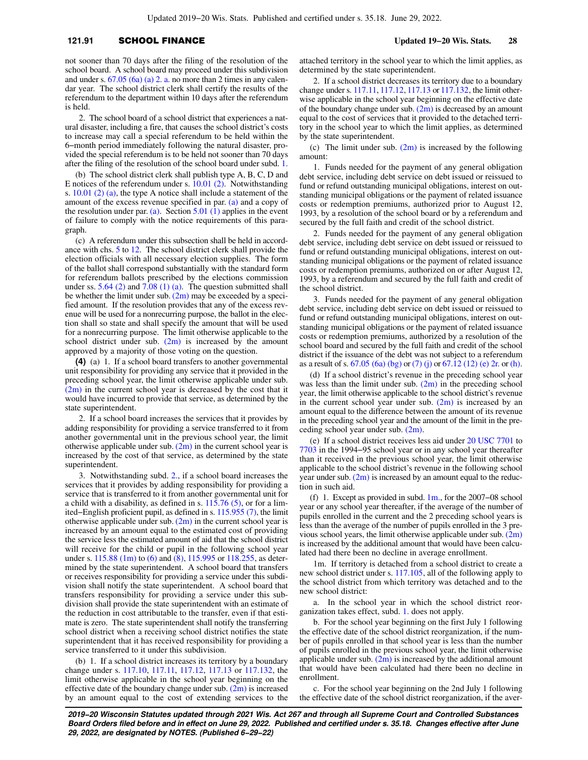## **121.91** SCHOOL FINANCE **Updated 19−20 Wis. Stats. 28**

not sooner than 70 days after the filing of the resolution of the school board. A school board may proceed under this subdivision and under s.  $67.05$  (6a) (a) 2. a. no more than 2 times in any calendar year. The school district clerk shall certify the results of the referendum to the department within 10 days after the referendum is held.

2. The school board of a school district that experiences a natural disaster, including a fire, that causes the school district's costs to increase may call a special referendum to be held within the 6−month period immediately following the natural disaster, provided the special referendum is to be held not sooner than 70 days after the filing of the resolution of the school board under subd. [1.](https://docs.legis.wisconsin.gov/document/statutes/121.91(3)(a)1.)

(b) The school district clerk shall publish type A, B, C, D and E notices of the referendum under s. [10.01 \(2\)](https://docs.legis.wisconsin.gov/document/statutes/10.01(2)). Notwithstanding s. [10.01 \(2\) \(a\),](https://docs.legis.wisconsin.gov/document/statutes/10.01(2)(a)) the type A notice shall include a statement of the amount of the excess revenue specified in par. [\(a\)](https://docs.legis.wisconsin.gov/document/statutes/121.91(3)(a)) and a copy of the resolution under par. [\(a\)](https://docs.legis.wisconsin.gov/document/statutes/121.91(3)(a)). Section  $5.01$  (1) applies in the event of failure to comply with the notice requirements of this paragraph.

(c) A referendum under this subsection shall be held in accordance with chs. [5](https://docs.legis.wisconsin.gov/document/statutes/ch.%205) to [12](https://docs.legis.wisconsin.gov/document/statutes/ch.%2012). The school district clerk shall provide the election officials with all necessary election supplies. The form of the ballot shall correspond substantially with the standard form for referendum ballots prescribed by the elections commission under ss.  $5.64$  (2) and  $7.08$  (1) (a). The question submitted shall be whether the limit under sub.  $(2m)$  may be exceeded by a specified amount. If the resolution provides that any of the excess revenue will be used for a nonrecurring purpose, the ballot in the election shall so state and shall specify the amount that will be used for a nonrecurring purpose. The limit otherwise applicable to the school district under sub.  $(2m)$  is increased by the amount approved by a majority of those voting on the question.

**(4)** (a) 1. If a school board transfers to another governmental unit responsibility for providing any service that it provided in the preceding school year, the limit otherwise applicable under sub. [\(2m\)](https://docs.legis.wisconsin.gov/document/statutes/121.91(2m)) in the current school year is decreased by the cost that it would have incurred to provide that service, as determined by the state superintendent.

2. If a school board increases the services that it provides by adding responsibility for providing a service transferred to it from another governmental unit in the previous school year, the limit otherwise applicable under sub.  $(2m)$  in the current school year is increased by the cost of that service, as determined by the state superintendent.

3. Notwithstanding subd. [2.](https://docs.legis.wisconsin.gov/document/statutes/121.91(4)(a)2.), if a school board increases the services that it provides by adding responsibility for providing a service that is transferred to it from another governmental unit for a child with a disability, as defined in s.  $115.76$  (5), or for a limited−English proficient pupil, as defined in s. [115.955 \(7\)](https://docs.legis.wisconsin.gov/document/statutes/115.955(7)), the limit otherwise applicable under sub.  $(2m)$  in the current school year is increased by an amount equal to the estimated cost of providing the service less the estimated amount of aid that the school district will receive for the child or pupil in the following school year under s. [115.88 \(1m\)](https://docs.legis.wisconsin.gov/document/statutes/115.88(1m)) to [\(6\)](https://docs.legis.wisconsin.gov/document/statutes/115.88(6)) and [\(8\)](https://docs.legis.wisconsin.gov/document/statutes/115.88(8)), [115.995](https://docs.legis.wisconsin.gov/document/statutes/115.995) or [118.255](https://docs.legis.wisconsin.gov/document/statutes/118.255), as determined by the state superintendent. A school board that transfers or receives responsibility for providing a service under this subdivision shall notify the state superintendent. A school board that transfers responsibility for providing a service under this subdivision shall provide the state superintendent with an estimate of the reduction in cost attributable to the transfer, even if that estimate is zero. The state superintendent shall notify the transferring school district when a receiving school district notifies the state superintendent that it has received responsibility for providing a service transferred to it under this subdivision.

(b) 1. If a school district increases its territory by a boundary change under s. [117.10,](https://docs.legis.wisconsin.gov/document/statutes/117.10) [117.11](https://docs.legis.wisconsin.gov/document/statutes/117.11), [117.12,](https://docs.legis.wisconsin.gov/document/statutes/117.12) [117.13](https://docs.legis.wisconsin.gov/document/statutes/117.13) or [117.132,](https://docs.legis.wisconsin.gov/document/statutes/117.132) the limit otherwise applicable in the school year beginning on the effective date of the boundary change under sub.  $(2m)$  is increased by an amount equal to the cost of extending services to the attached territory in the school year to which the limit applies, as determined by the state superintendent.

2. If a school district decreases its territory due to a boundary change under s. [117.11](https://docs.legis.wisconsin.gov/document/statutes/117.11), [117.12,](https://docs.legis.wisconsin.gov/document/statutes/117.12) [117.13](https://docs.legis.wisconsin.gov/document/statutes/117.13) or [117.132](https://docs.legis.wisconsin.gov/document/statutes/117.132), the limit otherwise applicable in the school year beginning on the effective date of the boundary change under sub.  $(2m)$  is decreased by an amount equal to the cost of services that it provided to the detached territory in the school year to which the limit applies, as determined by the state superintendent.

(c) The limit under sub.  $(2m)$  is increased by the following amount:

1. Funds needed for the payment of any general obligation debt service, including debt service on debt issued or reissued to fund or refund outstanding municipal obligations, interest on outstanding municipal obligations or the payment of related issuance costs or redemption premiums, authorized prior to August 12, 1993, by a resolution of the school board or by a referendum and secured by the full faith and credit of the school district.

2. Funds needed for the payment of any general obligation debt service, including debt service on debt issued or reissued to fund or refund outstanding municipal obligations, interest on outstanding municipal obligations or the payment of related issuance costs or redemption premiums, authorized on or after August 12, 1993, by a referendum and secured by the full faith and credit of the school district.

3. Funds needed for the payment of any general obligation debt service, including debt service on debt issued or reissued to fund or refund outstanding municipal obligations, interest on outstanding municipal obligations or the payment of related issuance costs or redemption premiums, authorized by a resolution of the school board and secured by the full faith and credit of the school district if the issuance of the debt was not subject to a referendum as a result of s. [67.05 \(6a\) \(bg\)](https://docs.legis.wisconsin.gov/document/statutes/67.05(6a)(bg)) or [\(7\) \(j\)](https://docs.legis.wisconsin.gov/document/statutes/67.05(7)(j)) or [67.12 \(12\) \(e\) 2r.](https://docs.legis.wisconsin.gov/document/statutes/67.12(12)(e)2r.) or [\(h\).](https://docs.legis.wisconsin.gov/document/statutes/67.12(12)(h))

(d) If a school district's revenue in the preceding school year was less than the limit under sub.  $(2m)$  in the preceding school year, the limit otherwise applicable to the school district's revenue in the current school year under sub.  $(2m)$  is increased by an amount equal to the difference between the amount of its revenue in the preceding school year and the amount of the limit in the preceding school year under sub. [\(2m\).](https://docs.legis.wisconsin.gov/document/statutes/121.91(2m))

(e) If a school district receives less aid under [20 USC 7701](https://docs.legis.wisconsin.gov/document/usc/20%20USC%207701) to [7703](https://docs.legis.wisconsin.gov/document/usc/20%20USC%207703) in the 1994−95 school year or in any school year thereafter than it received in the previous school year, the limit otherwise applicable to the school district's revenue in the following school year under sub.  $(2m)$  is increased by an amount equal to the reduction in such aid.

(f) 1. Except as provided in subd. [1m.,](https://docs.legis.wisconsin.gov/document/statutes/121.91(4)(f)1m.) for the 2007−08 school year or any school year thereafter, if the average of the number of pupils enrolled in the current and the 2 preceding school years is less than the average of the number of pupils enrolled in the 3 previous school years, the limit otherwise applicable under sub.  $(2m)$ is increased by the additional amount that would have been calculated had there been no decline in average enrollment.

1m. If territory is detached from a school district to create a new school district under s. [117.105,](https://docs.legis.wisconsin.gov/document/statutes/117.105) all of the following apply to the school district from which territory was detached and to the new school district:

a. In the school year in which the school district reorganization takes effect, subd. [1.](https://docs.legis.wisconsin.gov/document/statutes/121.91(4)(f)1.) does not apply.

b. For the school year beginning on the first July 1 following the effective date of the school district reorganization, if the number of pupils enrolled in that school year is less than the number of pupils enrolled in the previous school year, the limit otherwise applicable under sub.  $(2m)$  is increased by the additional amount that would have been calculated had there been no decline in enrollment.

c. For the school year beginning on the 2nd July 1 following the effective date of the school district reorganization, if the aver-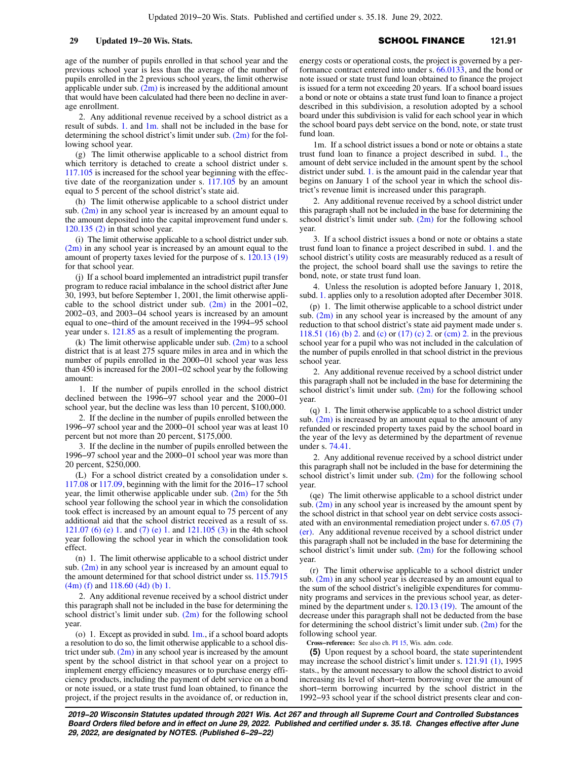age of the number of pupils enrolled in that school year and the previous school year is less than the average of the number of pupils enrolled in the 2 previous school years, the limit otherwise applicable under sub.  $(2m)$  is increased by the additional amount that would have been calculated had there been no decline in average enrollment.

2. Any additional revenue received by a school district as a result of subds. [1.](https://docs.legis.wisconsin.gov/document/statutes/121.91(4)(f)1.) and [1m.](https://docs.legis.wisconsin.gov/document/statutes/121.91(4)(f)1m.) shall not be included in the base for determining the school district's limit under sub.  $(2m)$  for the following school year.

(g) The limit otherwise applicable to a school district from which territory is detached to create a school district under s. [117.105](https://docs.legis.wisconsin.gov/document/statutes/117.105) is increased for the school year beginning with the effective date of the reorganization under s. [117.105](https://docs.legis.wisconsin.gov/document/statutes/117.105) by an amount equal to 5 percent of the school district's state aid.

(h) The limit otherwise applicable to a school district under sub.  $(2m)$  in any school year is increased by an amount equal to the amount deposited into the capital improvement fund under s. [120.135 \(2\)](https://docs.legis.wisconsin.gov/document/statutes/120.135(2)) in that school year.

(i) The limit otherwise applicable to a school district under sub. [\(2m\)](https://docs.legis.wisconsin.gov/document/statutes/121.91(2m)) in any school year is increased by an amount equal to the amount of property taxes levied for the purpose of s. [120.13 \(19\)](https://docs.legis.wisconsin.gov/document/statutes/120.13(19)) for that school year.

(j) If a school board implemented an intradistrict pupil transfer program to reduce racial imbalance in the school district after June 30, 1993, but before September 1, 2001, the limit otherwise applicable to the school district under sub. [\(2m\)](https://docs.legis.wisconsin.gov/document/statutes/121.91(2m)) in the 2001−02, 2002−03, and 2003−04 school years is increased by an amount equal to one−third of the amount received in the 1994−95 school year under s. [121.85](https://docs.legis.wisconsin.gov/document/statutes/121.85) as a result of implementing the program.

(k) The limit otherwise applicable under sub.  $(2m)$  to a school district that is at least 275 square miles in area and in which the number of pupils enrolled in the 2000−01 school year was less than 450 is increased for the 2001−02 school year by the following amount:

1. If the number of pupils enrolled in the school district declined between the 1996−97 school year and the 2000−01 school year, but the decline was less than 10 percent, \$100,000.

2. If the decline in the number of pupils enrolled between the 1996−97 school year and the 2000−01 school year was at least 10 percent but not more than 20 percent, \$175,000.

3. If the decline in the number of pupils enrolled between the 1996−97 school year and the 2000−01 school year was more than 20 percent, \$250,000.

(L) For a school district created by a consolidation under s. [117.08](https://docs.legis.wisconsin.gov/document/statutes/117.08) or [117.09,](https://docs.legis.wisconsin.gov/document/statutes/117.09) beginning with the limit for the 2016−17 school year, the limit otherwise applicable under sub.  $(2m)$  for the 5th school year following the school year in which the consolidation took effect is increased by an amount equal to 75 percent of any additional aid that the school district received as a result of ss. [121.07 \(6\) \(e\) 1.](https://docs.legis.wisconsin.gov/document/statutes/121.07(6)(e)1.) and [\(7\) \(e\) 1.](https://docs.legis.wisconsin.gov/document/statutes/121.07(7)(e)1.) and [121.105 \(3\)](https://docs.legis.wisconsin.gov/document/statutes/121.105(3)) in the 4th school year following the school year in which the consolidation took effect.

(n) 1. The limit otherwise applicable to a school district under sub.  $(2m)$  in any school year is increased by an amount equal to the amount determined for that school district under ss. [115.7915](https://docs.legis.wisconsin.gov/document/statutes/115.7915(4m)(f)) [\(4m\) \(f\)](https://docs.legis.wisconsin.gov/document/statutes/115.7915(4m)(f)) and [118.60 \(4d\) \(b\) 1.](https://docs.legis.wisconsin.gov/document/statutes/118.60(4d)(b)1.)

2. Any additional revenue received by a school district under this paragraph shall not be included in the base for determining the school district's limit under sub.  $(2m)$  for the following school year.

(o) 1. Except as provided in subd.  $1m$ , if a school board adopts a resolution to do so, the limit otherwise applicable to a school district under sub.  $(2m)$  in any school year is increased by the amount spent by the school district in that school year on a project to implement energy efficiency measures or to purchase energy efficiency products, including the payment of debt service on a bond or note issued, or a state trust fund loan obtained, to finance the project, if the project results in the avoidance of, or reduction in,

energy costs or operational costs, the project is governed by a performance contract entered into under s. [66.0133](https://docs.legis.wisconsin.gov/document/statutes/66.0133), and the bond or note issued or state trust fund loan obtained to finance the project is issued for a term not exceeding 20 years. If a school board issues a bond or note or obtains a state trust fund loan to finance a project described in this subdivision, a resolution adopted by a school board under this subdivision is valid for each school year in which the school board pays debt service on the bond, note, or state trust fund loan.

1m. If a school district issues a bond or note or obtains a state trust fund loan to finance a project described in subd. [1.](https://docs.legis.wisconsin.gov/document/statutes/121.91(4)(o)1.), the amount of debt service included in the amount spent by the school district under subd. [1.](https://docs.legis.wisconsin.gov/document/statutes/121.91(4)(o)1.) is the amount paid in the calendar year that begins on January 1 of the school year in which the school district's revenue limit is increased under this paragraph.

2. Any additional revenue received by a school district under this paragraph shall not be included in the base for determining the school district's limit under sub.  $(2m)$  for the following school year.

3. If a school district issues a bond or note or obtains a state trust fund loan to finance a project described in subd. [1.](https://docs.legis.wisconsin.gov/document/statutes/121.91(4)(o)1.) and the school district's utility costs are measurably reduced as a result of the project, the school board shall use the savings to retire the bond, note, or state trust fund loan.

4. Unless the resolution is adopted before January 1, 2018, subd. [1.](https://docs.legis.wisconsin.gov/document/statutes/121.91(4)(o)1.) applies only to a resolution adopted after December 3018.

(p) 1. The limit otherwise applicable to a school district under sub.  $(2m)$  in any school year is increased by the amount of any reduction to that school district's state aid payment made under s. [118.51 \(16\) \(b\) 2.](https://docs.legis.wisconsin.gov/document/statutes/118.51(16)(b)2.) and [\(c\)](https://docs.legis.wisconsin.gov/document/statutes/118.51(16)(c)) or [\(17\) \(c\) 2.](https://docs.legis.wisconsin.gov/document/statutes/118.51(17)(c)2.) or [\(cm\) 2.](https://docs.legis.wisconsin.gov/document/statutes/118.51(17)(cm)2.) in the previous school year for a pupil who was not included in the calculation of the number of pupils enrolled in that school district in the previous school year.

2. Any additional revenue received by a school district under this paragraph shall not be included in the base for determining the school district's limit under sub. [\(2m\)](https://docs.legis.wisconsin.gov/document/statutes/121.91(2m)) for the following school year

(q) 1. The limit otherwise applicable to a school district under sub.  $(2m)$  is increased by an amount equal to the amount of any refunded or rescinded property taxes paid by the school board in the year of the levy as determined by the department of revenue under s. [74.41](https://docs.legis.wisconsin.gov/document/statutes/74.41).

2. Any additional revenue received by a school district under this paragraph shall not be included in the base for determining the school district's limit under sub.  $(2m)$  for the following school year.

(qe) The limit otherwise applicable to a school district under sub.  $(2m)$  in any school year is increased by the amount spent by the school district in that school year on debt service costs associated with an environmental remediation project under s. [67.05 \(7\)](https://docs.legis.wisconsin.gov/document/statutes/67.05(7)(er)) [\(er\)](https://docs.legis.wisconsin.gov/document/statutes/67.05(7)(er)). Any additional revenue received by a school district under this paragraph shall not be included in the base for determining the school district's limit under sub.  $(2m)$  for the following school year.

(r) The limit otherwise applicable to a school district under sub.  $(2m)$  in any school year is decreased by an amount equal to the sum of the school district's ineligible expenditures for community programs and services in the previous school year, as determined by the department under s. [120.13 \(19\).](https://docs.legis.wisconsin.gov/document/statutes/120.13(19)) The amount of the decrease under this paragraph shall not be deducted from the base for determining the school district's limit under sub.  $(2m)$  for the following school year.

**Cross−reference:** See also ch. [PI 15](https://docs.legis.wisconsin.gov/document/administrativecode/ch.%20PI%2015), Wis. adm. code.

**(5)** Upon request by a school board, the state superintendent may increase the school district's limit under s. [121.91 \(1\),](https://docs.legis.wisconsin.gov/document/statutes/1995/121.91(1)) 1995 stats., by the amount necessary to allow the school district to avoid increasing its level of short−term borrowing over the amount of short−term borrowing incurred by the school district in the 1992−93 school year if the school district presents clear and con-